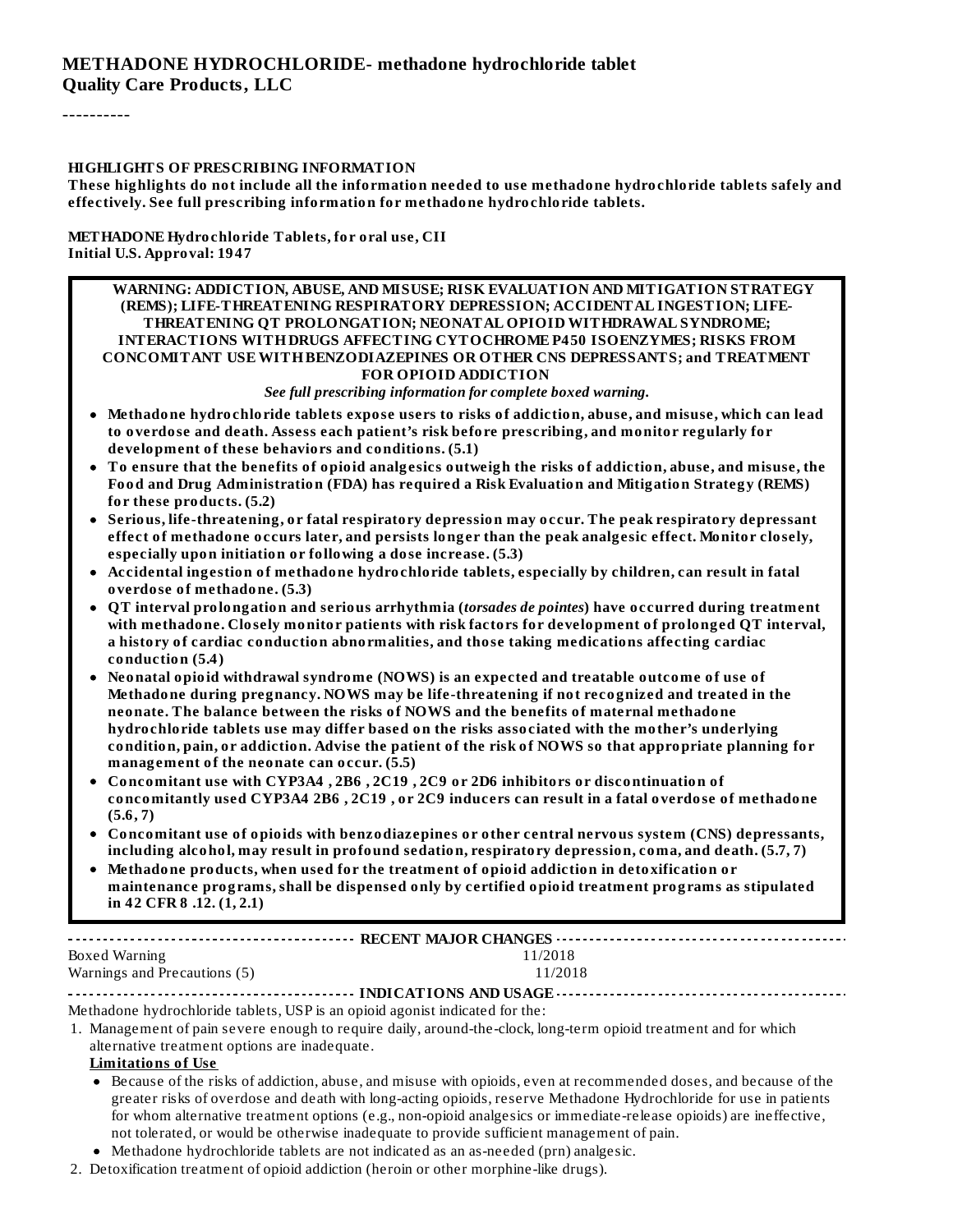### **METHADONE HYDROCHLORIDE- methadone hydrochloride tablet Quality Care Products, LLC**

----------

#### **HIGHLIGHTS OF PRESCRIBING INFORMATION**

**These highlights do not include all the information needed to use methadone hydrochloride tablets safely and effectively. See full prescribing information for methadone hydrochloride tablets.**

**METHADONE Hydrochloride Tablets, for oral use, CII Initial U.S. Approval: 1947**

**WARNING: ADDICTION, ABUSE, AND MISUSE; RISK EVALUATION AND MITIGATION STRATEGY (REMS); LIFE-THREATENING RESPIRATORY DEPRESSION; ACCIDENTAL INGESTION; LIFE-THREATENING QT PROLONGATION; NEONATAL OPIOID WITHDRAWAL SYNDROME; INTERACTIONS WITHDRUGS AFFECTING CYTOCHROME P450 ISOENZYMES; RISKS FROM CONCOMITANT USE WITHBENZODIAZEPINES OR OTHER CNS DEPRESSANTS; and TREATMENT FOR OPIOID ADDICTION**

*See full prescribing information for complete boxed warning.*

- **Methadone hydrochloride tablets expose users to risks of addiction, abuse, and misuse, which can lead to overdose and death. Assess each patient's risk before prescribing, and monitor regularly for development of these behaviors and conditions. (5.1)**
- **To ensure that the benefits of opioid analgesics outweigh the risks of addiction, abuse, and misuse, the Food and Drug Administration (FDA) has required a Risk Evaluation and Mitigation Strategy (REMS) for these products. (5.2)**
- **Serious, life-threatening, or fatal respiratory depression may occur. The peak respiratory depressant effect of methadone occurs later, and persists longer than the peak analgesic effect. Monitor closely, especially upon initiation or following a dose increase. (5.3)**
- **Accidental ingestion of methadone hydrochloride tablets, especially by children, can result in fatal overdose of methadone. (5.3)**
- **QT interval prolongation and serious arrhythmia (***torsades de pointes***) have occurred during treatment with methadone. Closely monitor patients with risk factors for development of prolonged QT interval, a history of cardiac conduction abnormalities, and those taking medications affecting cardiac conduction (5.4)**
- **Neonatal opioid withdrawal syndrome (NOWS) is an expected and treatable outcome of use of Methadone during pregnancy. NOWS may be life-threatening if not recognized and treated in the neonate. The balance between the risks of NOWS and the benefits of maternal methadone hydrochloride tablets use may differ based on the risks associated with the mother's underlying condition, pain, or addiction. Advise the patient of the risk of NOWS so that appropriate planning for management of the neonate can occur. (5.5)**
- **Concomitant use with CYP3A4 , 2B6 , 2C19 , 2C9 or 2D6 inhibitors or discontinuation of concomitantly used CYP3A4 2B6 , 2C19 , or 2C9 inducers can result in a fatal overdose of methadone (5.6, 7)**
- **Concomitant use of opioids with benzodiazepines or other central nervous system (CNS) depressants, including alcohol, may result in profound sedation, respiratory depression, coma, and death. (5.7, 7)**
- **Methadone products, when used for the treatment of opioid addiction in detoxification or maintenance programs, shall be dispensed only by certified opioid treatment programs as stipulated in 42 CFR 8 .12. (1, 2.1)**

| Boxed Warning                | 11/2018 |
|------------------------------|---------|
| Warnings and Precautions (5) | 11/2018 |

**INDICATIONS AND USAGE INDICATIONS AND USAGE** *CONDITIONS* **AND USAGE** *CONDITIONS* **AND** 

Methadone hydrochloride tablets, USP is an opioid agonist indicated for the:

1. Management of pain severe enough to require daily, around-the-clock, long-term opioid treatment and for which alternative treatment options are inadequate.

**Limitations of Use**

- Because of the risks of addiction, abuse, and misuse with opioids, even at recommended doses, and because of the greater risks of overdose and death with long-acting opioids, reserve Methadone Hydrochloride for use in patients for whom alternative treatment options (e.g., non-opioid analgesics or immediate-release opioids) are ineffective, not tolerated, or would be otherwise inadequate to provide sufficient management of pain.
- Methadone hydrochloride tablets are not indicated as an as-needed (prn) analgesic.
- 2. Detoxification treatment of opioid addiction (heroin or other morphine-like drugs).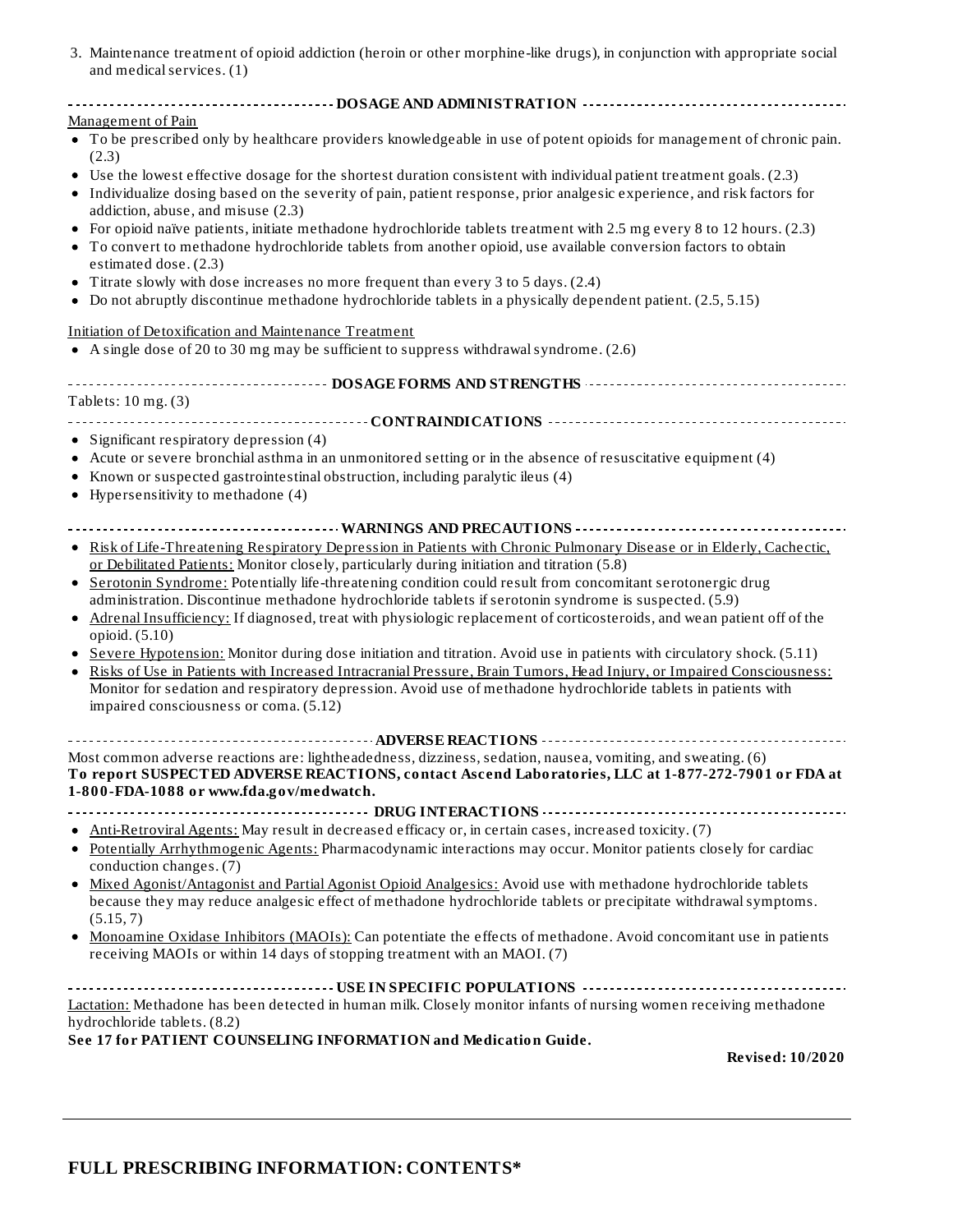| 3. Maintenance treatment of opioid addiction (heroin or other morphine-like drugs), in conjunction with appropriate social<br>and medical services. (1)                                                                                                                                 |
|-----------------------------------------------------------------------------------------------------------------------------------------------------------------------------------------------------------------------------------------------------------------------------------------|
|                                                                                                                                                                                                                                                                                         |
| Management of Pain                                                                                                                                                                                                                                                                      |
| • To be prescribed only by healthcare providers knowledgeable in use of potent opioids for management of chronic pain.<br>(2.3)                                                                                                                                                         |
| • Use the lowest effective dosage for the shortest duration consistent with individual patient treatment goals. (2.3)<br>• Individualize dosing based on the severity of pain, patient response, prior analgesic experience, and risk factors for<br>addiction, abuse, and misuse (2.3) |
| • For opioid naïve patients, initiate methadone hydrochloride tablets treatment with 2.5 mg every 8 to 12 hours. (2.3)<br>• To convert to methadone hydrochloride tablets from another opioid, use available conversion factors to obtain<br>estimated dose. (2.3)                      |
| • Titrate slowly with dose increases no more frequent than every 3 to 5 days. (2.4)<br>• Do not abruptly discontinue methadone hydrochloride tablets in a physically dependent patient. (2.5, 5.15)                                                                                     |
| <b>Initiation of Detoxification and Maintenance Treatment</b>                                                                                                                                                                                                                           |
| • A single dose of 20 to 30 mg may be sufficient to suppress withdrawal syndrome. (2.6)                                                                                                                                                                                                 |
| Tablets: 10 mg. (3)                                                                                                                                                                                                                                                                     |
|                                                                                                                                                                                                                                                                                         |
| • Significant respiratory depression (4)                                                                                                                                                                                                                                                |
| • Acute or severe bronchial asthma in an unmonitored setting or in the absence of resuscitative equipment (4)                                                                                                                                                                           |
| • Known or suspected gastrointestinal obstruction, including paralytic ileus (4)                                                                                                                                                                                                        |
| • Hypersensitivity to methadone (4)                                                                                                                                                                                                                                                     |
|                                                                                                                                                                                                                                                                                         |
| • Risk of Life-Threatening Respiratory Depression in Patients with Chronic Pulmonary Disease or in Elderly, Cachectic,                                                                                                                                                                  |
| or Debilitated Patients: Monitor closely, particularly during initiation and titration (5.8)                                                                                                                                                                                            |
| Serotonin Syndrome: Potentially life-threatening condition could result from concomitant serotonergic drug                                                                                                                                                                              |
| administration. Discontinue methadone hydrochloride tablets if serotonin syndrome is suspected. (5.9)                                                                                                                                                                                   |
| Adrenal Insufficiency: If diagnosed, treat with physiologic replacement of corticosteroids, and wean patient off of the<br>opioid. (5.10)                                                                                                                                               |
| Severe Hypotension: Monitor during dose initiation and titration. Avoid use in patients with circulatory shock. (5.11)                                                                                                                                                                  |
| Risks of Use in Patients with Increased Intracranial Pressure, Brain Tumors, Head Injury, or Impaired Consciousness:                                                                                                                                                                    |
| Monitor for sedation and respiratory depression. Avoid use of methadone hydrochloride tablets in patients with                                                                                                                                                                          |
| impaired consciousness or coma. (5.12)                                                                                                                                                                                                                                                  |
|                                                                                                                                                                                                                                                                                         |
| ----------------------- ADVERSE REACTIONS ------------------------<br>Most common adverse reactions are: lightheadedness, dizziness, sedation, nausea, vomiting, and sweating. (6)                                                                                                      |
| To report SUSPECTED ADVERSE REACTIONS, contact Ascend Laboratories, LLC at 1-877-272-7901 or FDA at                                                                                                                                                                                     |
| 1-800-FDA-1088 or www.fda.gov/medwatch.                                                                                                                                                                                                                                                 |
|                                                                                                                                                                                                                                                                                         |
| • Anti-Retroviral Agents: May result in decreased efficacy or, in certain cases, increased toxicity. (7)<br>• Potentially Arrhythmogenic Agents: Pharmacodynamic interactions may occur. Monitor patients closely for cardiac<br>conduction changes. (7)                                |
| • Mixed Agonist/Antagonist and Partial Agonist Opioid Analgesics: Avoid use with methadone hydrochloride tablets                                                                                                                                                                        |
| because they may reduce analgesic effect of methadone hydrochloride tablets or precipitate withdrawal symptoms.<br>(5.15, 7)                                                                                                                                                            |
| • Monoamine Oxidase Inhibitors (MAOIs): Can potentiate the effects of methadone. Avoid concomitant use in patients                                                                                                                                                                      |
| receiving MAOIs or within 14 days of stopping treatment with an MAOI. (7)                                                                                                                                                                                                               |
|                                                                                                                                                                                                                                                                                         |
| Lactation: Methadone has been detected in human milk. Closely monitor infants of nursing women receiving methadone                                                                                                                                                                      |
| hydrochloride tablets. (8.2)                                                                                                                                                                                                                                                            |
| See 17 for PATIENT COUNSELING INFORMATION and Medication Guide.                                                                                                                                                                                                                         |

**Revised: 10/2020**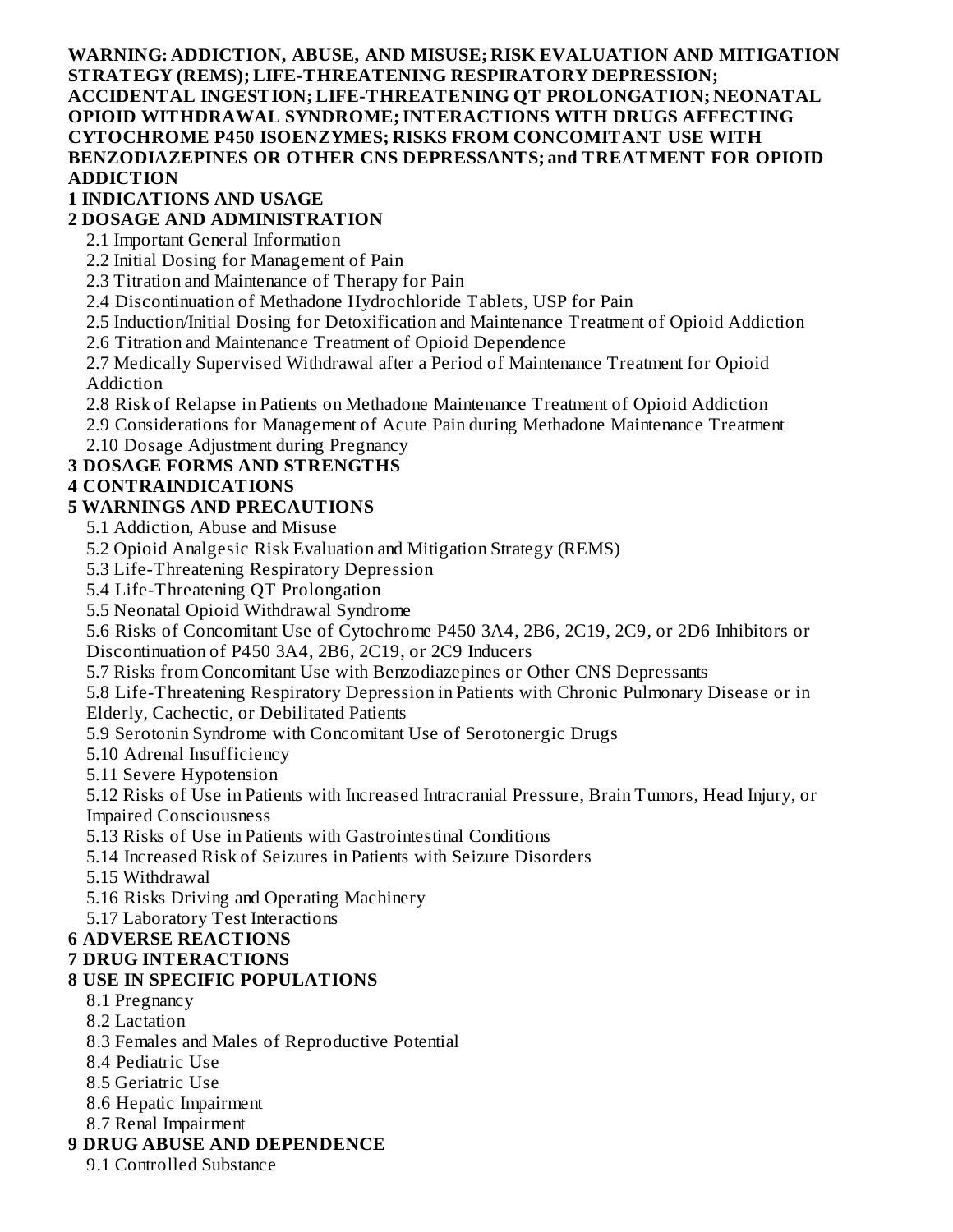#### **WARNING: ADDICTION, ABUSE, AND MISUSE; RISK EVALUATION AND MITIGATION STRATEGY (REMS); LIFE-THREATENING RESPIRATORY DEPRESSION; ACCIDENTAL INGESTION; LIFE-THREATENING QT PROLONGATION; NEONATAL OPIOID WITHDRAWAL SYNDROME;INTERACTIONS WITH DRUGS AFFECTING CYTOCHROME P450 ISOENZYMES; RISKS FROM CONCOMITANT USE WITH BENZODIAZEPINES OR OTHER CNS DEPRESSANTS; and TREATMENT FOR OPIOID ADDICTION**

## **1 INDICATIONS AND USAGE**

# **2 DOSAGE AND ADMINISTRATION**

- 2.1 Important General Information
- 2.2 Initial Dosing for Management of Pain
- 2.3 Titration and Maintenance of Therapy for Pain
- 2.4 Discontinuation of Methadone Hydrochloride Tablets, USP for Pain
- 2.5 Induction/Initial Dosing for Detoxification and Maintenance Treatment of Opioid Addiction
- 2.6 Titration and Maintenance Treatment of Opioid Dependence

2.7 Medically Supervised Withdrawal after a Period of Maintenance Treatment for Opioid Addiction

- 2.8 Risk of Relapse in Patients on Methadone Maintenance Treatment of Opioid Addiction
- 2.9 Considerations for Management of Acute Pain during Methadone Maintenance Treatment 2.10 Dosage Adjustment during Pregnancy
- **3 DOSAGE FORMS AND STRENGTHS**

# **4 CONTRAINDICATIONS**

# **5 WARNINGS AND PRECAUTIONS**

- 5.1 Addiction, Abuse and Misuse
- 5.2 Opioid Analgesic Risk Evaluation and Mitigation Strategy (REMS)
- 5.3 Life-Threatening Respiratory Depression
- 5.4 Life-Threatening QT Prolongation
- 5.5 Neonatal Opioid Withdrawal Syndrome

5.6 Risks of Concomitant Use of Cytochrome P450 3A4, 2B6, 2C19, 2C9, or 2D6 Inhibitors or Discontinuation of P450 3A4, 2B6, 2C19, or 2C9 Inducers

- 5.7 Risks from Concomitant Use with Benzodiazepines or Other CNS Depressants
- 5.8 Life-Threatening Respiratory Depression in Patients with Chronic Pulmonary Disease or in Elderly, Cachectic, or Debilitated Patients
- 5.9 Serotonin Syndrome with Concomitant Use of Serotonergic Drugs
- 5.10 Adrenal Insufficiency
- 5.11 Severe Hypotension

5.12 Risks of Use in Patients with Increased Intracranial Pressure, Brain Tumors, Head Injury, or Impaired Consciousness

- 5.13 Risks of Use in Patients with Gastrointestinal Conditions
- 5.14 Increased Risk of Seizures in Patients with Seizure Disorders
- 5.15 Withdrawal
- 5.16 Risks Driving and Operating Machinery
- 5.17 Laboratory Test Interactions

# **6 ADVERSE REACTIONS**

# **7 DRUG INTERACTIONS**

# **8 USE IN SPECIFIC POPULATIONS**

- 8.1 Pregnancy
- 8.2 Lactation
- 8.3 Females and Males of Reproductive Potential
- 8.4 Pediatric Use
- 8.5 Geriatric Use
- 8.6 Hepatic Impairment
- 8.7 Renal Impairment

# **9 DRUG ABUSE AND DEPENDENCE**

9.1 Controlled Substance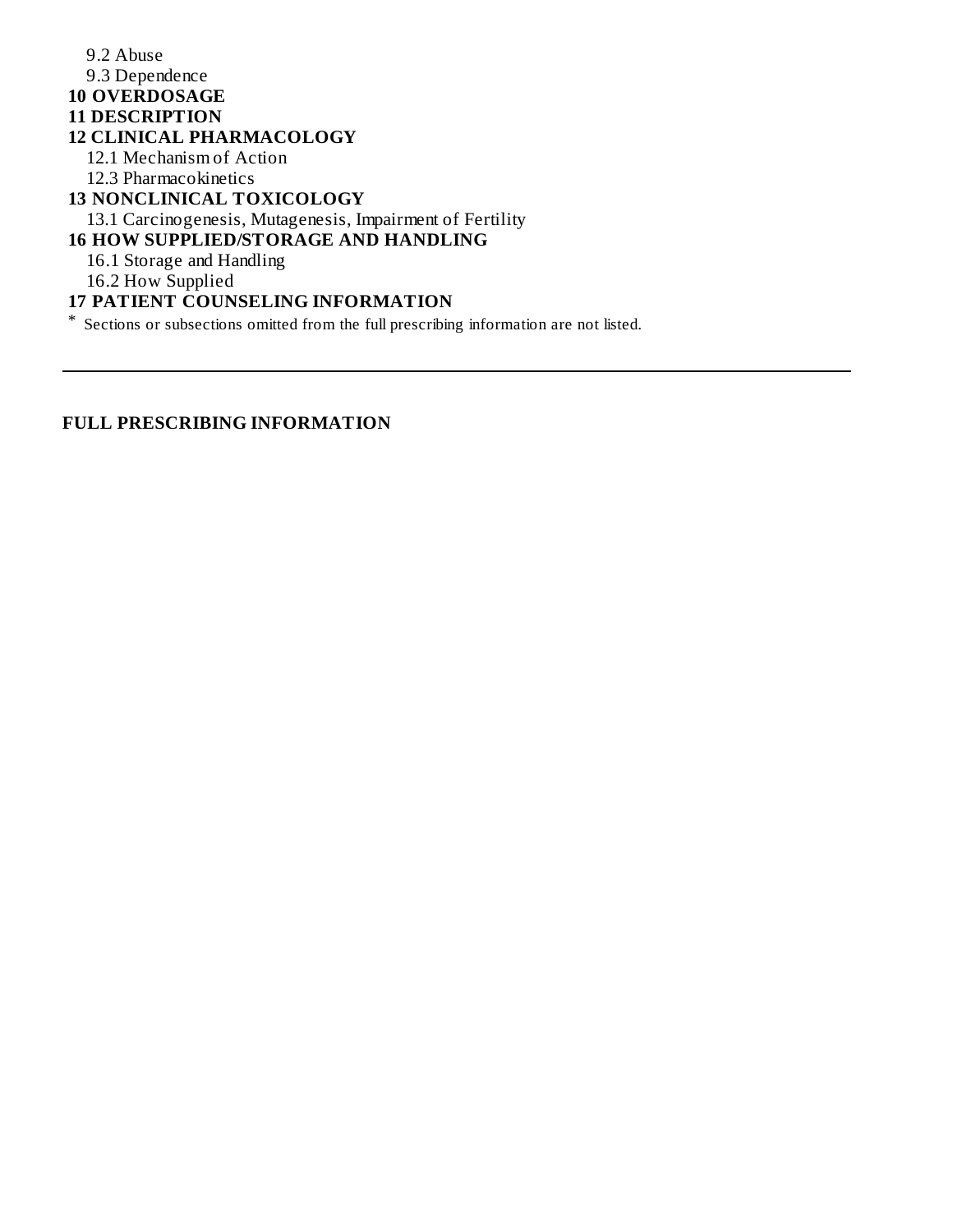#### 9.2 Abuse 9.3 Dependence **10 OVERDOSAGE 11 DESCRIPTION 12 CLINICAL PHARMACOLOGY** 12.1 Mechanism of Action 12.3 Pharmacokinetics **13 NONCLINICAL TOXICOLOGY** 13.1 Carcinogenesis, Mutagenesis, Impairment of Fertility **16 HOW SUPPLIED/STORAGE AND HANDLING** 16.1 Storage and Handling 16.2 How Supplied

#### **17 PATIENT COUNSELING INFORMATION**

\* Sections or subsections omitted from the full prescribing information are not listed.

#### **FULL PRESCRIBING INFORMATION**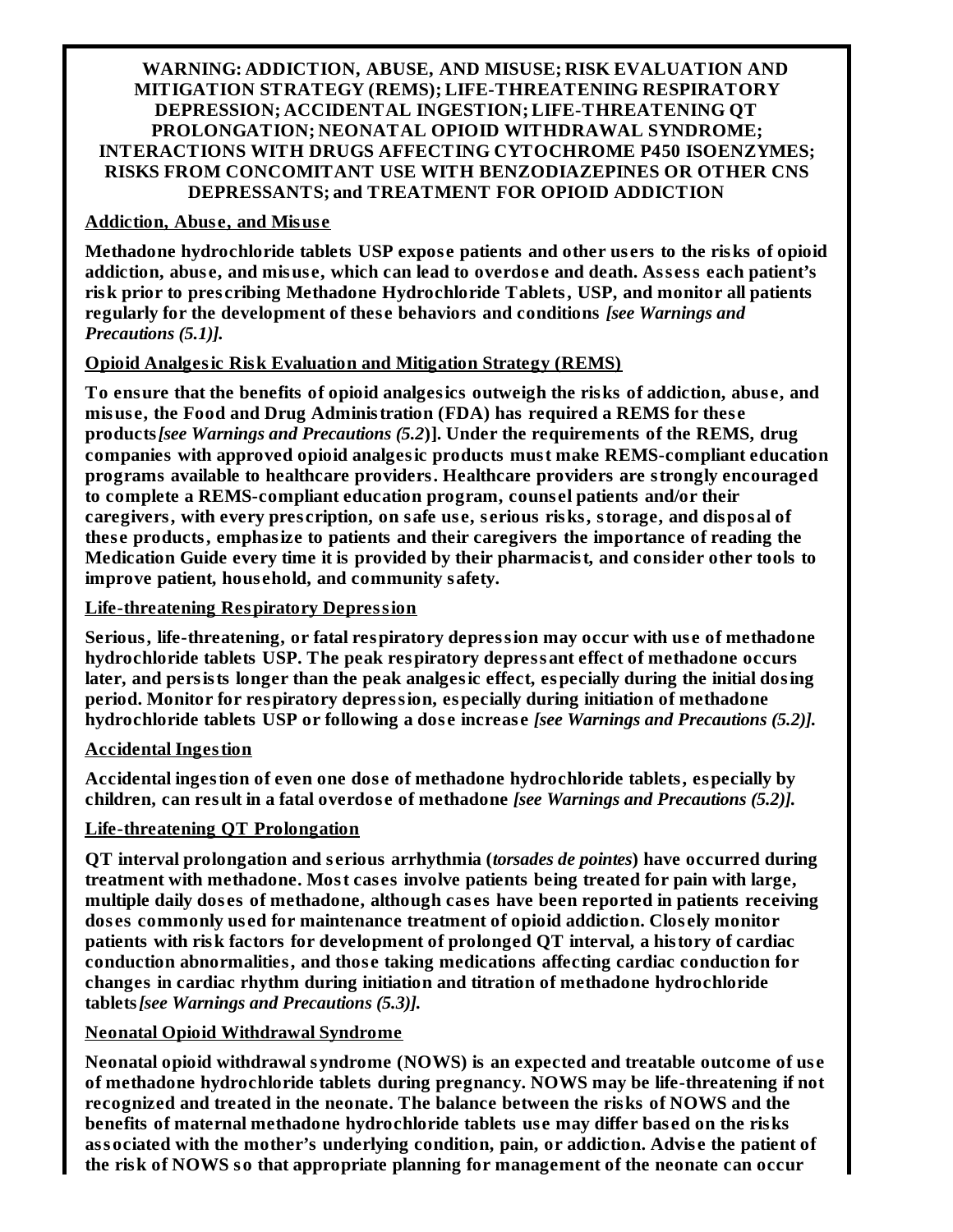#### **WARNING: ADDICTION, ABUSE, AND MISUSE; RISK EVALUATION AND MITIGATION STRATEGY (REMS); LIFE-THREATENING RESPIRATORY DEPRESSION; ACCIDENTAL INGESTION; LIFE-THREATENING QT PROLONGATION; NEONATAL OPIOID WITHDRAWAL SYNDROME; INTERACTIONS WITH DRUGS AFFECTING CYTOCHROME P450 ISOENZYMES; RISKS FROM CONCOMITANT USE WITH BENZODIAZEPINES OR OTHER CNS DEPRESSANTS; and TREATMENT FOR OPIOID ADDICTION**

#### **Addiction, Abus e, and Misus e**

**Methadone hydrochloride tablets USP expos e patients and other us ers to the risks of opioid addiction, abus e, and misus e, which can lead to overdos e and death. Ass ess each patient's risk prior to pres cribing Methadone Hydrochloride Tablets, USP, and monitor all patients regularly for the development of thes e behaviors and conditions** *[see Warnings and Precautions (5.1)].*

### **Opioid Analgesic Risk Evaluation and Mitigation Strategy (REMS)**

**To ensure that the benefits of opioid analgesics outweigh the risks of addiction, abus e, and misus e, the Food and Drug Administration (FDA) has required a REMS for thes e products***[see Warnings and Precautions (5.2***)]. Under the requirements of the REMS, drug companies with approved opioid analgesic products must make REMS-compliant education programs available to healthcare providers. Healthcare providers are strongly encouraged to complete a REMS-compliant education program, couns el patients and/or their caregivers, with every pres cription, on safe us e, s erious risks, storage, and disposal of thes e products, emphasize to patients and their caregivers the importance of reading the Medication Guide every time it is provided by their pharmacist, and consider other tools to improve patient, hous ehold, and community safety.**

#### **Life-threatening Respiratory Depression**

**Serious, life-threatening, or fatal respiratory depression may occur with us e of methadone hydrochloride tablets USP. The peak respiratory depressant effect of methadone occurs later, and persists longer than the peak analgesic effect, especially during the initial dosing period. Monitor for respiratory depression, especially during initiation of methadone hydrochloride tablets USP or following a dos e increas e** *[see Warnings and Precautions (5.2)].*

### **Accidental Ingestion**

**Accidental ingestion of even one dos e of methadone hydrochloride tablets, especially by children, can result in a fatal overdos e of methadone** *[see Warnings and Precautions (5.2)].*

#### **Life-threatening QT Prolongation**

**QT interval prolongation and s erious arrhythmia (***torsades de pointes***) have occurred during treatment with methadone. Most cas es involve patients being treated for pain with large, multiple daily dos es of methadone, although cas es have been reported in patients receiving dos es commonly us ed for maintenance treatment of opioid addiction. Clos ely monitor patients with risk factors for development of prolonged QT interval, a history of cardiac conduction abnormalities, and thos e taking medications affecting cardiac conduction for changes in cardiac rhythm during initiation and titration of methadone hydrochloride tablets***[see Warnings and Precautions (5.3)].*

### **Neonatal Opioid Withdrawal Syndrome**

**Neonatal opioid withdrawal syndrome (NOWS) is an expected and treatable outcome of us e of methadone hydrochloride tablets during pregnancy. NOWS may be life-threatening if not recognized and treated in the neonate. The balance between the risks of NOWS and the benefits of maternal methadone hydrochloride tablets us e may differ bas ed on the risks associated with the mother's underlying condition, pain, or addiction. Advis e the patient of the risk of NOWS so that appropriate planning for management of the neonate can occur**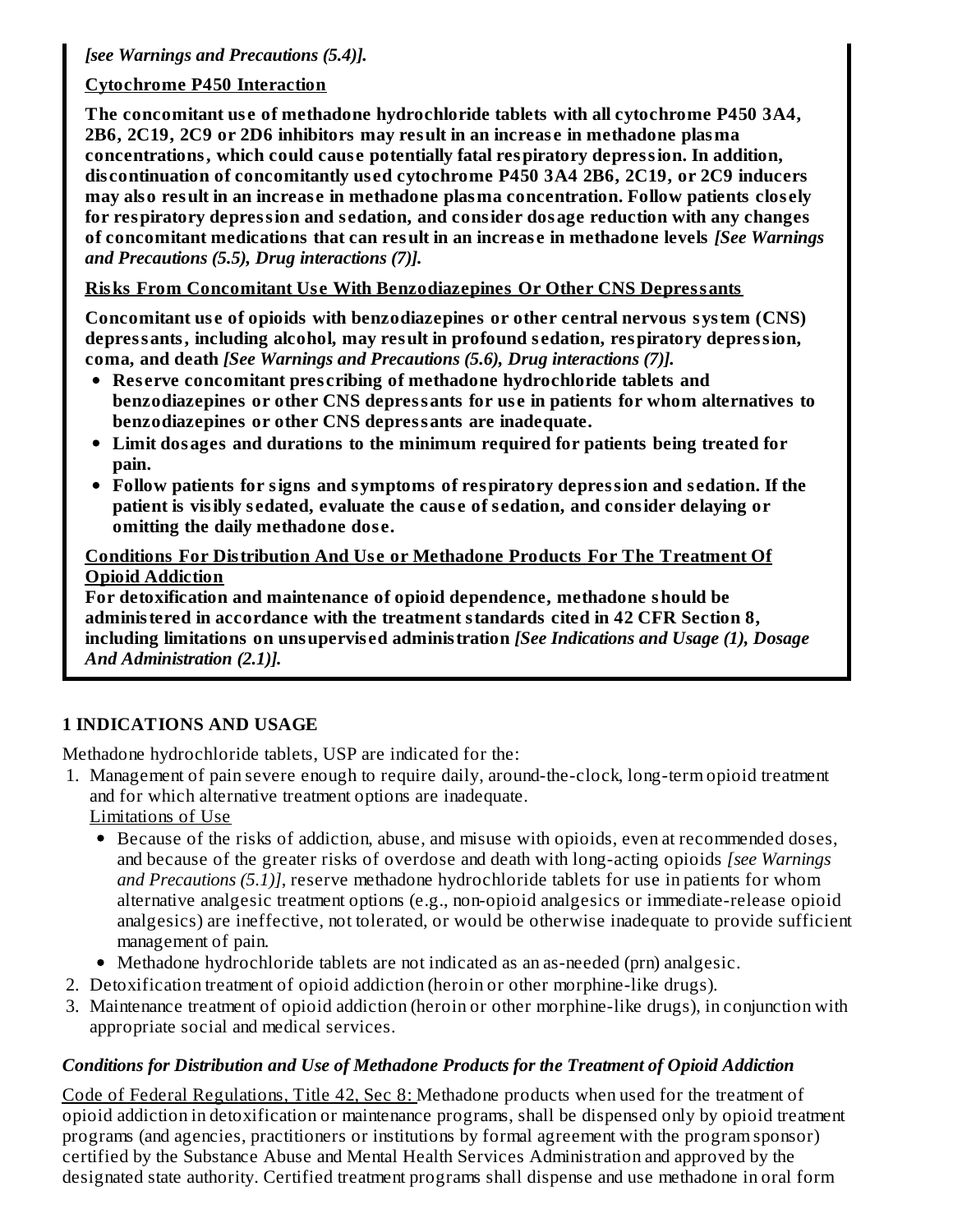*[see Warnings and Precautions (5.4)].*

## **Cytochrome P450 Interaction**

**The concomitant us e of methadone hydrochloride tablets with all cytochrome P450 3A4, 2B6, 2C19, 2C9 or 2D6 inhibitors may result in an increas e in methadone plasma concentrations, which could caus e potentially fatal respiratory depression. In addition, dis continuation of concomitantly us ed cytochrome P450 3A4 2B6, 2C19, or 2C9 inducers may also result in an increas e in methadone plasma concentration. Follow patients clos ely for respiratory depression and s edation, and consider dosage reduction with any changes of concomitant medications that can result in an increas e in methadone levels** *[See Warnings and Precautions (5.5), Drug interactions (7)].*

**Risks From Concomitant Us e With Benzodiazepines Or Other CNS Depressants**

**Concomitant us e of opioids with benzodiazepines or other central nervous system (CNS) depressants, including alcohol, may result in profound s edation, respiratory depression, coma, and death** *[See Warnings and Precautions (5.6), Drug interactions (7)].*

- **Res erve concomitant pres cribing of methadone hydrochloride tablets and benzodiazepines or other CNS depressants for us e in patients for whom alternatives to benzodiazepines or other CNS depressants are inadequate.**
- **Limit dosages and durations to the minimum required for patients being treated for pain.**
- **Follow patients for signs and symptoms of respiratory depression and s edation. If the patient is visibly s edated, evaluate the caus e of s edation, and consider delaying or omitting the daily methadone dos e.**

**Conditions For Distribution And Us e or Methadone Products For The Treatment Of Opioid Addiction**

**For detoxification and maintenance of opioid dependence, methadone should be administered in accordance with the treatment standards cited in 42 CFR Section 8, including limitations on unsupervis ed administration** *[See Indications and Usage (1), Dosage And Administration (2.1)].*

# **1 INDICATIONS AND USAGE**

Methadone hydrochloride tablets, USP are indicated for the:

- 1. Management of pain severe enough to require daily, around-the-clock, long-term opioid treatment and for which alternative treatment options are inadequate. Limitations of Use
	- Because of the risks of addiction, abuse, and misuse with opioids, even at recommended doses, and because of the greater risks of overdose and death with long-acting opioids *[see Warnings and Precautions (5.1)]*, reserve methadone hydrochloride tablets for use in patients for whom alternative analgesic treatment options (e.g., non-opioid analgesics or immediate-release opioid analgesics) are ineffective, not tolerated, or would be otherwise inadequate to provide sufficient management of pain.
	- Methadone hydrochloride tablets are not indicated as an as-needed (prn) analgesic.
- 2. Detoxification treatment of opioid addiction (heroin or other morphine-like drugs).
- 3. Maintenance treatment of opioid addiction (heroin or other morphine-like drugs), in conjunction with appropriate social and medical services.

### *Conditions for Distribution and Use of Methadone Products for the Treatment of Opioid Addiction*

Code of Federal Regulations, Title 42, Sec 8: Methadone products when used for the treatment of opioid addiction in detoxification or maintenance programs, shall be dispensed only by opioid treatment programs (and agencies, practitioners or institutions by formal agreement with the program sponsor) certified by the Substance Abuse and Mental Health Services Administration and approved by the designated state authority. Certified treatment programs shall dispense and use methadone in oral form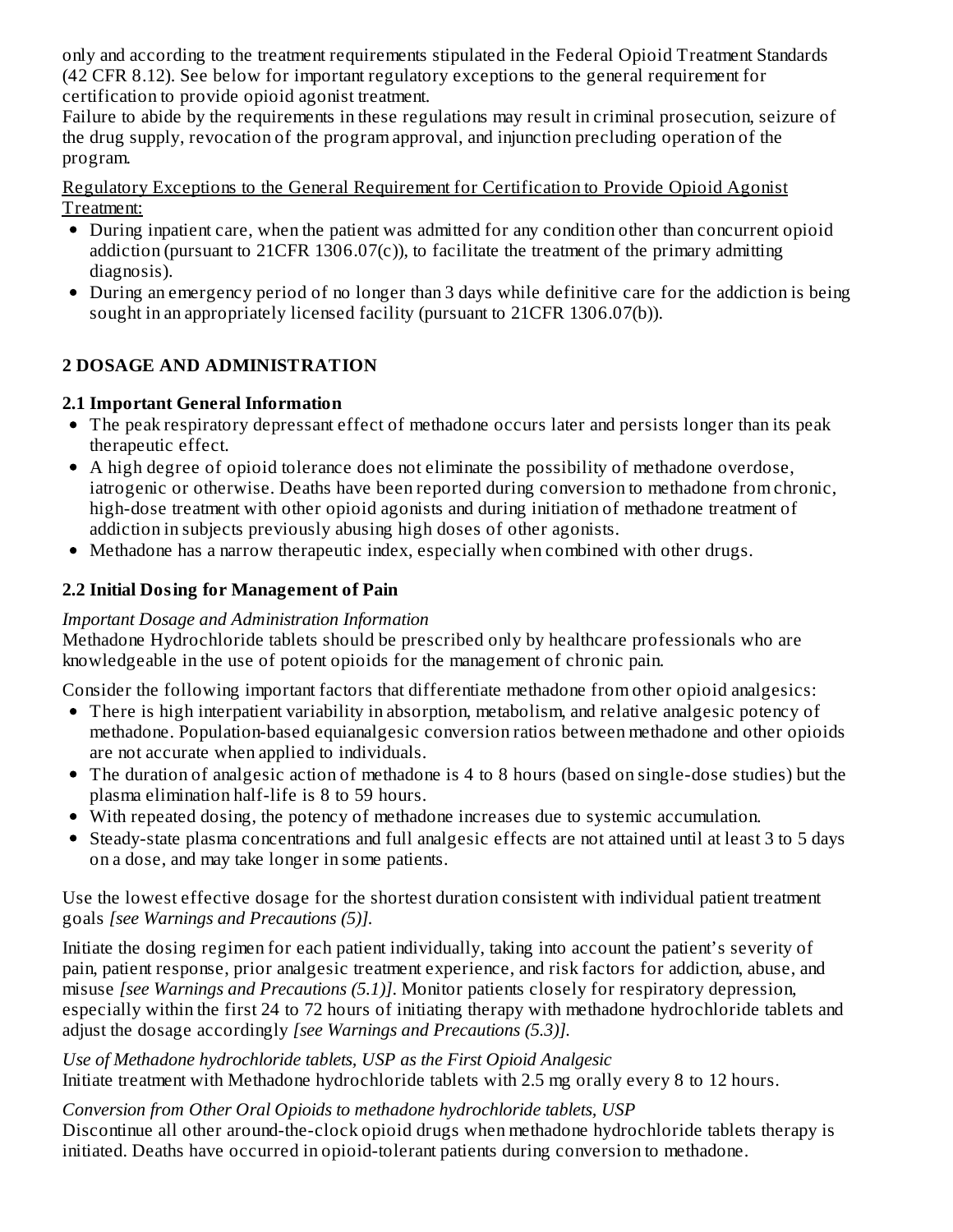only and according to the treatment requirements stipulated in the Federal Opioid Treatment Standards (42 CFR 8.12). See below for important regulatory exceptions to the general requirement for certification to provide opioid agonist treatment.

Failure to abide by the requirements in these regulations may result in criminal prosecution, seizure of the drug supply, revocation of the program approval, and injunction precluding operation of the program.

Regulatory Exceptions to the General Requirement for Certification to Provide Opioid Agonist Treatment:

- During inpatient care, when the patient was admitted for any condition other than concurrent opioid addiction (pursuant to  $21CFR 1306.07(c)$ ), to facilitate the treatment of the primary admitting diagnosis).
- During an emergency period of no longer than 3 days while definitive care for the addiction is being sought in an appropriately licensed facility (pursuant to 21CFR 1306.07(b)).

# **2 DOSAGE AND ADMINISTRATION**

# **2.1 Important General Information**

- The peak respiratory depressant effect of methadone occurs later and persists longer than its peak therapeutic effect.
- A high degree of opioid tolerance does not eliminate the possibility of methadone overdose, iatrogenic or otherwise. Deaths have been reported during conversion to methadone from chronic, high-dose treatment with other opioid agonists and during initiation of methadone treatment of addiction in subjects previously abusing high doses of other agonists.
- Methadone has a narrow therapeutic index, especially when combined with other drugs.

# **2.2 Initial Dosing for Management of Pain**

# *Important Dosage and Administration Information*

Methadone Hydrochloride tablets should be prescribed only by healthcare professionals who are knowledgeable in the use of potent opioids for the management of chronic pain.

Consider the following important factors that differentiate methadone from other opioid analgesics:

- There is high interpatient variability in absorption, metabolism, and relative analgesic potency of methadone. Population-based equianalgesic conversion ratios between methadone and other opioids are not accurate when applied to individuals.
- The duration of analgesic action of methadone is 4 to 8 hours (based on single-dose studies) but the plasma elimination half-life is 8 to 59 hours.
- With repeated dosing, the potency of methadone increases due to systemic accumulation.
- Steady-state plasma concentrations and full analgesic effects are not attained until at least 3 to 5 days on a dose, and may take longer in some patients.

Use the lowest effective dosage for the shortest duration consistent with individual patient treatment goals *[see Warnings and Precautions (5)].*

Initiate the dosing regimen for each patient individually, taking into account the patient's severity of pain, patient response, prior analgesic treatment experience, and risk factors for addiction, abuse, and misuse *[see Warnings and Precautions (5.1)]*. Monitor patients closely for respiratory depression, especially within the first 24 to 72 hours of initiating therapy with methadone hydrochloride tablets and adjust the dosage accordingly *[see Warnings and Precautions (5.3)].*

*Use of Methadone hydrochloride tablets, USP as the First Opioid Analgesic* Initiate treatment with Methadone hydrochloride tablets with 2.5 mg orally every 8 to 12 hours.

*Conversion from Other Oral Opioids to methadone hydrochloride tablets, USP* Discontinue all other around-the-clock opioid drugs when methadone hydrochloride tablets therapy is initiated. Deaths have occurred in opioid-tolerant patients during conversion to methadone.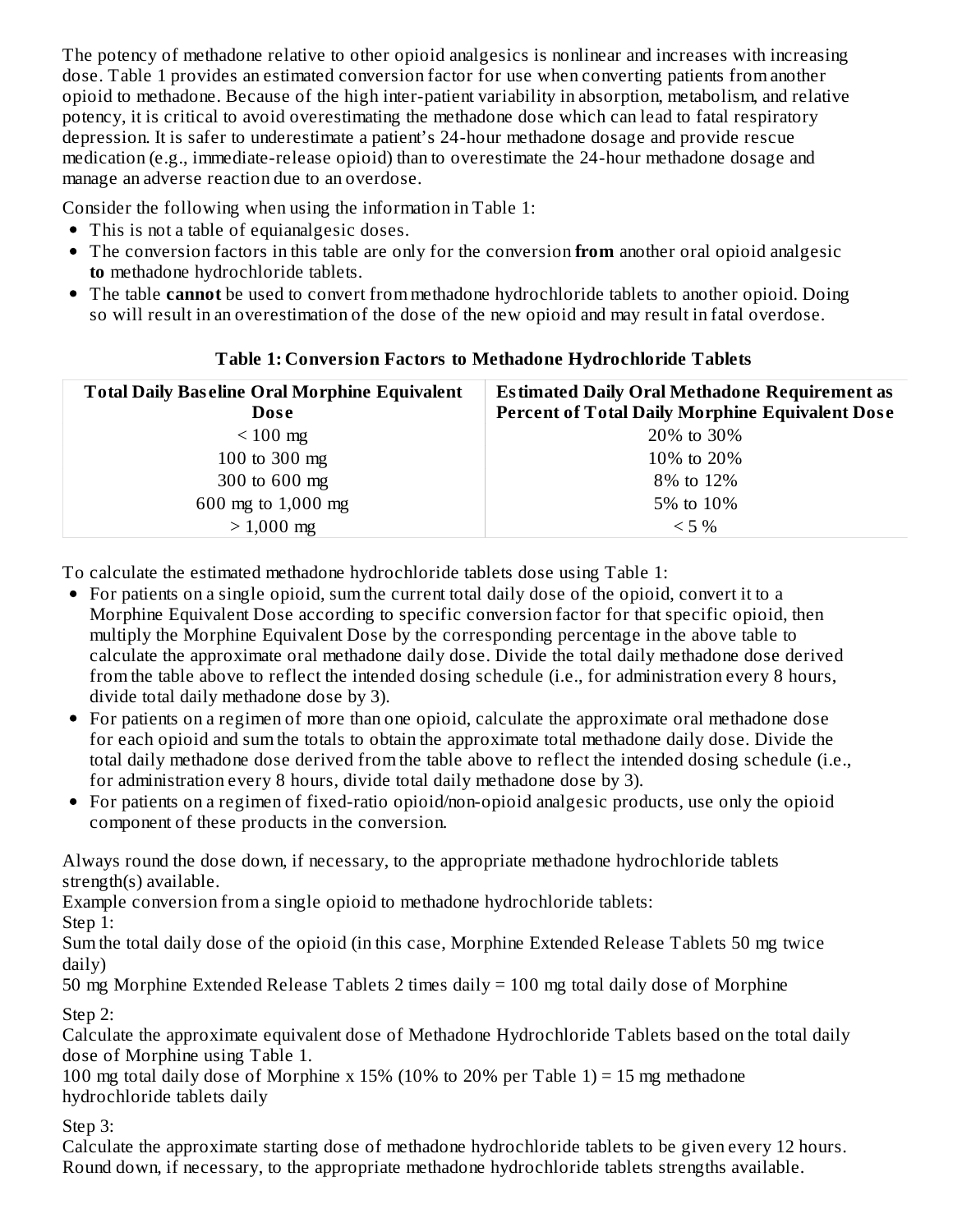The potency of methadone relative to other opioid analgesics is nonlinear and increases with increasing dose. Table 1 provides an estimated conversion factor for use when converting patients from another opioid to methadone. Because of the high inter-patient variability in absorption, metabolism, and relative potency, it is critical to avoid overestimating the methadone dose which can lead to fatal respiratory depression. It is safer to underestimate a patient's 24-hour methadone dosage and provide rescue medication (e.g., immediate-release opioid) than to overestimate the 24-hour methadone dosage and manage an adverse reaction due to an overdose.

Consider the following when using the information in Table 1:

- This is not a table of equianalgesic doses.
- The conversion factors in this table are only for the conversion **from** another oral opioid analgesic **to** methadone hydrochloride tablets.
- The table **cannot** be used to convert from methadone hydrochloride tablets to another opioid. Doing so will result in an overestimation of the dose of the new opioid and may result in fatal overdose.

| <b>Total Daily Baseline Oral Morphine Equivalent</b> | <b>Estimated Daily Oral Methadone Requirement as</b>   |
|------------------------------------------------------|--------------------------------------------------------|
| Dose                                                 | <b>Percent of Total Daily Morphine Equivalent Dose</b> |
| $< 100$ mg                                           | 20\% to 30\%                                           |
| 100 to 300 mg                                        | 10\% to 20\%                                           |
| 300 to 600 mg                                        | 8% to 12%                                              |
| 600 mg to 1,000 mg                                   | 5% to 10%                                              |
| $> 1,000 \text{ mg}$                                 | $<$ 5 %                                                |
|                                                      |                                                        |

**Table 1: Conversion Factors to Methadone Hydrochloride Tablets**

To calculate the estimated methadone hydrochloride tablets dose using Table 1:

- For patients on a single opioid, sum the current total daily dose of the opioid, convert it to a Morphine Equivalent Dose according to specific conversion factor for that specific opioid, then multiply the Morphine Equivalent Dose by the corresponding percentage in the above table to calculate the approximate oral methadone daily dose. Divide the total daily methadone dose derived from the table above to reflect the intended dosing schedule (i.e., for administration every 8 hours, divide total daily methadone dose by 3).
- For patients on a regimen of more than one opioid, calculate the approximate oral methadone dose for each opioid and sum the totals to obtain the approximate total methadone daily dose. Divide the total daily methadone dose derived from the table above to reflect the intended dosing schedule (i.e., for administration every 8 hours, divide total daily methadone dose by 3).
- For patients on a regimen of fixed-ratio opioid/non-opioid analgesic products, use only the opioid component of these products in the conversion.

Always round the dose down, if necessary, to the appropriate methadone hydrochloride tablets strength(s) available.

Example conversion from a single opioid to methadone hydrochloride tablets:

Step 1:

Sum the total daily dose of the opioid (in this case, Morphine Extended Release Tablets 50 mg twice daily)

50 mg Morphine Extended Release Tablets 2 times daily = 100 mg total daily dose of Morphine

Step 2:

Calculate the approximate equivalent dose of Methadone Hydrochloride Tablets based on the total daily dose of Morphine using Table 1.

100 mg total daily dose of Morphine x 15% (10% to 20% per Table 1) = 15 mg methadone hydrochloride tablets daily

Step 3:

Calculate the approximate starting dose of methadone hydrochloride tablets to be given every 12 hours. Round down, if necessary, to the appropriate methadone hydrochloride tablets strengths available.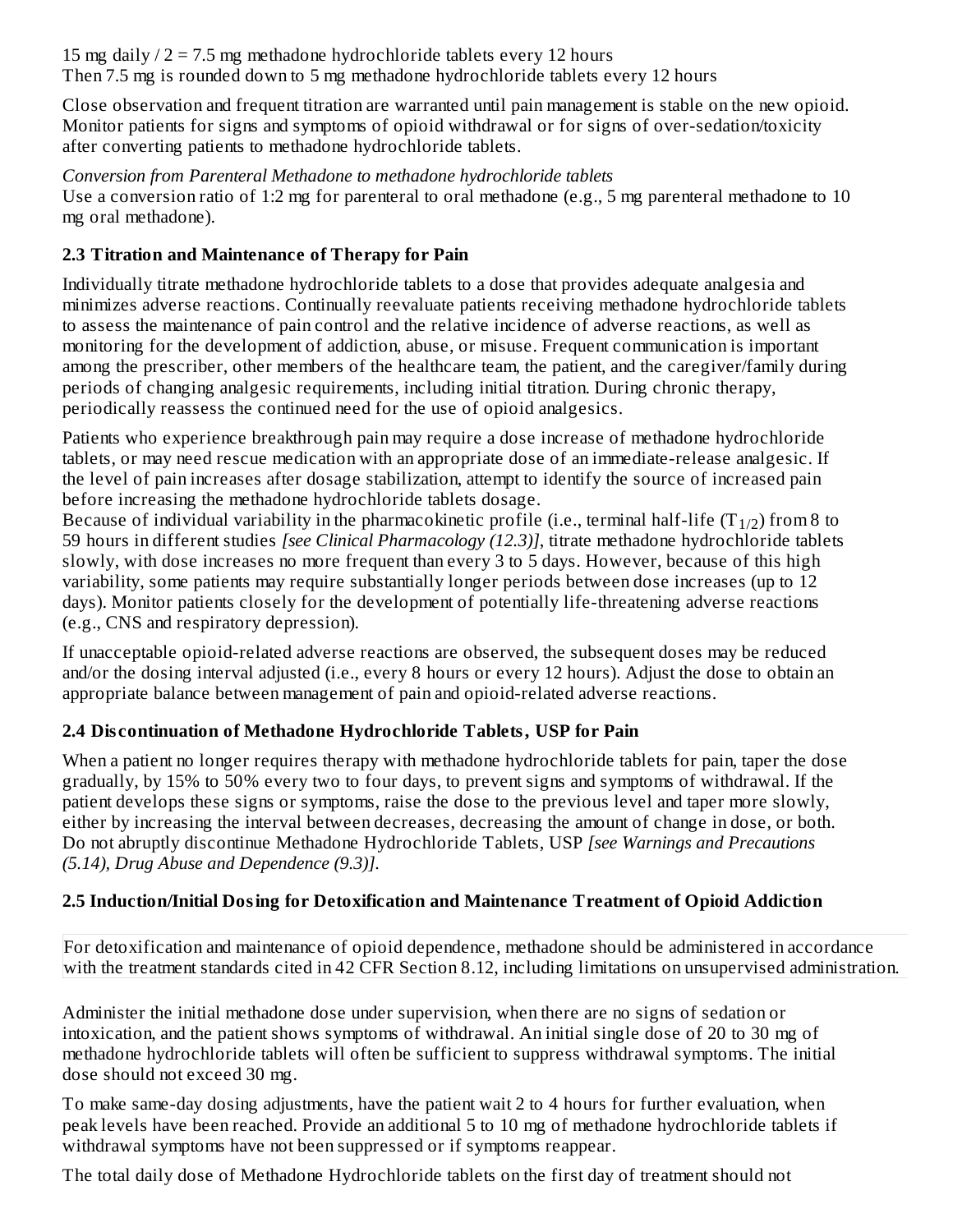15 mg daily  $/2 = 7.5$  mg methadone hydrochloride tablets every 12 hours Then 7.5 mg is rounded down to 5 mg methadone hydrochloride tablets every 12 hours

Close observation and frequent titration are warranted until pain management is stable on the new opioid. Monitor patients for signs and symptoms of opioid withdrawal or for signs of over-sedation/toxicity after converting patients to methadone hydrochloride tablets.

*Conversion from Parenteral Methadone to methadone hydrochloride tablets* Use a conversion ratio of 1:2 mg for parenteral to oral methadone (e.g., 5 mg parenteral methadone to 10 mg oral methadone).

## **2.3 Titration and Maintenance of Therapy for Pain**

Individually titrate methadone hydrochloride tablets to a dose that provides adequate analgesia and minimizes adverse reactions. Continually reevaluate patients receiving methadone hydrochloride tablets to assess the maintenance of pain control and the relative incidence of adverse reactions, as well as monitoring for the development of addiction, abuse, or misuse. Frequent communication is important among the prescriber, other members of the healthcare team, the patient, and the caregiver/family during periods of changing analgesic requirements, including initial titration. During chronic therapy, periodically reassess the continued need for the use of opioid analgesics.

Patients who experience breakthrough pain may require a dose increase of methadone hydrochloride tablets, or may need rescue medication with an appropriate dose of an immediate-release analgesic. If the level of pain increases after dosage stabilization, attempt to identify the source of increased pain before increasing the methadone hydrochloride tablets dosage.

Because of individual variability in the pharmacokinetic profile (i.e., terminal half-life (T<sub>1/2</sub>) from 8 to 59 hours in different studies *[see Clinical Pharmacology (12.3)]*, titrate methadone hydrochloride tablets slowly, with dose increases no more frequent than every 3 to 5 days. However, because of this high variability, some patients may require substantially longer periods between dose increases (up to 12 days). Monitor patients closely for the development of potentially life-threatening adverse reactions (e.g., CNS and respiratory depression).

If unacceptable opioid-related adverse reactions are observed, the subsequent doses may be reduced and/or the dosing interval adjusted (i.e., every 8 hours or every 12 hours). Adjust the dose to obtain an appropriate balance between management of pain and opioid-related adverse reactions.

# **2.4 Dis continuation of Methadone Hydrochloride Tablets, USP for Pain**

When a patient no longer requires therapy with methadone hydrochloride tablets for pain, taper the dose gradually, by 15% to 50% every two to four days, to prevent signs and symptoms of withdrawal. If the patient develops these signs or symptoms, raise the dose to the previous level and taper more slowly, either by increasing the interval between decreases, decreasing the amount of change in dose, or both. Do not abruptly discontinue Methadone Hydrochloride Tablets, USP *[see Warnings and Precautions (5.14), Drug Abuse and Dependence (9.3)].*

# **2.5 Induction/Initial Dosing for Detoxification and Maintenance Treatment of Opioid Addiction**

For detoxification and maintenance of opioid dependence, methadone should be administered in accordance with the treatment standards cited in 42 CFR Section 8.12, including limitations on unsupervised administration.

Administer the initial methadone dose under supervision, when there are no signs of sedation or intoxication, and the patient shows symptoms of withdrawal. An initial single dose of 20 to 30 mg of methadone hydrochloride tablets will often be sufficient to suppress withdrawal symptoms. The initial dose should not exceed 30 mg.

To make same-day dosing adjustments, have the patient wait 2 to 4 hours for further evaluation, when peak levels have been reached. Provide an additional 5 to 10 mg of methadone hydrochloride tablets if withdrawal symptoms have not been suppressed or if symptoms reappear.

The total daily dose of Methadone Hydrochloride tablets on the first day of treatment should not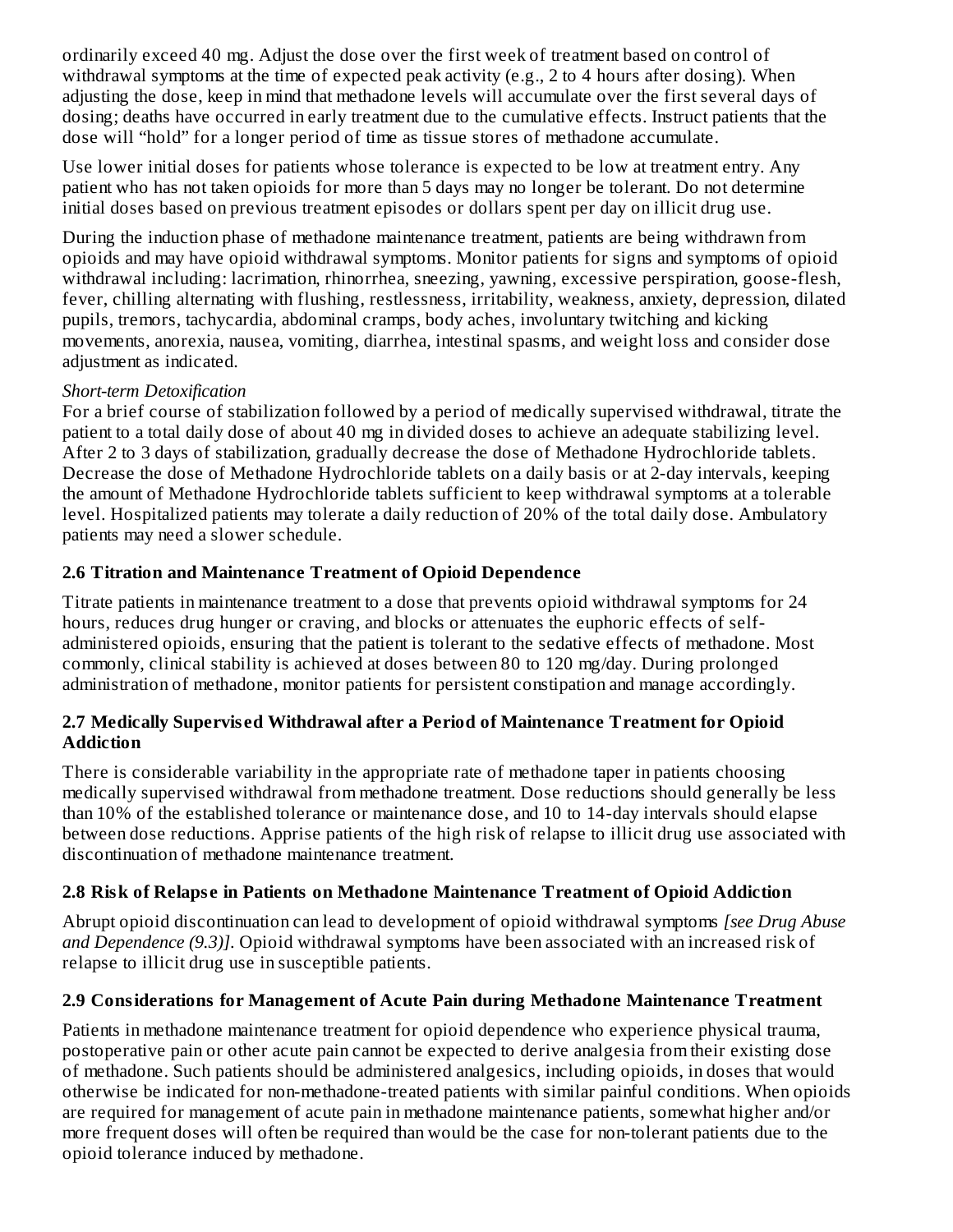ordinarily exceed 40 mg. Adjust the dose over the first week of treatment based on control of withdrawal symptoms at the time of expected peak activity (e.g., 2 to 4 hours after dosing). When adjusting the dose, keep in mind that methadone levels will accumulate over the first several days of dosing; deaths have occurred in early treatment due to the cumulative effects. Instruct patients that the dose will "hold" for a longer period of time as tissue stores of methadone accumulate.

Use lower initial doses for patients whose tolerance is expected to be low at treatment entry. Any patient who has not taken opioids for more than 5 days may no longer be tolerant. Do not determine initial doses based on previous treatment episodes or dollars spent per day on illicit drug use.

During the induction phase of methadone maintenance treatment, patients are being withdrawn from opioids and may have opioid withdrawal symptoms. Monitor patients for signs and symptoms of opioid withdrawal including: lacrimation, rhinorrhea, sneezing, yawning, excessive perspiration, goose-flesh, fever, chilling alternating with flushing, restlessness, irritability, weakness, anxiety, depression, dilated pupils, tremors, tachycardia, abdominal cramps, body aches, involuntary twitching and kicking movements, anorexia, nausea, vomiting, diarrhea, intestinal spasms, and weight loss and consider dose adjustment as indicated.

## *Short-term Detoxification*

For a brief course of stabilization followed by a period of medically supervised withdrawal, titrate the patient to a total daily dose of about 40 mg in divided doses to achieve an adequate stabilizing level. After 2 to 3 days of stabilization, gradually decrease the dose of Methadone Hydrochloride tablets. Decrease the dose of Methadone Hydrochloride tablets on a daily basis or at 2-day intervals, keeping the amount of Methadone Hydrochloride tablets sufficient to keep withdrawal symptoms at a tolerable level. Hospitalized patients may tolerate a daily reduction of 20% of the total daily dose. Ambulatory patients may need a slower schedule.

# **2.6 Titration and Maintenance Treatment of Opioid Dependence**

Titrate patients in maintenance treatment to a dose that prevents opioid withdrawal symptoms for 24 hours, reduces drug hunger or craving, and blocks or attenuates the euphoric effects of selfadministered opioids, ensuring that the patient is tolerant to the sedative effects of methadone. Most commonly, clinical stability is achieved at doses between 80 to 120 mg/day. During prolonged administration of methadone, monitor patients for persistent constipation and manage accordingly.

### **2.7 Medically Supervis ed Withdrawal after a Period of Maintenance Treatment for Opioid Addiction**

There is considerable variability in the appropriate rate of methadone taper in patients choosing medically supervised withdrawal from methadone treatment. Dose reductions should generally be less than 10% of the established tolerance or maintenance dose, and 10 to 14-day intervals should elapse between dose reductions. Apprise patients of the high risk of relapse to illicit drug use associated with discontinuation of methadone maintenance treatment.

# **2.8 Risk of Relaps e in Patients on Methadone Maintenance Treatment of Opioid Addiction**

Abrupt opioid discontinuation can lead to development of opioid withdrawal symptoms *[see Drug Abuse and Dependence (9.3)]*. Opioid withdrawal symptoms have been associated with an increased risk of relapse to illicit drug use in susceptible patients.

# **2.9 Considerations for Management of Acute Pain during Methadone Maintenance Treatment**

Patients in methadone maintenance treatment for opioid dependence who experience physical trauma, postoperative pain or other acute pain cannot be expected to derive analgesia from their existing dose of methadone. Such patients should be administered analgesics, including opioids, in doses that would otherwise be indicated for non-methadone-treated patients with similar painful conditions. When opioids are required for management of acute pain in methadone maintenance patients, somewhat higher and/or more frequent doses will often be required than would be the case for non-tolerant patients due to the opioid tolerance induced by methadone.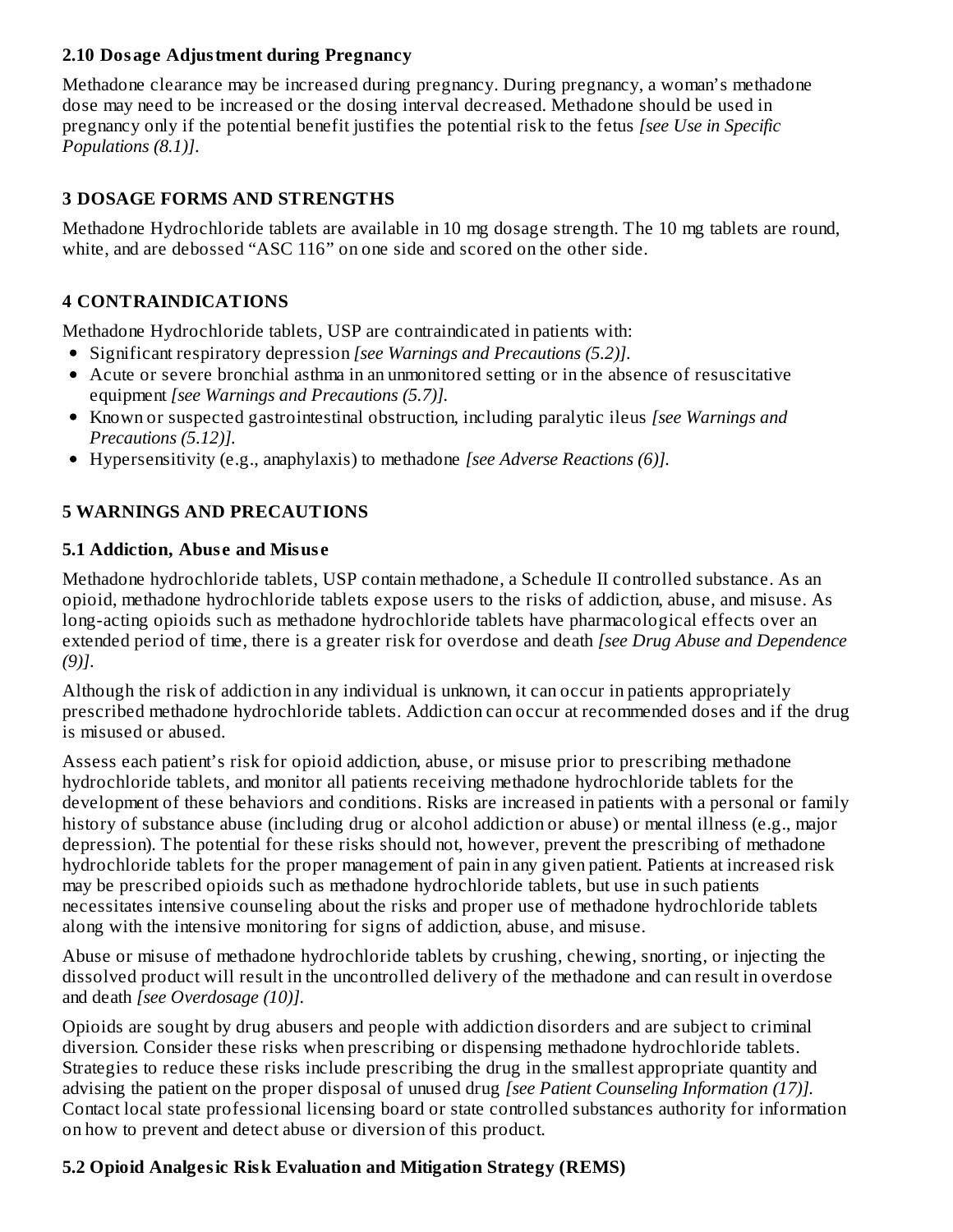### **2.10 Dosage Adjustment during Pregnancy**

Methadone clearance may be increased during pregnancy. During pregnancy, a woman's methadone dose may need to be increased or the dosing interval decreased. Methadone should be used in pregnancy only if the potential benefit justifies the potential risk to the fetus *[see Use in Specific Populations (8.1)]*.

## **3 DOSAGE FORMS AND STRENGTHS**

Methadone Hydrochloride tablets are available in 10 mg dosage strength. The 10 mg tablets are round, white, and are debossed "ASC 116" on one side and scored on the other side.

### **4 CONTRAINDICATIONS**

Methadone Hydrochloride tablets, USP are contraindicated in patients with:

- Significant respiratory depression *[see Warnings and Precautions (5.2)].*
- Acute or severe bronchial asthma in an unmonitored setting or in the absence of resuscitative equipment *[see Warnings and Precautions (5.7)].*
- Known or suspected gastrointestinal obstruction, including paralytic ileus *[see Warnings and Precautions (5.12)].*
- Hypersensitivity (e.g., anaphylaxis) to methadone *[see Adverse Reactions (6)].*

# **5 WARNINGS AND PRECAUTIONS**

## **5.1 Addiction, Abus e and Misus e**

Methadone hydrochloride tablets, USP contain methadone, a Schedule II controlled substance. As an opioid, methadone hydrochloride tablets expose users to the risks of addiction, abuse, and misuse. As long-acting opioids such as methadone hydrochloride tablets have pharmacological effects over an extended period of time, there is a greater risk for overdose and death *[see Drug Abuse and Dependence (9)]*.

Although the risk of addiction in any individual is unknown, it can occur in patients appropriately prescribed methadone hydrochloride tablets. Addiction can occur at recommended doses and if the drug is misused or abused.

Assess each patient's risk for opioid addiction, abuse, or misuse prior to prescribing methadone hydrochloride tablets, and monitor all patients receiving methadone hydrochloride tablets for the development of these behaviors and conditions. Risks are increased in patients with a personal or family history of substance abuse (including drug or alcohol addiction or abuse) or mental illness (e.g., major depression). The potential for these risks should not, however, prevent the prescribing of methadone hydrochloride tablets for the proper management of pain in any given patient. Patients at increased risk may be prescribed opioids such as methadone hydrochloride tablets, but use in such patients necessitates intensive counseling about the risks and proper use of methadone hydrochloride tablets along with the intensive monitoring for signs of addiction, abuse, and misuse.

Abuse or misuse of methadone hydrochloride tablets by crushing, chewing, snorting, or injecting the dissolved product will result in the uncontrolled delivery of the methadone and can result in overdose and death *[see Overdosage (10)].*

Opioids are sought by drug abusers and people with addiction disorders and are subject to criminal diversion. Consider these risks when prescribing or dispensing methadone hydrochloride tablets. Strategies to reduce these risks include prescribing the drug in the smallest appropriate quantity and advising the patient on the proper disposal of unused drug *[see Patient Counseling Information (17)].* Contact local state professional licensing board or state controlled substances authority for information on how to prevent and detect abuse or diversion of this product.

# **5.2 Opioid Analgesic Risk Evaluation and Mitigation Strategy (REMS)**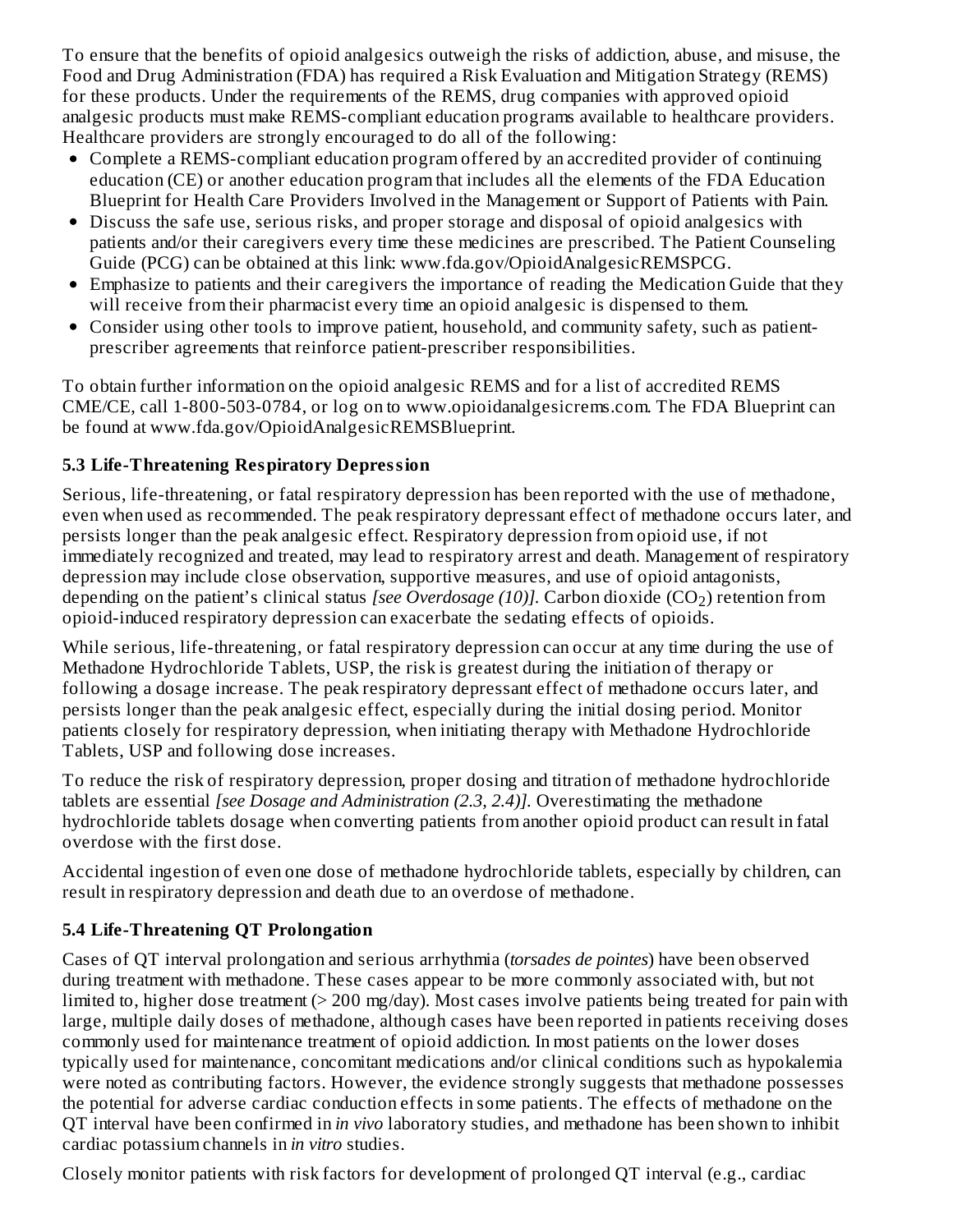To ensure that the benefits of opioid analgesics outweigh the risks of addiction, abuse, and misuse, the Food and Drug Administration (FDA) has required a Risk Evaluation and Mitigation Strategy (REMS) for these products. Under the requirements of the REMS, drug companies with approved opioid analgesic products must make REMS-compliant education programs available to healthcare providers. Healthcare providers are strongly encouraged to do all of the following:

- Complete a REMS-compliant education program offered by an accredited provider of continuing education (CE) or another education program that includes all the elements of the FDA Education Blueprint for Health Care Providers Involved in the Management or Support of Patients with Pain.
- Discuss the safe use, serious risks, and proper storage and disposal of opioid analgesics with patients and/or their caregivers every time these medicines are prescribed. The Patient Counseling Guide (PCG) can be obtained at this link: www.fda.gov/OpioidAnalgesicREMSPCG.
- Emphasize to patients and their caregivers the importance of reading the Medication Guide that they will receive from their pharmacist every time an opioid analgesic is dispensed to them.
- Consider using other tools to improve patient, household, and community safety, such as patientprescriber agreements that reinforce patient-prescriber responsibilities.

To obtain further information on the opioid analgesic REMS and for a list of accredited REMS CME/CE, call 1-800-503-0784, or log on to www.opioidanalgesicrems.com. The FDA Blueprint can be found at www.fda.gov/OpioidAnalgesicREMSBlueprint.

# **5.3 Life-Threatening Respiratory Depression**

Serious, life-threatening, or fatal respiratory depression has been reported with the use of methadone, even when used as recommended. The peak respiratory depressant effect of methadone occurs later, and persists longer than the peak analgesic effect. Respiratory depression from opioid use, if not immediately recognized and treated, may lead to respiratory arrest and death. Management of respiratory depression may include close observation, supportive measures, and use of opioid antagonists, depending on the patient's clinical status *[see Overdosage (10)]*. Carbon dioxide (CO<sub>2</sub>) retention from opioid-induced respiratory depression can exacerbate the sedating effects of opioids.

While serious, life-threatening, or fatal respiratory depression can occur at any time during the use of Methadone Hydrochloride Tablets, USP, the risk is greatest during the initiation of therapy or following a dosage increase. The peak respiratory depressant effect of methadone occurs later, and persists longer than the peak analgesic effect, especially during the initial dosing period. Monitor patients closely for respiratory depression, when initiating therapy with Methadone Hydrochloride Tablets, USP and following dose increases.

To reduce the risk of respiratory depression, proper dosing and titration of methadone hydrochloride tablets are essential *[see Dosage and Administration (2.3, 2.4)].* Overestimating the methadone hydrochloride tablets dosage when converting patients from another opioid product can result in fatal overdose with the first dose.

Accidental ingestion of even one dose of methadone hydrochloride tablets, especially by children, can result in respiratory depression and death due to an overdose of methadone.

# **5.4 Life-Threatening QT Prolongation**

Cases of QT interval prolongation and serious arrhythmia (*torsades de pointes*) have been observed during treatment with methadone. These cases appear to be more commonly associated with, but not limited to, higher dose treatment (> 200 mg/day). Most cases involve patients being treated for pain with large, multiple daily doses of methadone, although cases have been reported in patients receiving doses commonly used for maintenance treatment of opioid addiction. In most patients on the lower doses typically used for maintenance, concomitant medications and/or clinical conditions such as hypokalemia were noted as contributing factors. However, the evidence strongly suggests that methadone possesses the potential for adverse cardiac conduction effects in some patients. The effects of methadone on the QT interval have been confirmed in *in vivo* laboratory studies, and methadone has been shown to inhibit cardiac potassium channels in *in vitro* studies.

Closely monitor patients with risk factors for development of prolonged QT interval (e.g., cardiac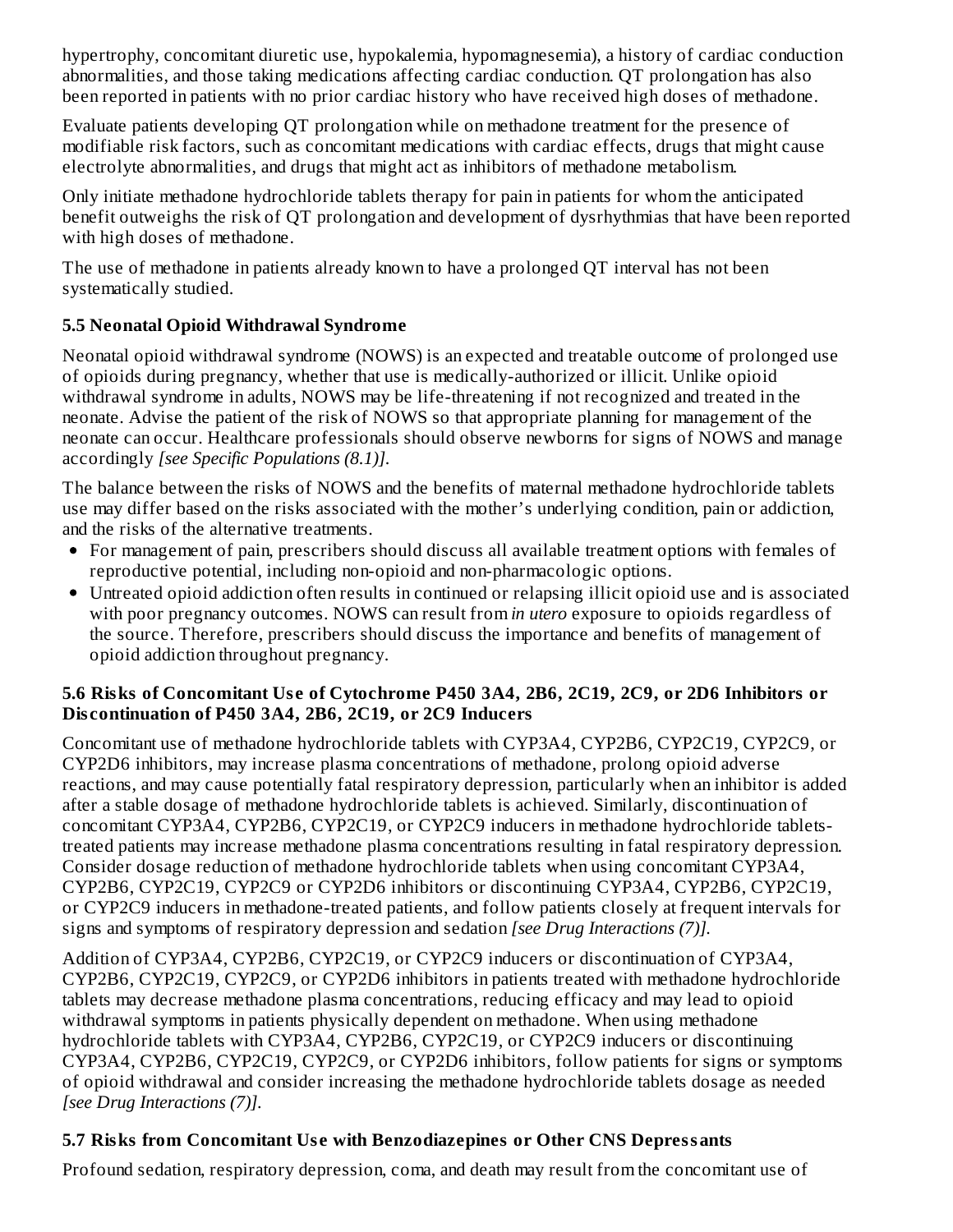hypertrophy, concomitant diuretic use, hypokalemia, hypomagnesemia), a history of cardiac conduction abnormalities, and those taking medications affecting cardiac conduction. QT prolongation has also been reported in patients with no prior cardiac history who have received high doses of methadone.

Evaluate patients developing QT prolongation while on methadone treatment for the presence of modifiable risk factors, such as concomitant medications with cardiac effects, drugs that might cause electrolyte abnormalities, and drugs that might act as inhibitors of methadone metabolism.

Only initiate methadone hydrochloride tablets therapy for pain in patients for whom the anticipated benefit outweighs the risk of QT prolongation and development of dysrhythmias that have been reported with high doses of methadone.

The use of methadone in patients already known to have a prolonged QT interval has not been systematically studied.

# **5.5 Neonatal Opioid Withdrawal Syndrome**

Neonatal opioid withdrawal syndrome (NOWS) is an expected and treatable outcome of prolonged use of opioids during pregnancy, whether that use is medically-authorized or illicit. Unlike opioid withdrawal syndrome in adults, NOWS may be life-threatening if not recognized and treated in the neonate. Advise the patient of the risk of NOWS so that appropriate planning for management of the neonate can occur. Healthcare professionals should observe newborns for signs of NOWS and manage accordingly *[see Specific Populations (8.1)].*

The balance between the risks of NOWS and the benefits of maternal methadone hydrochloride tablets use may differ based on the risks associated with the mother's underlying condition, pain or addiction, and the risks of the alternative treatments.

- For management of pain, prescribers should discuss all available treatment options with females of reproductive potential, including non-opioid and non-pharmacologic options.
- Untreated opioid addiction often results in continued or relapsing illicit opioid use and is associated with poor pregnancy outcomes. NOWS can result from *in utero* exposure to opioids regardless of the source. Therefore, prescribers should discuss the importance and benefits of management of opioid addiction throughout pregnancy.

## **5.6 Risks of Concomitant Us e of Cytochrome P450 3A4, 2B6, 2C19, 2C9, or 2D6 Inhibitors or Dis continuation of P450 3A4, 2B6, 2C19, or 2C9 Inducers**

Concomitant use of methadone hydrochloride tablets with CYP3A4, CYP2B6, CYP2C19, CYP2C9, or CYP2D6 inhibitors, may increase plasma concentrations of methadone, prolong opioid adverse reactions, and may cause potentially fatal respiratory depression, particularly when an inhibitor is added after a stable dosage of methadone hydrochloride tablets is achieved. Similarly, discontinuation of concomitant CYP3A4, CYP2B6, CYP2C19, or CYP2C9 inducers in methadone hydrochloride tabletstreated patients may increase methadone plasma concentrations resulting in fatal respiratory depression. Consider dosage reduction of methadone hydrochloride tablets when using concomitant CYP3A4, CYP2B6, CYP2C19, CYP2C9 or CYP2D6 inhibitors or discontinuing CYP3A4, CYP2B6, CYP2C19, or CYP2C9 inducers in methadone-treated patients, and follow patients closely at frequent intervals for signs and symptoms of respiratory depression and sedation *[see Drug Interactions (7)].*

Addition of CYP3A4, CYP2B6, CYP2C19, or CYP2C9 inducers or discontinuation of CYP3A4, CYP2B6, CYP2C19, CYP2C9, or CYP2D6 inhibitors in patients treated with methadone hydrochloride tablets may decrease methadone plasma concentrations, reducing efficacy and may lead to opioid withdrawal symptoms in patients physically dependent on methadone. When using methadone hydrochloride tablets with CYP3A4, CYP2B6, CYP2C19, or CYP2C9 inducers or discontinuing CYP3A4, CYP2B6, CYP2C19, CYP2C9, or CYP2D6 inhibitors, follow patients for signs or symptoms of opioid withdrawal and consider increasing the methadone hydrochloride tablets dosage as needed *[see Drug Interactions (7)].*

# **5.7 Risks from Concomitant Us e with Benzodiazepines or Other CNS Depressants**

Profound sedation, respiratory depression, coma, and death may result from the concomitant use of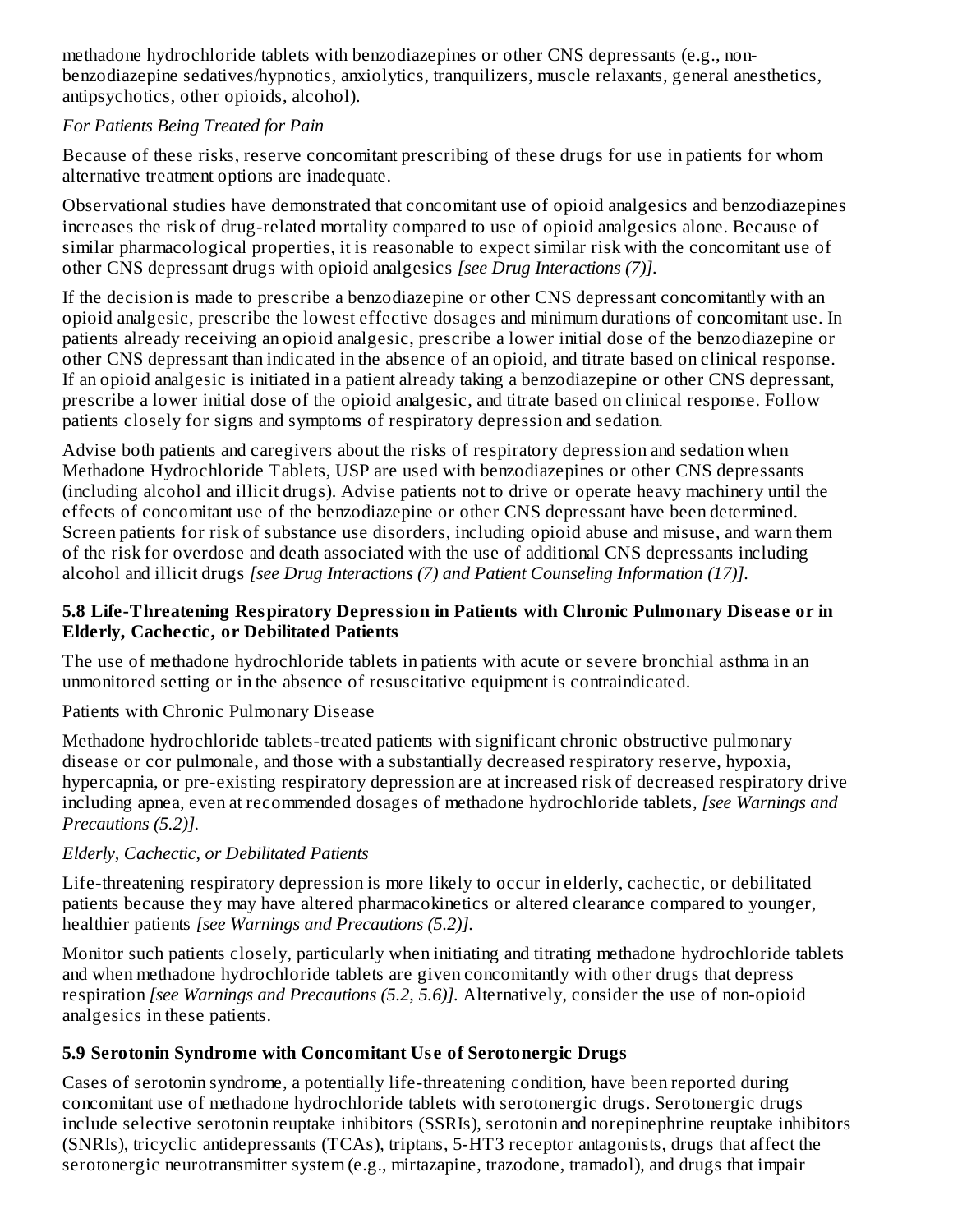methadone hydrochloride tablets with benzodiazepines or other CNS depressants (e.g., nonbenzodiazepine sedatives/hypnotics, anxiolytics, tranquilizers, muscle relaxants, general anesthetics, antipsychotics, other opioids, alcohol).

### *For Patients Being Treated for Pain*

Because of these risks, reserve concomitant prescribing of these drugs for use in patients for whom alternative treatment options are inadequate.

Observational studies have demonstrated that concomitant use of opioid analgesics and benzodiazepines increases the risk of drug-related mortality compared to use of opioid analgesics alone. Because of similar pharmacological properties, it is reasonable to expect similar risk with the concomitant use of other CNS depressant drugs with opioid analgesics *[see Drug Interactions (7)].*

If the decision is made to prescribe a benzodiazepine or other CNS depressant concomitantly with an opioid analgesic, prescribe the lowest effective dosages and minimum durations of concomitant use. In patients already receiving an opioid analgesic, prescribe a lower initial dose of the benzodiazepine or other CNS depressant than indicated in the absence of an opioid, and titrate based on clinical response. If an opioid analgesic is initiated in a patient already taking a benzodiazepine or other CNS depressant, prescribe a lower initial dose of the opioid analgesic, and titrate based on clinical response. Follow patients closely for signs and symptoms of respiratory depression and sedation.

Advise both patients and caregivers about the risks of respiratory depression and sedation when Methadone Hydrochloride Tablets, USP are used with benzodiazepines or other CNS depressants (including alcohol and illicit drugs). Advise patients not to drive or operate heavy machinery until the effects of concomitant use of the benzodiazepine or other CNS depressant have been determined. Screen patients for risk of substance use disorders, including opioid abuse and misuse, and warn them of the risk for overdose and death associated with the use of additional CNS depressants including alcohol and illicit drugs *[see Drug Interactions (7) and Patient Counseling Information (17)].*

## **5.8 Life-Threatening Respiratory Depression in Patients with Chronic Pulmonary Dis eas e or in Elderly, Cachectic, or Debilitated Patients**

The use of methadone hydrochloride tablets in patients with acute or severe bronchial asthma in an unmonitored setting or in the absence of resuscitative equipment is contraindicated.

# Patients with Chronic Pulmonary Disease

Methadone hydrochloride tablets-treated patients with significant chronic obstructive pulmonary disease or cor pulmonale, and those with a substantially decreased respiratory reserve, hypoxia, hypercapnia, or pre-existing respiratory depression are at increased risk of decreased respiratory drive including apnea, even at recommended dosages of methadone hydrochloride tablets, *[see Warnings and Precautions (5.2)].*

# *Elderly, Cachectic, or Debilitated Patients*

Life-threatening respiratory depression is more likely to occur in elderly, cachectic, or debilitated patients because they may have altered pharmacokinetics or altered clearance compared to younger, healthier patients *[see Warnings and Precautions (5.2)].*

Monitor such patients closely, particularly when initiating and titrating methadone hydrochloride tablets and when methadone hydrochloride tablets are given concomitantly with other drugs that depress respiration *[see Warnings and Precautions (5.2, 5.6)].* Alternatively, consider the use of non-opioid analgesics in these patients.

# **5.9 Serotonin Syndrome with Concomitant Us e of Serotonergic Drugs**

Cases of serotonin syndrome, a potentially life-threatening condition, have been reported during concomitant use of methadone hydrochloride tablets with serotonergic drugs. Serotonergic drugs include selective serotonin reuptake inhibitors (SSRIs), serotonin and norepinephrine reuptake inhibitors (SNRIs), tricyclic antidepressants (TCAs), triptans, 5-HT3 receptor antagonists, drugs that affect the serotonergic neurotransmitter system (e.g., mirtazapine, trazodone, tramadol), and drugs that impair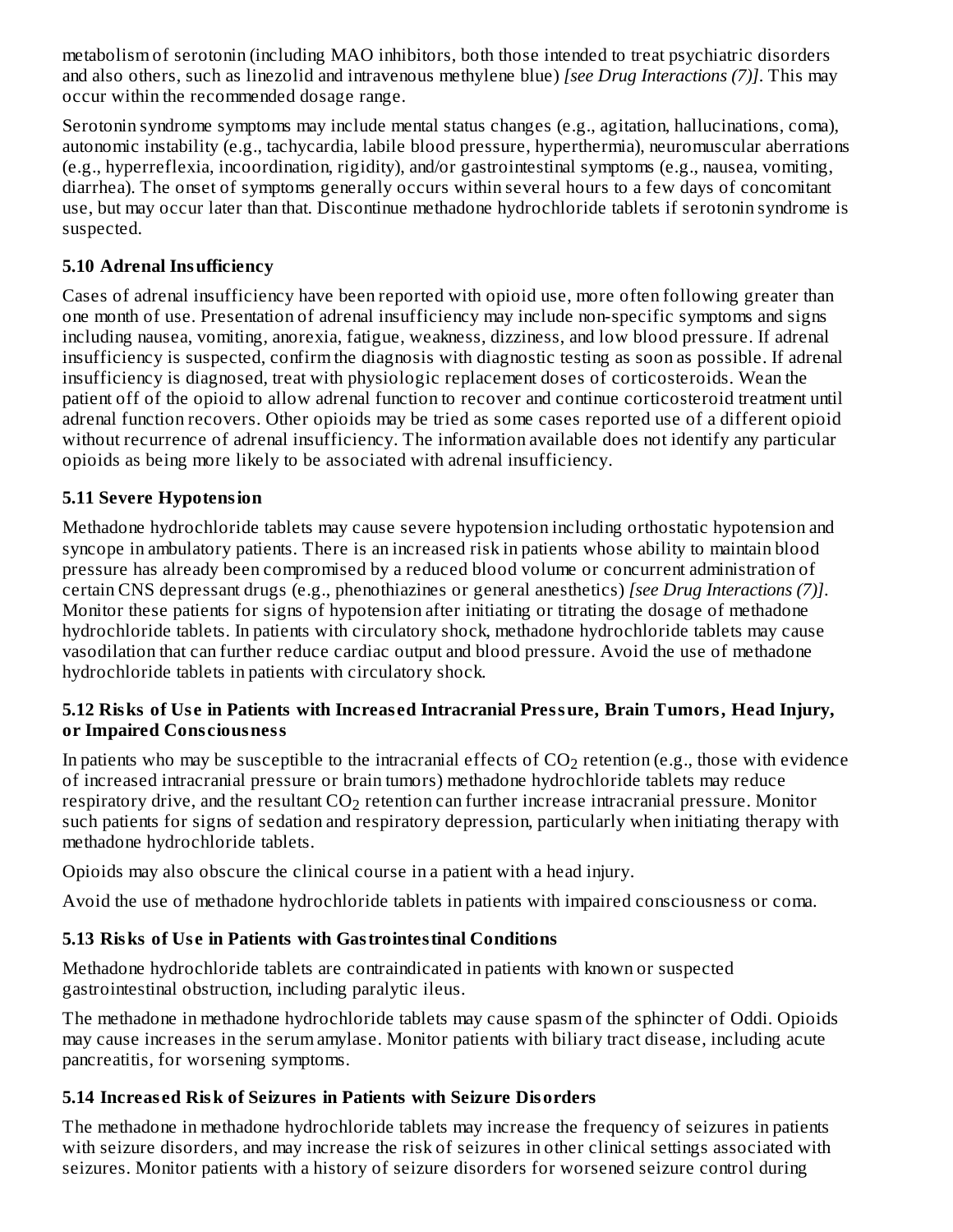metabolism of serotonin (including MAO inhibitors, both those intended to treat psychiatric disorders and also others, such as linezolid and intravenous methylene blue) *[see Drug Interactions (7)]*. This may occur within the recommended dosage range.

Serotonin syndrome symptoms may include mental status changes (e.g., agitation, hallucinations, coma), autonomic instability (e.g., tachycardia, labile blood pressure, hyperthermia), neuromuscular aberrations (e.g., hyperreflexia, incoordination, rigidity), and/or gastrointestinal symptoms (e.g., nausea, vomiting, diarrhea). The onset of symptoms generally occurs within several hours to a few days of concomitant use, but may occur later than that. Discontinue methadone hydrochloride tablets if serotonin syndrome is suspected.

# **5.10 Adrenal Insufficiency**

Cases of adrenal insufficiency have been reported with opioid use, more often following greater than one month of use. Presentation of adrenal insufficiency may include non-specific symptoms and signs including nausea, vomiting, anorexia, fatigue, weakness, dizziness, and low blood pressure. If adrenal insufficiency is suspected, confirm the diagnosis with diagnostic testing as soon as possible. If adrenal insufficiency is diagnosed, treat with physiologic replacement doses of corticosteroids. Wean the patient off of the opioid to allow adrenal function to recover and continue corticosteroid treatment until adrenal function recovers. Other opioids may be tried as some cases reported use of a different opioid without recurrence of adrenal insufficiency. The information available does not identify any particular opioids as being more likely to be associated with adrenal insufficiency.

## **5.11 Severe Hypotension**

Methadone hydrochloride tablets may cause severe hypotension including orthostatic hypotension and syncope in ambulatory patients. There is an increased risk in patients whose ability to maintain blood pressure has already been compromised by a reduced blood volume or concurrent administration of certain CNS depressant drugs (e.g., phenothiazines or general anesthetics) *[see Drug Interactions (7)]*. Monitor these patients for signs of hypotension after initiating or titrating the dosage of methadone hydrochloride tablets. In patients with circulatory shock, methadone hydrochloride tablets may cause vasodilation that can further reduce cardiac output and blood pressure. Avoid the use of methadone hydrochloride tablets in patients with circulatory shock.

## **5.12 Risks of Us e in Patients with Increas ed Intracranial Pressure, Brain Tumors, Head Injury, or Impaired Cons ciousness**

In patients who may be susceptible to the intracranial effects of  $CO_2$  retention (e.g., those with evidence of increased intracranial pressure or brain tumors) methadone hydrochloride tablets may reduce respiratory drive, and the resultant  ${\rm CO}_2$  retention can further increase intracranial pressure. Monitor such patients for signs of sedation and respiratory depression, particularly when initiating therapy with methadone hydrochloride tablets.

Opioids may also obscure the clinical course in a patient with a head injury.

Avoid the use of methadone hydrochloride tablets in patients with impaired consciousness or coma.

# **5.13 Risks of Us e in Patients with Gastrointestinal Conditions**

Methadone hydrochloride tablets are contraindicated in patients with known or suspected gastrointestinal obstruction, including paralytic ileus.

The methadone in methadone hydrochloride tablets may cause spasm of the sphincter of Oddi. Opioids may cause increases in the serum amylase. Monitor patients with biliary tract disease, including acute pancreatitis, for worsening symptoms.

# **5.14 Increas ed Risk of Seizures in Patients with Seizure Disorders**

The methadone in methadone hydrochloride tablets may increase the frequency of seizures in patients with seizure disorders, and may increase the risk of seizures in other clinical settings associated with seizures. Monitor patients with a history of seizure disorders for worsened seizure control during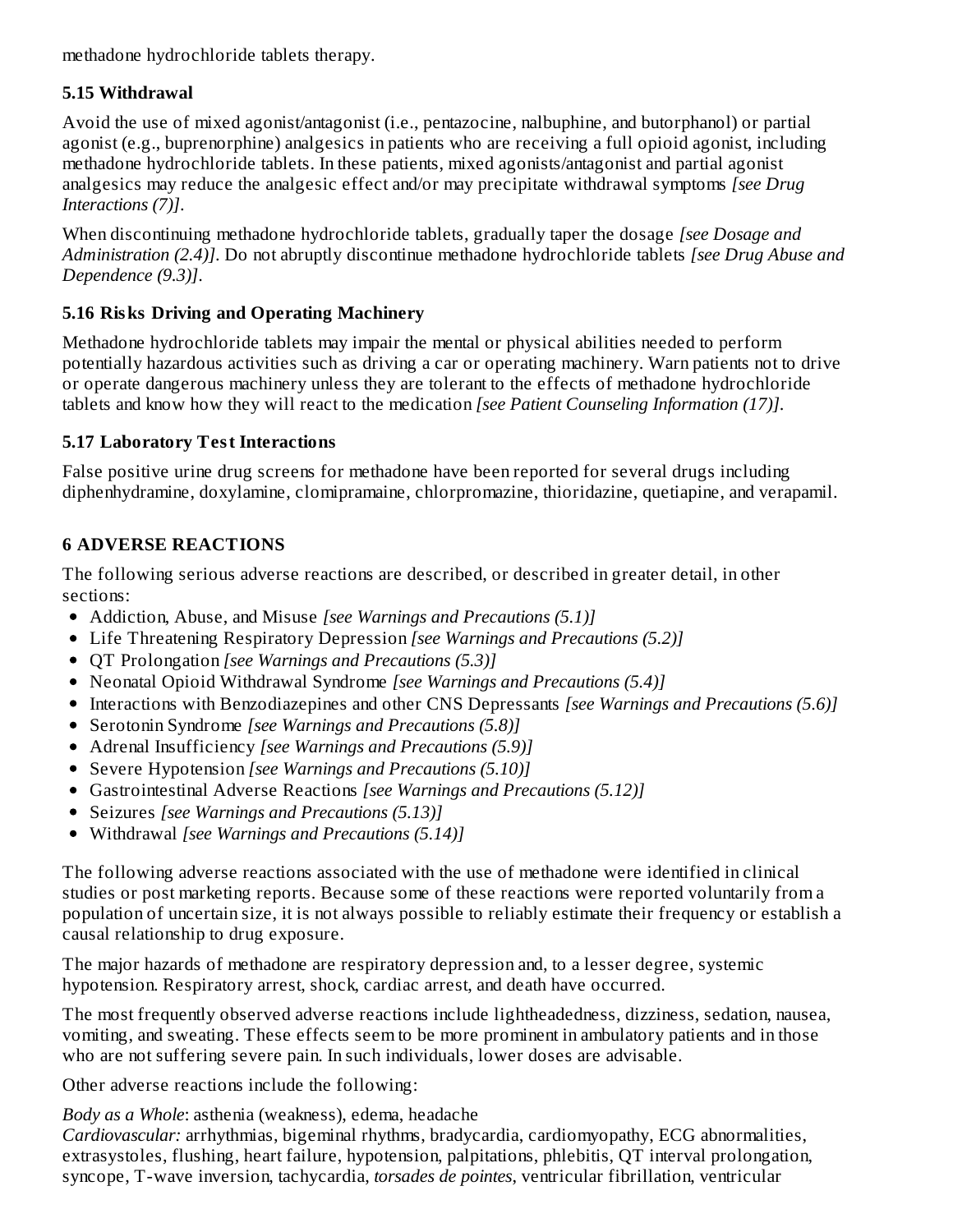methadone hydrochloride tablets therapy.

# **5.15 Withdrawal**

Avoid the use of mixed agonist/antagonist (i.e., pentazocine, nalbuphine, and butorphanol) or partial agonist (e.g., buprenorphine) analgesics in patients who are receiving a full opioid agonist, including methadone hydrochloride tablets. In these patients, mixed agonists/antagonist and partial agonist analgesics may reduce the analgesic effect and/or may precipitate withdrawal symptoms *[see Drug Interactions (7)]*.

When discontinuing methadone hydrochloride tablets, gradually taper the dosage *[see Dosage and Administration (2.4)]*. Do not abruptly discontinue methadone hydrochloride tablets *[see Drug Abuse and Dependence (9.3)]*.

# **5.16 Risks Driving and Operating Machinery**

Methadone hydrochloride tablets may impair the mental or physical abilities needed to perform potentially hazardous activities such as driving a car or operating machinery. Warn patients not to drive or operate dangerous machinery unless they are tolerant to the effects of methadone hydrochloride tablets and know how they will react to the medication *[see Patient Counseling Information (17)]*.

# **5.17 Laboratory Test Interactions**

False positive urine drug screens for methadone have been reported for several drugs including diphenhydramine, doxylamine, clomipramaine, chlorpromazine, thioridazine, quetiapine, and verapamil.

# **6 ADVERSE REACTIONS**

The following serious adverse reactions are described, or described in greater detail, in other sections:

- Addiction, Abuse, and Misuse *[see Warnings and Precautions (5.1)]*
- Life Threatening Respiratory Depression *[see Warnings and Precautions (5.2)]*
- QT Prolongation *[see Warnings and Precautions (5.3)]*
- Neonatal Opioid Withdrawal Syndrome *[see Warnings and Precautions (5.4)]*
- Interactions with Benzodiazepines and other CNS Depressants *[see Warnings and Precautions (5.6)]*
- Serotonin Syndrome *[see Warnings and Precautions (5.8)]*
- Adrenal Insufficiency *[see Warnings and Precautions (5.9)]*
- Severe Hypotension *[see Warnings and Precautions (5.10)]*
- Gastrointestinal Adverse Reactions *[see Warnings and Precautions (5.12)]*
- Seizures *[see Warnings and Precautions (5.13)]*
- Withdrawal *[see Warnings and Precautions (5.14)]*

The following adverse reactions associated with the use of methadone were identified in clinical studies or post marketing reports. Because some of these reactions were reported voluntarily from a population of uncertain size, it is not always possible to reliably estimate their frequency or establish a causal relationship to drug exposure.

The major hazards of methadone are respiratory depression and, to a lesser degree, systemic hypotension. Respiratory arrest, shock, cardiac arrest, and death have occurred.

The most frequently observed adverse reactions include lightheadedness, dizziness, sedation, nausea, vomiting, and sweating. These effects seem to be more prominent in ambulatory patients and in those who are not suffering severe pain. In such individuals, lower doses are advisable.

Other adverse reactions include the following:

*Body as a Whole*: asthenia (weakness), edema, headache

*Cardiovascular:* arrhythmias, bigeminal rhythms, bradycardia, cardiomyopathy, ECG abnormalities, extrasystoles, flushing, heart failure, hypotension, palpitations, phlebitis, QT interval prolongation, syncope, T-wave inversion, tachycardia, *torsades de pointes*, ventricular fibrillation, ventricular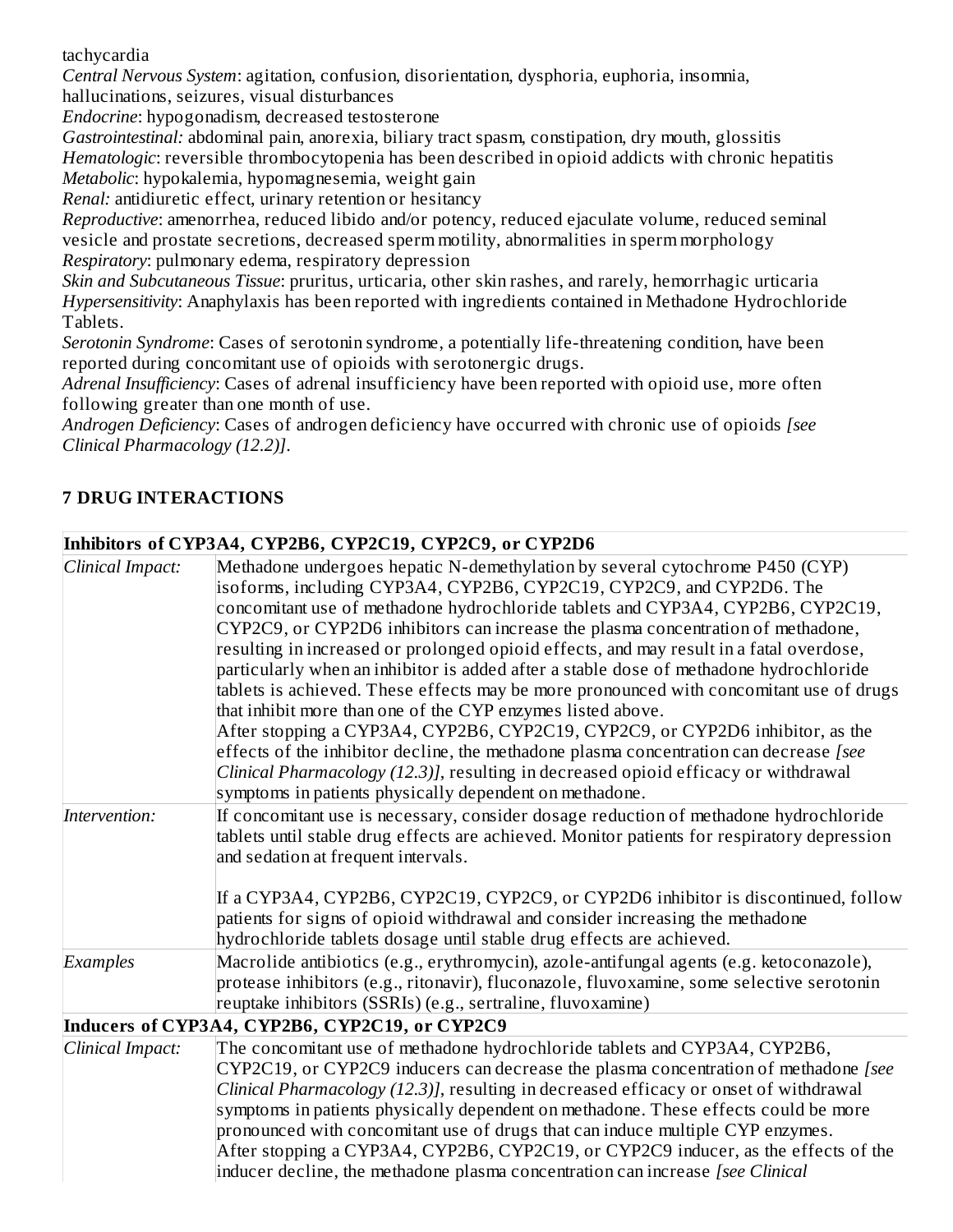tachycardia

*Central Nervous System*: agitation, confusion, disorientation, dysphoria, euphoria, insomnia, hallucinations, seizures, visual disturbances

*Endocrine*: hypogonadism, decreased testosterone

*Gastrointestinal:* abdominal pain, anorexia, biliary tract spasm, constipation, dry mouth, glossitis *Hematologic*: reversible thrombocytopenia has been described in opioid addicts with chronic hepatitis *Metabolic*: hypokalemia, hypomagnesemia, weight gain

*Renal:* antidiuretic effect, urinary retention or hesitancy

*Reproductive*: amenorrhea, reduced libido and/or potency, reduced ejaculate volume, reduced seminal vesicle and prostate secretions, decreased sperm motility, abnormalities in sperm morphology *Respiratory*: pulmonary edema, respiratory depression

*Skin and Subcutaneous Tissue*: pruritus, urticaria, other skin rashes, and rarely, hemorrhagic urticaria *Hypersensitivity*: Anaphylaxis has been reported with ingredients contained in Methadone Hydrochloride Tablets.

*Serotonin Syndrome*: Cases of serotonin syndrome, a potentially life-threatening condition, have been reported during concomitant use of opioids with serotonergic drugs.

*Adrenal Insufficiency*: Cases of adrenal insufficiency have been reported with opioid use, more often following greater than one month of use.

*Androgen Deficiency*: Cases of androgen deficiency have occurred with chronic use of opioids *[see Clinical Pharmacology (12.2)]*.

| <b>7 DRUG INTERACTIONS</b> |
|----------------------------|
|----------------------------|

|                  | Inhibitors of CYP3A4, CYP2B6, CYP2C19, CYP2C9, or CYP2D6                                                                                                                                                                                                                                                                                                                                                                                                                                                                                                                                                                                                                                                                                                                                                                                                                                                                                                                                                |
|------------------|---------------------------------------------------------------------------------------------------------------------------------------------------------------------------------------------------------------------------------------------------------------------------------------------------------------------------------------------------------------------------------------------------------------------------------------------------------------------------------------------------------------------------------------------------------------------------------------------------------------------------------------------------------------------------------------------------------------------------------------------------------------------------------------------------------------------------------------------------------------------------------------------------------------------------------------------------------------------------------------------------------|
| Clinical Impact: | Methadone undergoes hepatic N-demethylation by several cytochrome P450 (CYP)<br>isoforms, including CYP3A4, CYP2B6, CYP2C19, CYP2C9, and CYP2D6. The<br>concomitant use of methadone hydrochloride tablets and CYP3A4, CYP2B6, CYP2C19,<br>CYP2C9, or CYP2D6 inhibitors can increase the plasma concentration of methadone,<br>resulting in increased or prolonged opioid effects, and may result in a fatal overdose,<br>particularly when an inhibitor is added after a stable dose of methadone hydrochloride<br>tablets is achieved. These effects may be more pronounced with concomitant use of drugs<br>that inhibit more than one of the CYP enzymes listed above.<br>After stopping a CYP3A4, CYP2B6, CYP2C19, CYP2C9, or CYP2D6 inhibitor, as the<br>effects of the inhibitor decline, the methadone plasma concentration can decrease [see<br>Clinical Pharmacology (12.3)], resulting in decreased opioid efficacy or withdrawal<br>symptoms in patients physically dependent on methadone. |
| Intervention:    | If concomitant use is necessary, consider dosage reduction of methadone hydrochloride<br>tablets until stable drug effects are achieved. Monitor patients for respiratory depression<br>and sedation at frequent intervals.<br>If a CYP3A4, CYP2B6, CYP2C19, CYP2C9, or CYP2D6 inhibitor is discontinued, follow<br>patients for signs of opioid withdrawal and consider increasing the methadone<br>hydrochloride tablets dosage until stable drug effects are achieved.                                                                                                                                                                                                                                                                                                                                                                                                                                                                                                                               |
| Examples         | Macrolide antibiotics (e.g., erythromycin), azole-antifungal agents (e.g. ketoconazole),<br>protease inhibitors (e.g., ritonavir), fluconazole, fluvoxamine, some selective serotonin<br>reuptake inhibitors (SSRIs) (e.g., sertraline, fluvoxamine)                                                                                                                                                                                                                                                                                                                                                                                                                                                                                                                                                                                                                                                                                                                                                    |
|                  | Inducers of CYP3A4, CYP2B6, CYP2C19, or CYP2C9                                                                                                                                                                                                                                                                                                                                                                                                                                                                                                                                                                                                                                                                                                                                                                                                                                                                                                                                                          |
| Clinical Impact: | The concomitant use of methadone hydrochloride tablets and CYP3A4, CYP2B6,<br>CYP2C19, or CYP2C9 inducers can decrease the plasma concentration of methadone [see<br>Clinical Pharmacology (12.3)], resulting in decreased efficacy or onset of withdrawal<br>symptoms in patients physically dependent on methadone. These effects could be more<br>pronounced with concomitant use of drugs that can induce multiple CYP enzymes.<br>After stopping a CYP3A4, CYP2B6, CYP2C19, or CYP2C9 inducer, as the effects of the<br>inducer decline, the methadone plasma concentration can increase [see Clinical]                                                                                                                                                                                                                                                                                                                                                                                            |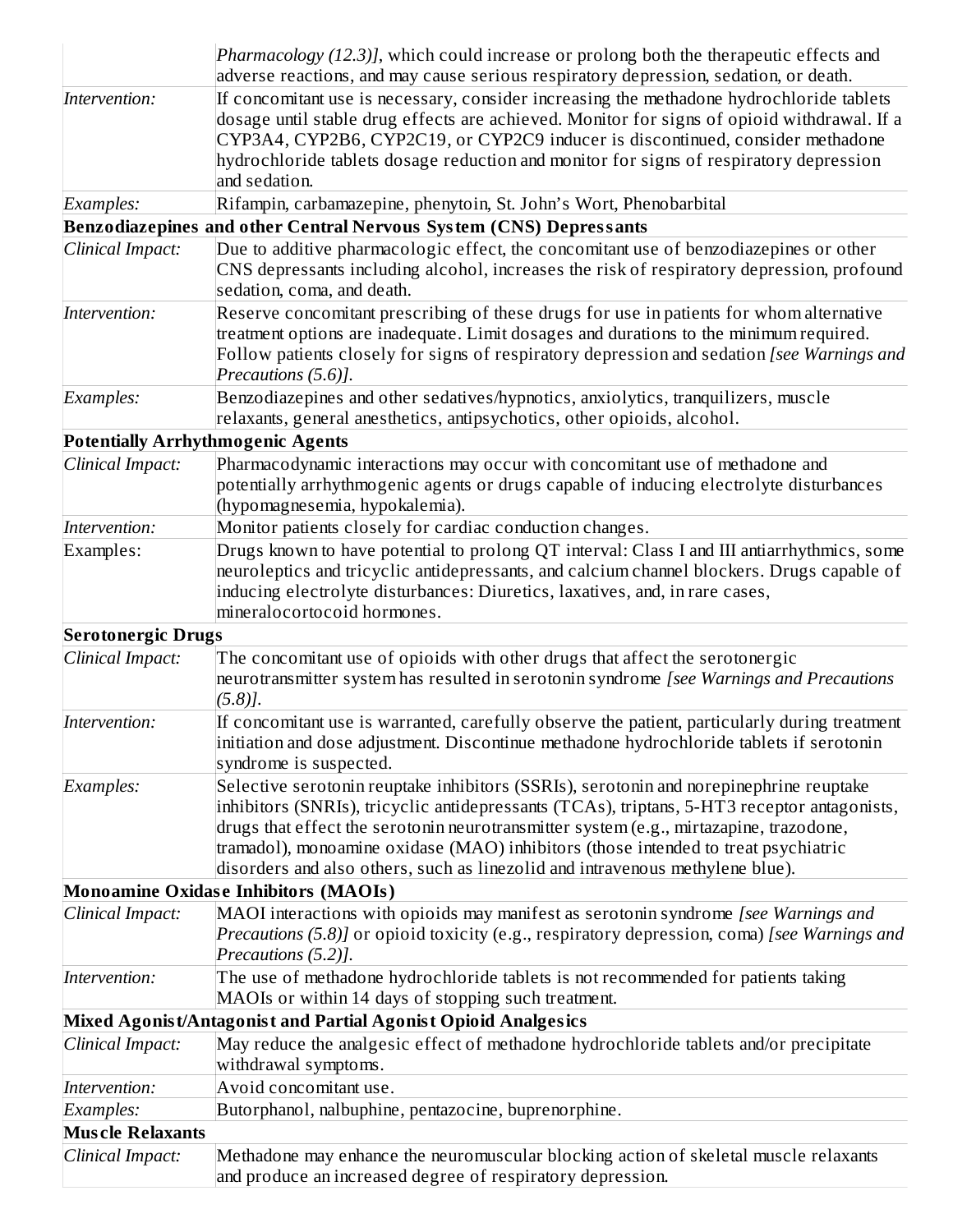|                                          | Pharmacology (12.3)], which could increase or prolong both the therapeutic effects and                                                                                                                                                                                                                                                                                                                                                                 |
|------------------------------------------|--------------------------------------------------------------------------------------------------------------------------------------------------------------------------------------------------------------------------------------------------------------------------------------------------------------------------------------------------------------------------------------------------------------------------------------------------------|
| Intervention:                            | adverse reactions, and may cause serious respiratory depression, sedation, or death.<br>If concomitant use is necessary, consider increasing the methadone hydrochloride tablets<br>dosage until stable drug effects are achieved. Monitor for signs of opioid withdrawal. If a<br>CYP3A4, CYP2B6, CYP2C19, or CYP2C9 inducer is discontinued, consider methadone                                                                                      |
|                                          | hydrochloride tablets dosage reduction and monitor for signs of respiratory depression<br>and sedation.                                                                                                                                                                                                                                                                                                                                                |
| Examples:                                | Rifampin, carbamazepine, phenytoin, St. John's Wort, Phenobarbital                                                                                                                                                                                                                                                                                                                                                                                     |
|                                          | Benzodiazepines and other Central Nervous System (CNS) Depressants                                                                                                                                                                                                                                                                                                                                                                                     |
| Clinical Impact:                         | Due to additive pharmacologic effect, the concomitant use of benzodiazepines or other<br>CNS depressants including alcohol, increases the risk of respiratory depression, profound<br>sedation, coma, and death.                                                                                                                                                                                                                                       |
| Intervention:                            | Reserve concomitant prescribing of these drugs for use in patients for whom alternative<br>treatment options are inadequate. Limit dosages and durations to the minimum required.<br>Follow patients closely for signs of respiratory depression and sedation [see Warnings and<br>Precautions (5.6)].                                                                                                                                                 |
| Examples:                                | Benzodiazepines and other sedatives/hypnotics, anxiolytics, tranquilizers, muscle<br>relaxants, general anesthetics, antipsychotics, other opioids, alcohol.                                                                                                                                                                                                                                                                                           |
| <b>Potentially Arrhythmogenic Agents</b> |                                                                                                                                                                                                                                                                                                                                                                                                                                                        |
| Clinical Impact:                         | Pharmacodynamic interactions may occur with concomitant use of methadone and<br>potentially arrhythmogenic agents or drugs capable of inducing electrolyte disturbances<br>(hypomagnesemia, hypokalemia).                                                                                                                                                                                                                                              |
| Intervention:                            | Monitor patients closely for cardiac conduction changes.                                                                                                                                                                                                                                                                                                                                                                                               |
| Examples:                                | Drugs known to have potential to prolong QT interval: Class I and III antiarrhythmics, some<br>neuroleptics and tricyclic antidepressants, and calcium channel blockers. Drugs capable of<br>inducing electrolyte disturbances: Diuretics, laxatives, and, in rare cases,<br>mineralocortocoid hormones.                                                                                                                                               |
| <b>Serotonergic Drugs</b>                |                                                                                                                                                                                                                                                                                                                                                                                                                                                        |
| Clinical Impact:                         | The concomitant use of opioids with other drugs that affect the serotonergic                                                                                                                                                                                                                                                                                                                                                                           |
|                                          | neurotransmitter system has resulted in serotonin syndrome [see Warnings and Precautions<br>$(5.8)$ ].                                                                                                                                                                                                                                                                                                                                                 |
| Intervention:                            | If concomitant use is warranted, carefully observe the patient, particularly during treatment<br>initiation and dose adjustment. Discontinue methadone hydrochloride tablets if serotonin<br>syndrome is suspected.                                                                                                                                                                                                                                    |
| Examples:                                | Selective serotonin reuptake inhibitors (SSRIs), serotonin and norepinephrine reuptake<br>inhibitors (SNRIs), tricyclic antidepressants (TCAs), triptans, 5-HT3 receptor antagonists,<br>drugs that effect the serotonin neurotransmitter system (e.g., mirtazapine, trazodone,<br>tramadol), monoamine oxidase (MAO) inhibitors (those intended to treat psychiatric<br>disorders and also others, such as linezolid and intravenous methylene blue). |
|                                          | <b>Monoamine Oxidase Inhibitors (MAOIs)</b>                                                                                                                                                                                                                                                                                                                                                                                                            |
| Clinical Impact:                         | MAOI interactions with opioids may manifest as serotonin syndrome [see Warnings and<br>Precautions (5.8)] or opioid toxicity (e.g., respiratory depression, coma) [see Warnings and<br>Precautions (5.2)].                                                                                                                                                                                                                                             |
| Intervention:                            | The use of methadone hydrochloride tablets is not recommended for patients taking<br>MAOIs or within 14 days of stopping such treatment.                                                                                                                                                                                                                                                                                                               |
|                                          | Mixed Agonist/Antagonist and Partial Agonist Opioid Analgesics                                                                                                                                                                                                                                                                                                                                                                                         |
| Clinical Impact:                         | May reduce the analgesic effect of methadone hydrochloride tablets and/or precipitate<br>withdrawal symptoms.                                                                                                                                                                                                                                                                                                                                          |
| Intervention:                            | Avoid concomitant use.                                                                                                                                                                                                                                                                                                                                                                                                                                 |
| Examples:                                | Butorphanol, nalbuphine, pentazocine, buprenorphine.                                                                                                                                                                                                                                                                                                                                                                                                   |
| <b>Muscle Relaxants</b>                  |                                                                                                                                                                                                                                                                                                                                                                                                                                                        |
| Clinical Impact:                         | Methadone may enhance the neuromuscular blocking action of skeletal muscle relaxants<br>and produce an increased degree of respiratory depression.                                                                                                                                                                                                                                                                                                     |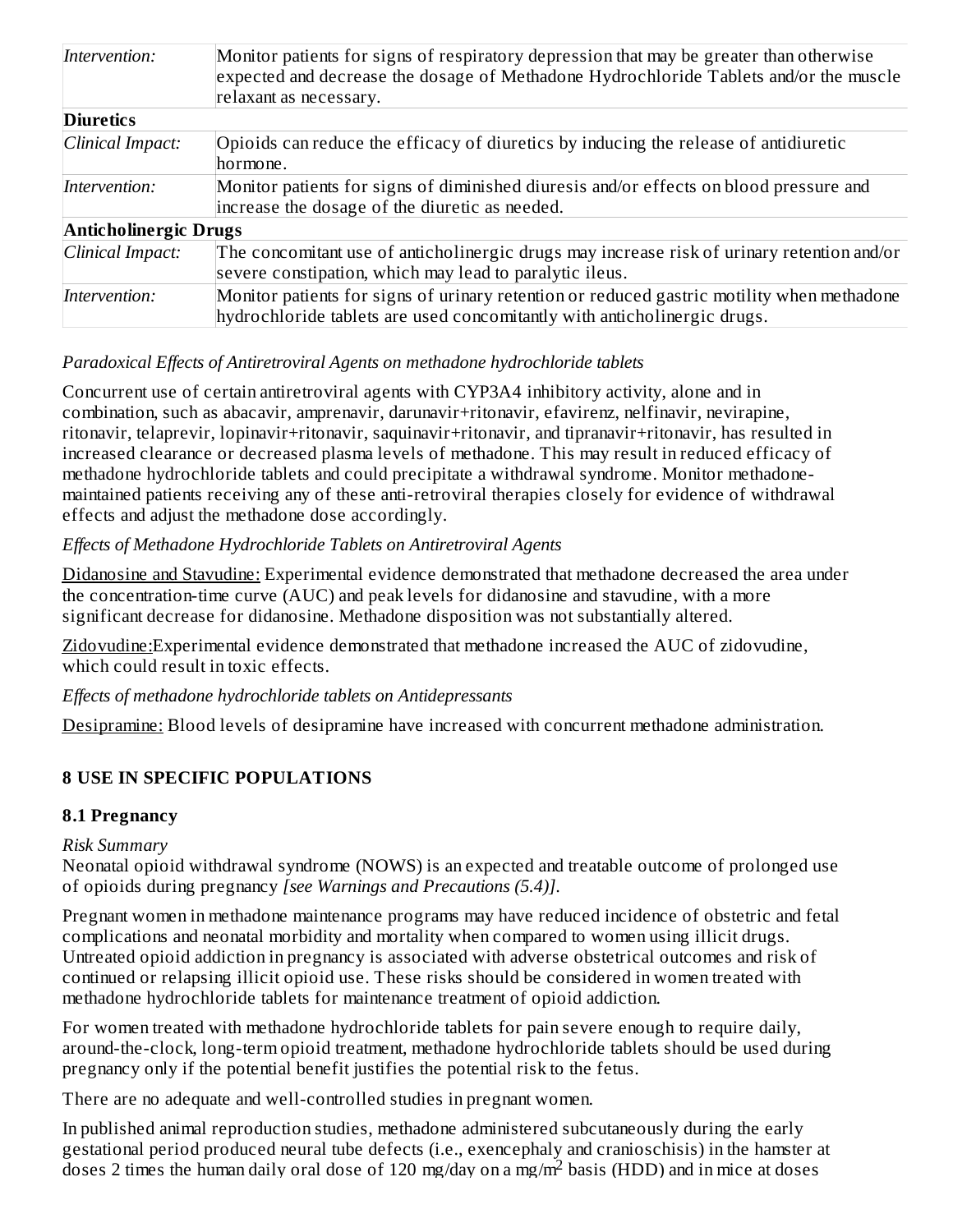| Intervention:                | Monitor patients for signs of respiratory depression that may be greater than otherwise<br>expected and decrease the dosage of Methadone Hydrochloride Tablets and/or the muscle<br>relaxant as necessary. |  |  |
|------------------------------|------------------------------------------------------------------------------------------------------------------------------------------------------------------------------------------------------------|--|--|
| <b>Diuretics</b>             |                                                                                                                                                                                                            |  |  |
| Clinical Impact:             | Opioids can reduce the efficacy of diuretics by inducing the release of antidiuretic<br>lhormone.                                                                                                          |  |  |
| Intervention:                | Monitor patients for signs of diminished diuresis and/or effects on blood pressure and<br>increase the dosage of the diuretic as needed.                                                                   |  |  |
| <b>Anticholinergic Drugs</b> |                                                                                                                                                                                                            |  |  |
| Clinical Impact:             | The concomitant use of anticholinergic drugs may increase risk of urinary retention and/or<br>severe constipation, which may lead to paralytic ileus.                                                      |  |  |
| Intervention:                | Monitor patients for signs of urinary retention or reduced gastric motility when methadone<br>hydrochloride tablets are used concomitantly with anticholinergic drugs.                                     |  |  |

# *Paradoxical Effects of Antiretroviral Agents on methadone hydrochloride tablets*

Concurrent use of certain antiretroviral agents with CYP3A4 inhibitory activity, alone and in combination, such as abacavir, amprenavir, darunavir+ritonavir, efavirenz, nelfinavir, nevirapine, ritonavir, telaprevir, lopinavir+ritonavir, saquinavir+ritonavir, and tipranavir+ritonavir, has resulted in increased clearance or decreased plasma levels of methadone. This may result in reduced efficacy of methadone hydrochloride tablets and could precipitate a withdrawal syndrome. Monitor methadonemaintained patients receiving any of these anti-retroviral therapies closely for evidence of withdrawal effects and adjust the methadone dose accordingly.

### *Effects of Methadone Hydrochloride Tablets on Antiretroviral Agents*

Didanosine and Stavudine: Experimental evidence demonstrated that methadone decreased the area under the concentration-time curve (AUC) and peak levels for didanosine and stavudine, with a more significant decrease for didanosine. Methadone disposition was not substantially altered.

Zidovudine:Experimental evidence demonstrated that methadone increased the AUC of zidovudine, which could result in toxic effects.

### *Effects of methadone hydrochloride tablets on Antidepressants*

Desipramine: Blood levels of desipramine have increased with concurrent methadone administration.

# **8 USE IN SPECIFIC POPULATIONS**

### **8.1 Pregnancy**

### *Risk Summary*

Neonatal opioid withdrawal syndrome (NOWS) is an expected and treatable outcome of prolonged use of opioids during pregnancy *[see Warnings and Precautions (5.4)]*.

Pregnant women in methadone maintenance programs may have reduced incidence of obstetric and fetal complications and neonatal morbidity and mortality when compared to women using illicit drugs. Untreated opioid addiction in pregnancy is associated with adverse obstetrical outcomes and risk of continued or relapsing illicit opioid use. These risks should be considered in women treated with methadone hydrochloride tablets for maintenance treatment of opioid addiction.

For women treated with methadone hydrochloride tablets for pain severe enough to require daily, around-the-clock, long-term opioid treatment, methadone hydrochloride tablets should be used during pregnancy only if the potential benefit justifies the potential risk to the fetus.

There are no adequate and well-controlled studies in pregnant women.

In published animal reproduction studies, methadone administered subcutaneously during the early gestational period produced neural tube defects (i.e., exencephaly and cranioschisis) in the hamster at doses 2 times the human daily oral dose of 120 mg/day on a mg/m<sup>2</sup> basis (HDD) and in mice at doses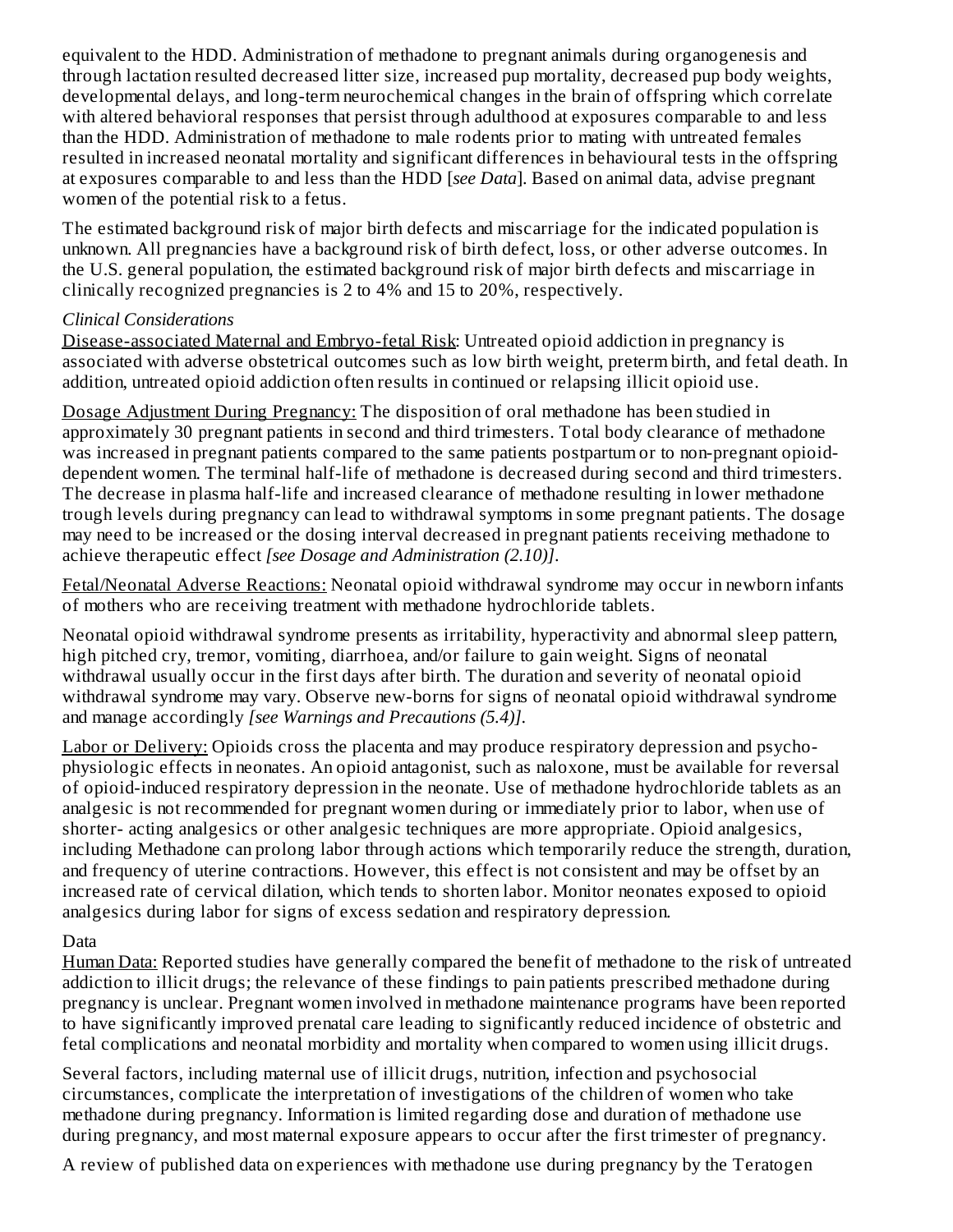equivalent to the HDD. Administration of methadone to pregnant animals during organogenesis and through lactation resulted decreased litter size, increased pup mortality, decreased pup body weights, developmental delays, and long-term neurochemical changes in the brain of offspring which correlate with altered behavioral responses that persist through adulthood at exposures comparable to and less than the HDD. Administration of methadone to male rodents prior to mating with untreated females resulted in increased neonatal mortality and significant differences in behavioural tests in the offspring at exposures comparable to and less than the HDD [*see Data*]. Based on animal data, advise pregnant women of the potential risk to a fetus.

The estimated background risk of major birth defects and miscarriage for the indicated population is unknown. All pregnancies have a background risk of birth defect, loss, or other adverse outcomes. In the U.S. general population, the estimated background risk of major birth defects and miscarriage in clinically recognized pregnancies is 2 to 4% and 15 to 20%, respectively.

#### *Clinical Considerations*

Disease-associated Maternal and Embryo-fetal Risk: Untreated opioid addiction in pregnancy is associated with adverse obstetrical outcomes such as low birth weight, preterm birth, and fetal death. In addition, untreated opioid addiction often results in continued or relapsing illicit opioid use.

Dosage Adjustment During Pregnancy: The disposition of oral methadone has been studied in approximately 30 pregnant patients in second and third trimesters. Total body clearance of methadone was increased in pregnant patients compared to the same patients postpartum or to non-pregnant opioiddependent women. The terminal half-life of methadone is decreased during second and third trimesters. The decrease in plasma half-life and increased clearance of methadone resulting in lower methadone trough levels during pregnancy can lead to withdrawal symptoms in some pregnant patients. The dosage may need to be increased or the dosing interval decreased in pregnant patients receiving methadone to achieve therapeutic effect *[see Dosage and Administration (2.10)]*.

Fetal/Neonatal Adverse Reactions: Neonatal opioid withdrawal syndrome may occur in newborn infants of mothers who are receiving treatment with methadone hydrochloride tablets.

Neonatal opioid withdrawal syndrome presents as irritability, hyperactivity and abnormal sleep pattern, high pitched cry, tremor, vomiting, diarrhoea, and/or failure to gain weight. Signs of neonatal withdrawal usually occur in the first days after birth. The duration and severity of neonatal opioid withdrawal syndrome may vary. Observe new-borns for signs of neonatal opioid withdrawal syndrome and manage accordingly *[see Warnings and Precautions (5.4)]*.

Labor or Delivery: Opioids cross the placenta and may produce respiratory depression and psychophysiologic effects in neonates. An opioid antagonist, such as naloxone, must be available for reversal of opioid-induced respiratory depression in the neonate. Use of methadone hydrochloride tablets as an analgesic is not recommended for pregnant women during or immediately prior to labor, when use of shorter- acting analgesics or other analgesic techniques are more appropriate. Opioid analgesics, including Methadone can prolong labor through actions which temporarily reduce the strength, duration, and frequency of uterine contractions. However, this effect is not consistent and may be offset by an increased rate of cervical dilation, which tends to shorten labor. Monitor neonates exposed to opioid analgesics during labor for signs of excess sedation and respiratory depression.

### Data

Human Data: Reported studies have generally compared the benefit of methadone to the risk of untreated addiction to illicit drugs; the relevance of these findings to pain patients prescribed methadone during pregnancy is unclear. Pregnant women involved in methadone maintenance programs have been reported to have significantly improved prenatal care leading to significantly reduced incidence of obstetric and fetal complications and neonatal morbidity and mortality when compared to women using illicit drugs.

Several factors, including maternal use of illicit drugs, nutrition, infection and psychosocial circumstances, complicate the interpretation of investigations of the children of women who take methadone during pregnancy. Information is limited regarding dose and duration of methadone use during pregnancy, and most maternal exposure appears to occur after the first trimester of pregnancy.

A review of published data on experiences with methadone use during pregnancy by the Teratogen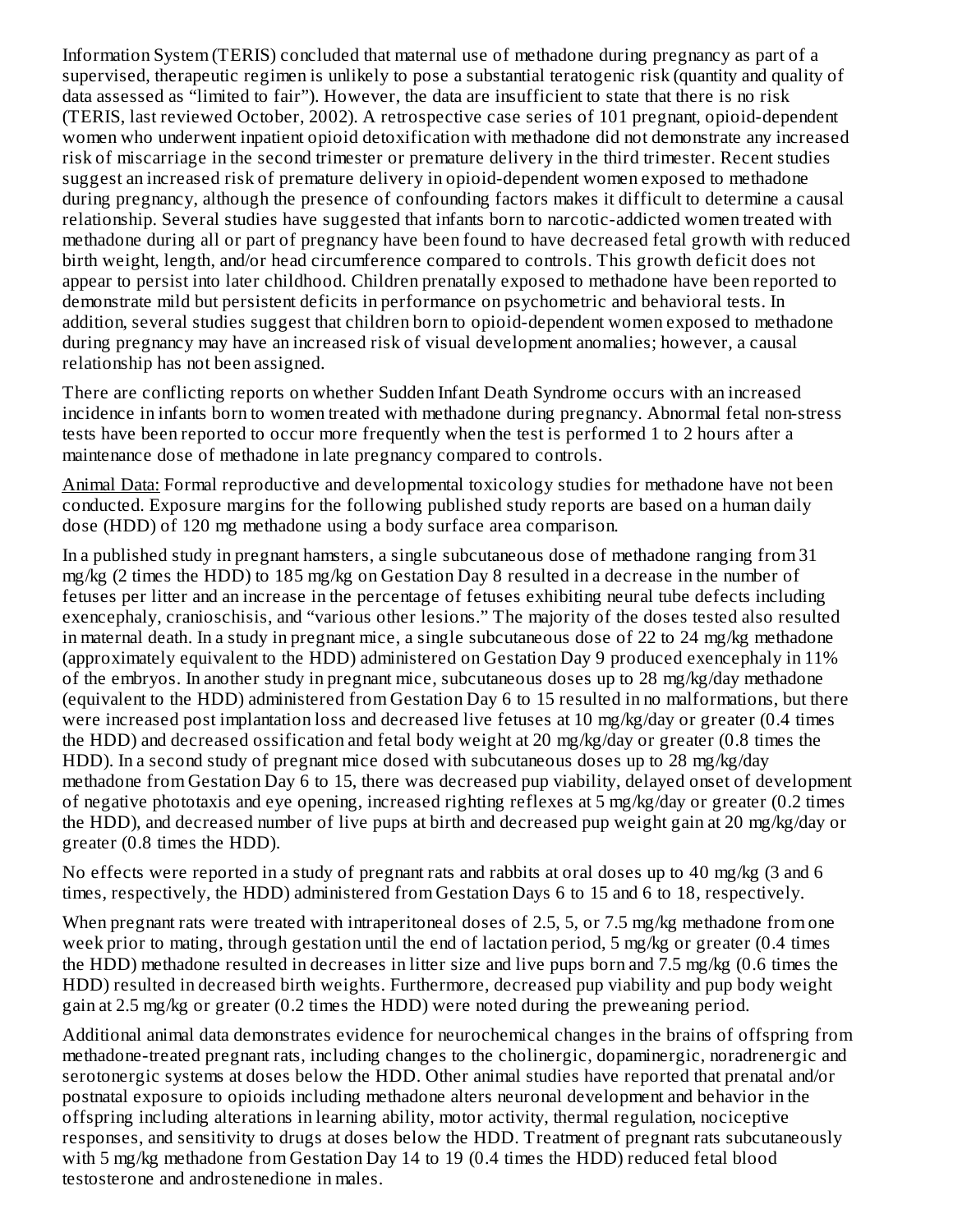Information System (TERIS) concluded that maternal use of methadone during pregnancy as part of a supervised, therapeutic regimen is unlikely to pose a substantial teratogenic risk (quantity and quality of data assessed as "limited to fair"). However, the data are insufficient to state that there is no risk (TERIS, last reviewed October, 2002). A retrospective case series of 101 pregnant, opioid-dependent women who underwent inpatient opioid detoxification with methadone did not demonstrate any increased risk of miscarriage in the second trimester or premature delivery in the third trimester. Recent studies suggest an increased risk of premature delivery in opioid-dependent women exposed to methadone during pregnancy, although the presence of confounding factors makes it difficult to determine a causal relationship. Several studies have suggested that infants born to narcotic-addicted women treated with methadone during all or part of pregnancy have been found to have decreased fetal growth with reduced birth weight, length, and/or head circumference compared to controls. This growth deficit does not appear to persist into later childhood. Children prenatally exposed to methadone have been reported to demonstrate mild but persistent deficits in performance on psychometric and behavioral tests. In addition, several studies suggest that children born to opioid-dependent women exposed to methadone during pregnancy may have an increased risk of visual development anomalies; however, a causal relationship has not been assigned.

There are conflicting reports on whether Sudden Infant Death Syndrome occurs with an increased incidence in infants born to women treated with methadone during pregnancy. Abnormal fetal non-stress tests have been reported to occur more frequently when the test is performed 1 to 2 hours after a maintenance dose of methadone in late pregnancy compared to controls.

Animal Data: Formal reproductive and developmental toxicology studies for methadone have not been conducted. Exposure margins for the following published study reports are based on a human daily dose (HDD) of 120 mg methadone using a body surface area comparison.

In a published study in pregnant hamsters, a single subcutaneous dose of methadone ranging from 31 mg/kg (2 times the HDD) to 185 mg/kg on Gestation Day 8 resulted in a decrease in the number of fetuses per litter and an increase in the percentage of fetuses exhibiting neural tube defects including exencephaly, cranioschisis, and "various other lesions." The majority of the doses tested also resulted in maternal death. In a study in pregnant mice, a single subcutaneous dose of 22 to 24 mg/kg methadone (approximately equivalent to the HDD) administered on Gestation Day 9 produced exencephaly in 11% of the embryos. In another study in pregnant mice, subcutaneous doses up to 28 mg/kg/day methadone (equivalent to the HDD) administered from Gestation Day 6 to 15 resulted in no malformations, but there were increased post implantation loss and decreased live fetuses at 10 mg/kg/day or greater (0.4 times the HDD) and decreased ossification and fetal body weight at 20 mg/kg/day or greater (0.8 times the HDD). In a second study of pregnant mice dosed with subcutaneous doses up to 28 mg/kg/day methadone from Gestation Day 6 to 15, there was decreased pup viability, delayed onset of development of negative phototaxis and eye opening, increased righting reflexes at 5 mg/kg/day or greater (0.2 times the HDD), and decreased number of live pups at birth and decreased pup weight gain at 20 mg/kg/day or greater (0.8 times the HDD).

No effects were reported in a study of pregnant rats and rabbits at oral doses up to 40 mg/kg (3 and 6 times, respectively, the HDD) administered from Gestation Days 6 to 15 and 6 to 18, respectively.

When pregnant rats were treated with intraperitoneal doses of 2.5, 5, or 7.5 mg/kg methadone from one week prior to mating, through gestation until the end of lactation period, 5 mg/kg or greater (0.4 times the HDD) methadone resulted in decreases in litter size and live pups born and 7.5 mg/kg (0.6 times the HDD) resulted in decreased birth weights. Furthermore, decreased pup viability and pup body weight gain at 2.5 mg/kg or greater (0.2 times the HDD) were noted during the preweaning period.

Additional animal data demonstrates evidence for neurochemical changes in the brains of offspring from methadone-treated pregnant rats, including changes to the cholinergic, dopaminergic, noradrenergic and serotonergic systems at doses below the HDD. Other animal studies have reported that prenatal and/or postnatal exposure to opioids including methadone alters neuronal development and behavior in the offspring including alterations in learning ability, motor activity, thermal regulation, nociceptive responses, and sensitivity to drugs at doses below the HDD. Treatment of pregnant rats subcutaneously with 5 mg/kg methadone from Gestation Day 14 to 19 (0.4 times the HDD) reduced fetal blood testosterone and androstenedione in males.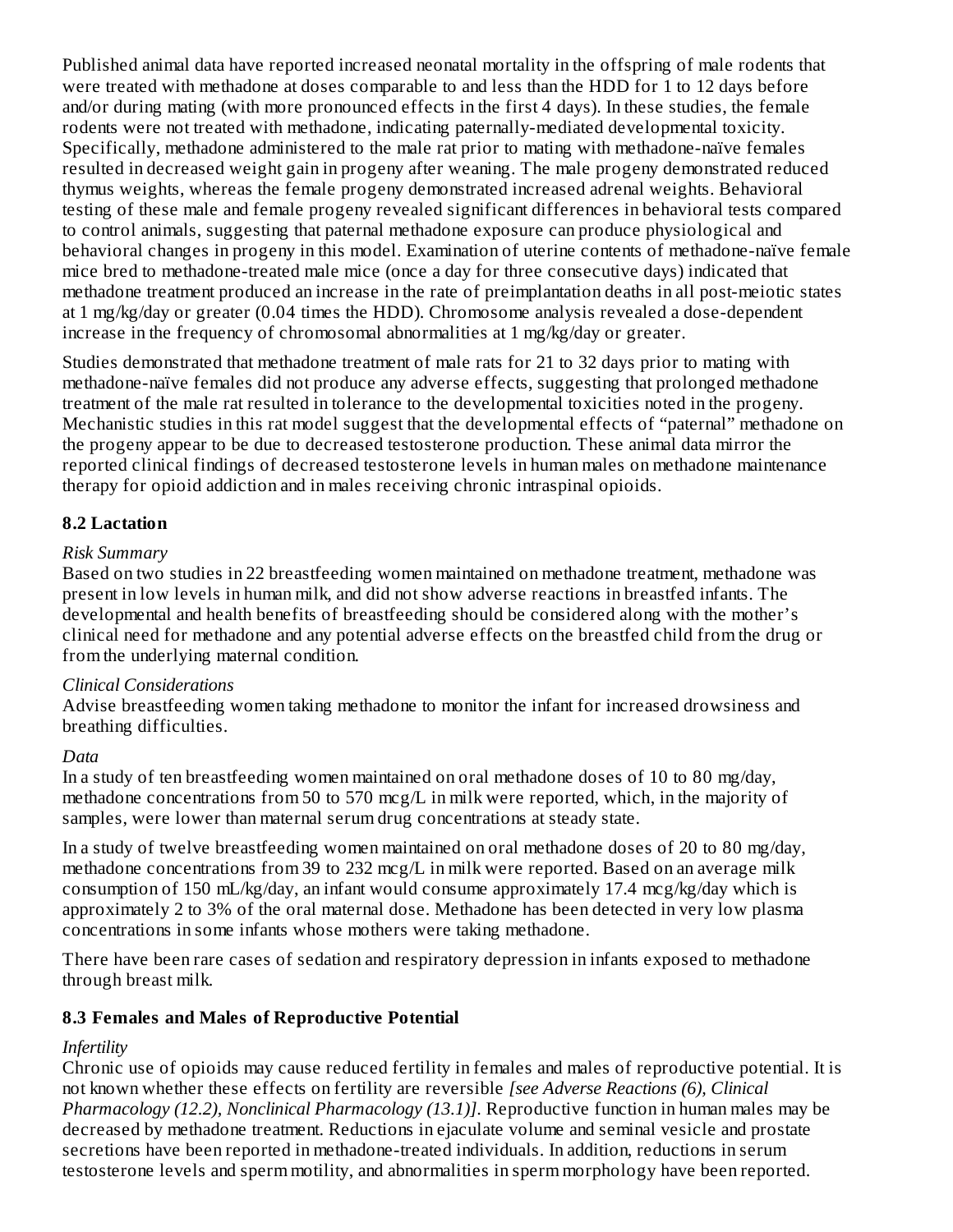Published animal data have reported increased neonatal mortality in the offspring of male rodents that were treated with methadone at doses comparable to and less than the HDD for 1 to 12 days before and/or during mating (with more pronounced effects in the first 4 days). In these studies, the female rodents were not treated with methadone, indicating paternally-mediated developmental toxicity. Specifically, methadone administered to the male rat prior to mating with methadone-naïve females resulted in decreased weight gain in progeny after weaning. The male progeny demonstrated reduced thymus weights, whereas the female progeny demonstrated increased adrenal weights. Behavioral testing of these male and female progeny revealed significant differences in behavioral tests compared to control animals, suggesting that paternal methadone exposure can produce physiological and behavioral changes in progeny in this model. Examination of uterine contents of methadone-naïve female mice bred to methadone-treated male mice (once a day for three consecutive days) indicated that methadone treatment produced an increase in the rate of preimplantation deaths in all post-meiotic states at 1 mg/kg/day or greater (0.04 times the HDD). Chromosome analysis revealed a dose-dependent increase in the frequency of chromosomal abnormalities at 1 mg/kg/day or greater.

Studies demonstrated that methadone treatment of male rats for 21 to 32 days prior to mating with methadone-naïve females did not produce any adverse effects, suggesting that prolonged methadone treatment of the male rat resulted in tolerance to the developmental toxicities noted in the progeny. Mechanistic studies in this rat model suggest that the developmental effects of "paternal" methadone on the progeny appear to be due to decreased testosterone production. These animal data mirror the reported clinical findings of decreased testosterone levels in human males on methadone maintenance therapy for opioid addiction and in males receiving chronic intraspinal opioids.

#### **8.2 Lactation**

#### *Risk Summary*

Based on two studies in 22 breastfeeding women maintained on methadone treatment, methadone was present in low levels in human milk, and did not show adverse reactions in breastfed infants. The developmental and health benefits of breastfeeding should be considered along with the mother's clinical need for methadone and any potential adverse effects on the breastfed child from the drug or from the underlying maternal condition.

#### *Clinical Considerations*

Advise breastfeeding women taking methadone to monitor the infant for increased drowsiness and breathing difficulties.

#### *Data*

In a study of ten breastfeeding women maintained on oral methadone doses of 10 to 80 mg/day, methadone concentrations from 50 to 570 mcg/L in milk were reported, which, in the majority of samples, were lower than maternal serum drug concentrations at steady state.

In a study of twelve breastfeeding women maintained on oral methadone doses of 20 to 80 mg/day, methadone concentrations from 39 to 232 mcg/L in milk were reported. Based on an average milk consumption of 150 mL/kg/day, an infant would consume approximately 17.4 mcg/kg/day which is approximately 2 to 3% of the oral maternal dose. Methadone has been detected in very low plasma concentrations in some infants whose mothers were taking methadone.

There have been rare cases of sedation and respiratory depression in infants exposed to methadone through breast milk.

#### **8.3 Females and Males of Reproductive Potential**

#### *Infertility*

Chronic use of opioids may cause reduced fertility in females and males of reproductive potential. It is not known whether these effects on fertility are reversible *[see Adverse Reactions (6), Clinical Pharmacology (12.2), Nonclinical Pharmacology (13.1)]*. Reproductive function in human males may be decreased by methadone treatment. Reductions in ejaculate volume and seminal vesicle and prostate secretions have been reported in methadone-treated individuals. In addition, reductions in serum testosterone levels and sperm motility, and abnormalities in sperm morphology have been reported.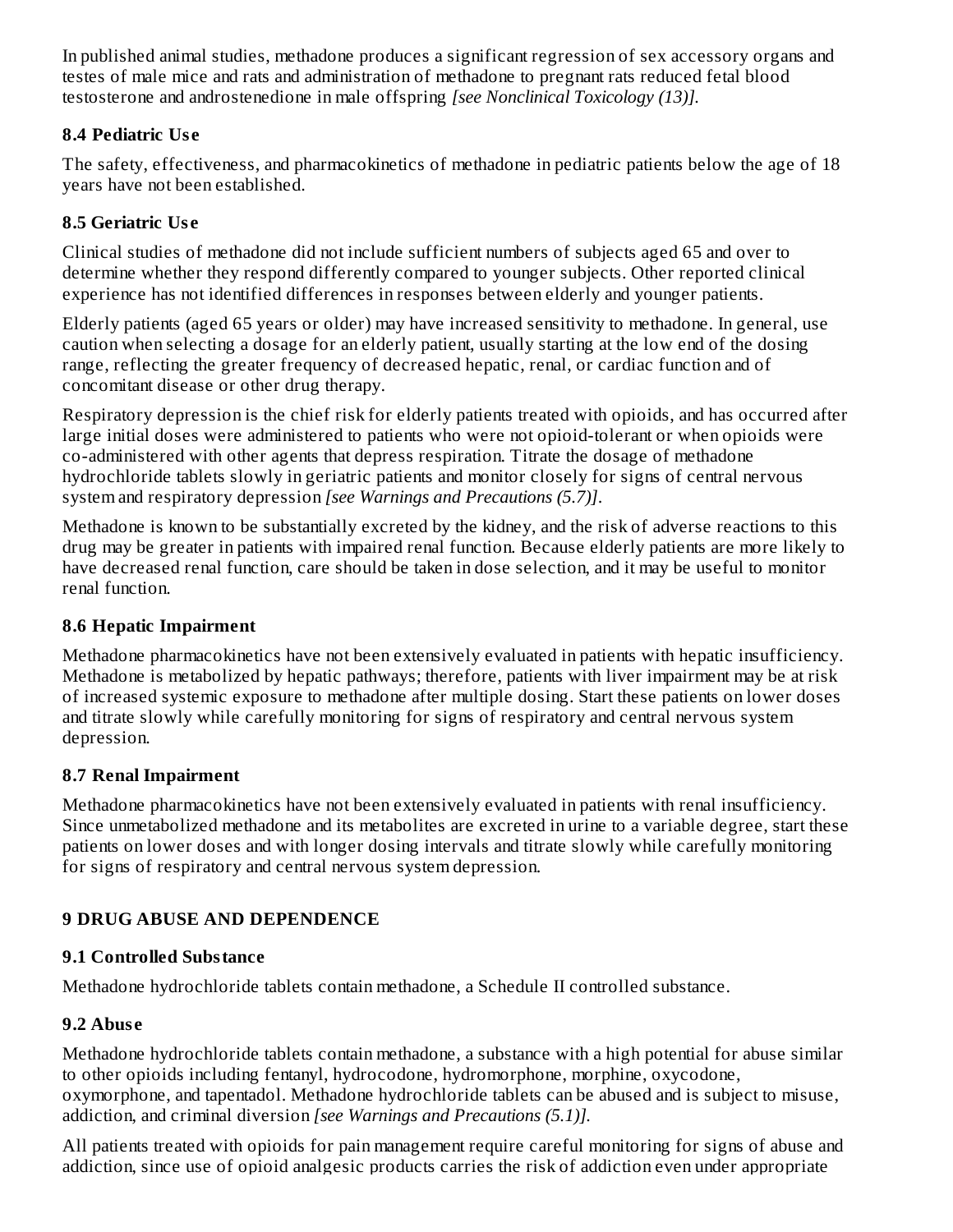In published animal studies, methadone produces a significant regression of sex accessory organs and testes of male mice and rats and administration of methadone to pregnant rats reduced fetal blood testosterone and androstenedione in male offspring *[see Nonclinical Toxicology (13)].*

# **8.4 Pediatric Us e**

The safety, effectiveness, and pharmacokinetics of methadone in pediatric patients below the age of 18 years have not been established.

## **8.5 Geriatric Us e**

Clinical studies of methadone did not include sufficient numbers of subjects aged 65 and over to determine whether they respond differently compared to younger subjects. Other reported clinical experience has not identified differences in responses between elderly and younger patients.

Elderly patients (aged 65 years or older) may have increased sensitivity to methadone. In general, use caution when selecting a dosage for an elderly patient, usually starting at the low end of the dosing range, reflecting the greater frequency of decreased hepatic, renal, or cardiac function and of concomitant disease or other drug therapy.

Respiratory depression is the chief risk for elderly patients treated with opioids, and has occurred after large initial doses were administered to patients who were not opioid-tolerant or when opioids were co-administered with other agents that depress respiration. Titrate the dosage of methadone hydrochloride tablets slowly in geriatric patients and monitor closely for signs of central nervous system and respiratory depression *[see Warnings and Precautions (5.7)]*.

Methadone is known to be substantially excreted by the kidney, and the risk of adverse reactions to this drug may be greater in patients with impaired renal function. Because elderly patients are more likely to have decreased renal function, care should be taken in dose selection, and it may be useful to monitor renal function.

### **8.6 Hepatic Impairment**

Methadone pharmacokinetics have not been extensively evaluated in patients with hepatic insufficiency. Methadone is metabolized by hepatic pathways; therefore, patients with liver impairment may be at risk of increased systemic exposure to methadone after multiple dosing. Start these patients on lower doses and titrate slowly while carefully monitoring for signs of respiratory and central nervous system depression.

### **8.7 Renal Impairment**

Methadone pharmacokinetics have not been extensively evaluated in patients with renal insufficiency. Since unmetabolized methadone and its metabolites are excreted in urine to a variable degree, start these patients on lower doses and with longer dosing intervals and titrate slowly while carefully monitoring for signs of respiratory and central nervous system depression.

# **9 DRUG ABUSE AND DEPENDENCE**

# **9.1 Controlled Substance**

Methadone hydrochloride tablets contain methadone, a Schedule II controlled substance.

# **9.2 Abus e**

Methadone hydrochloride tablets contain methadone, a substance with a high potential for abuse similar to other opioids including fentanyl, hydrocodone, hydromorphone, morphine, oxycodone, oxymorphone, and tapentadol. Methadone hydrochloride tablets can be abused and is subject to misuse, addiction, and criminal diversion *[see Warnings and Precautions (5.1)].*

All patients treated with opioids for pain management require careful monitoring for signs of abuse and addiction, since use of opioid analgesic products carries the risk of addiction even under appropriate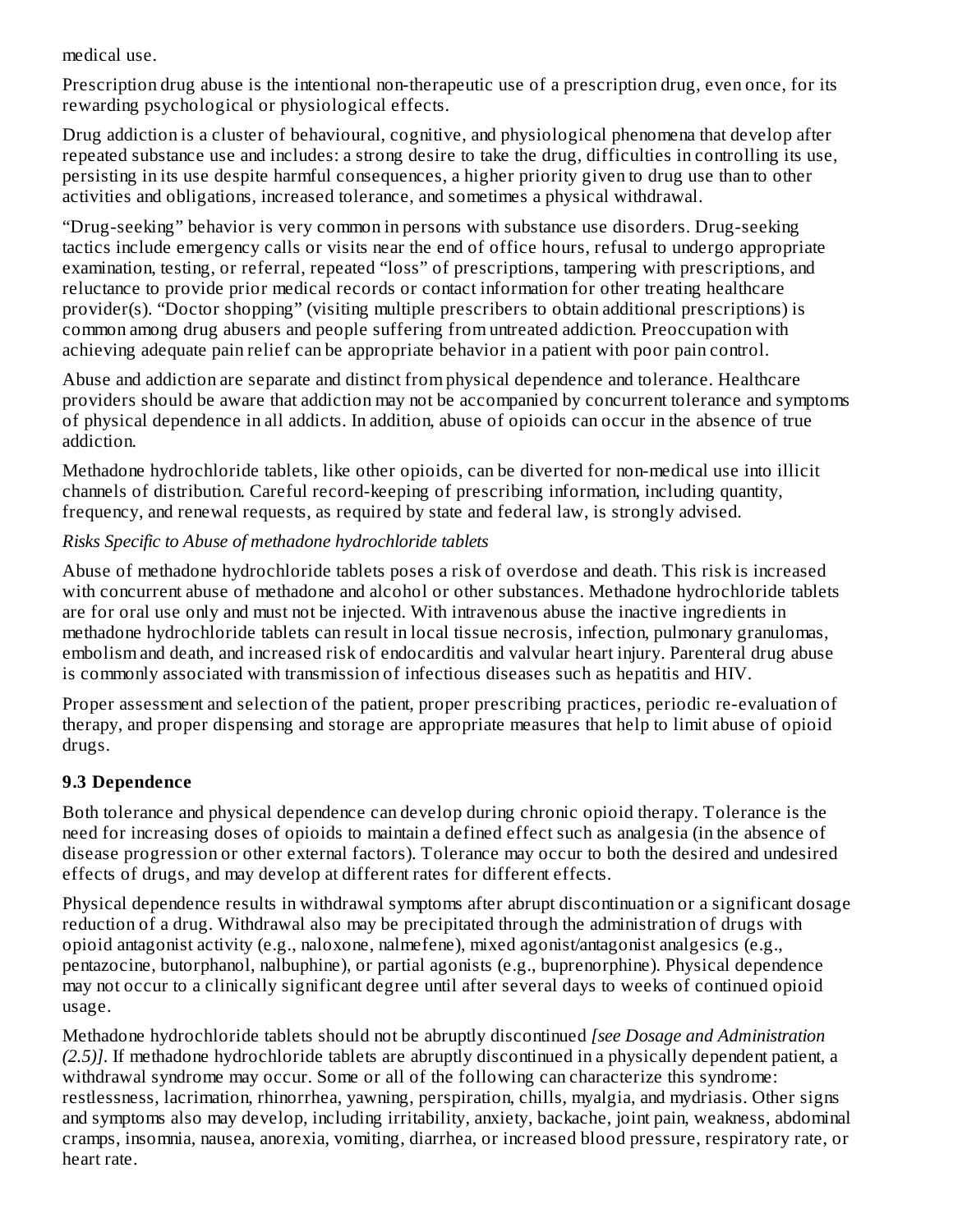medical use.

Prescription drug abuse is the intentional non-therapeutic use of a prescription drug, even once, for its rewarding psychological or physiological effects.

Drug addiction is a cluster of behavioural, cognitive, and physiological phenomena that develop after repeated substance use and includes: a strong desire to take the drug, difficulties in controlling its use, persisting in its use despite harmful consequences, a higher priority given to drug use than to other activities and obligations, increased tolerance, and sometimes a physical withdrawal.

"Drug-seeking" behavior is very common in persons with substance use disorders. Drug-seeking tactics include emergency calls or visits near the end of office hours, refusal to undergo appropriate examination, testing, or referral, repeated "loss" of prescriptions, tampering with prescriptions, and reluctance to provide prior medical records or contact information for other treating healthcare provider(s). "Doctor shopping" (visiting multiple prescribers to obtain additional prescriptions) is common among drug abusers and people suffering from untreated addiction. Preoccupation with achieving adequate pain relief can be appropriate behavior in a patient with poor pain control.

Abuse and addiction are separate and distinct from physical dependence and tolerance. Healthcare providers should be aware that addiction may not be accompanied by concurrent tolerance and symptoms of physical dependence in all addicts. In addition, abuse of opioids can occur in the absence of true addiction.

Methadone hydrochloride tablets, like other opioids, can be diverted for non-medical use into illicit channels of distribution. Careful record-keeping of prescribing information, including quantity, frequency, and renewal requests, as required by state and federal law, is strongly advised.

## *Risks Specific to Abuse of methadone hydrochloride tablets*

Abuse of methadone hydrochloride tablets poses a risk of overdose and death. This risk is increased with concurrent abuse of methadone and alcohol or other substances. Methadone hydrochloride tablets are for oral use only and must not be injected. With intravenous abuse the inactive ingredients in methadone hydrochloride tablets can result in local tissue necrosis, infection, pulmonary granulomas, embolism and death, and increased risk of endocarditis and valvular heart injury. Parenteral drug abuse is commonly associated with transmission of infectious diseases such as hepatitis and HIV.

Proper assessment and selection of the patient, proper prescribing practices, periodic re-evaluation of therapy, and proper dispensing and storage are appropriate measures that help to limit abuse of opioid drugs.

# **9.3 Dependence**

Both tolerance and physical dependence can develop during chronic opioid therapy. Tolerance is the need for increasing doses of opioids to maintain a defined effect such as analgesia (in the absence of disease progression or other external factors). Tolerance may occur to both the desired and undesired effects of drugs, and may develop at different rates for different effects.

Physical dependence results in withdrawal symptoms after abrupt discontinuation or a significant dosage reduction of a drug. Withdrawal also may be precipitated through the administration of drugs with opioid antagonist activity (e.g., naloxone, nalmefene), mixed agonist/antagonist analgesics (e.g., pentazocine, butorphanol, nalbuphine), or partial agonists (e.g., buprenorphine). Physical dependence may not occur to a clinically significant degree until after several days to weeks of continued opioid usage.

Methadone hydrochloride tablets should not be abruptly discontinued *[see Dosage and Administration (2.5)]*. If methadone hydrochloride tablets are abruptly discontinued in a physically dependent patient, a withdrawal syndrome may occur. Some or all of the following can characterize this syndrome: restlessness, lacrimation, rhinorrhea, yawning, perspiration, chills, myalgia, and mydriasis. Other signs and symptoms also may develop, including irritability, anxiety, backache, joint pain, weakness, abdominal cramps, insomnia, nausea, anorexia, vomiting, diarrhea, or increased blood pressure, respiratory rate, or heart rate.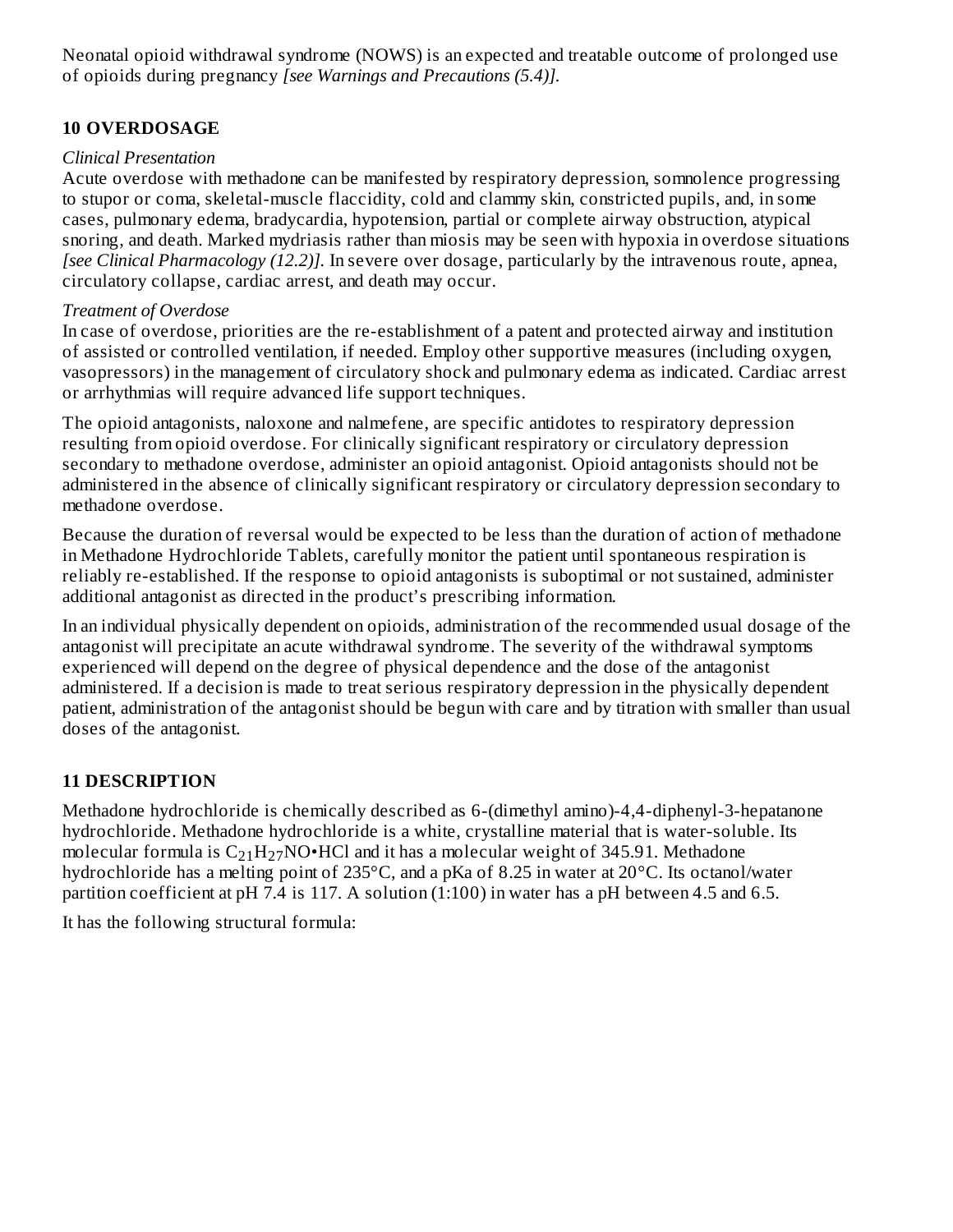Neonatal opioid withdrawal syndrome (NOWS) is an expected and treatable outcome of prolonged use of opioids during pregnancy *[see Warnings and Precautions (5.4)].*

## **10 OVERDOSAGE**

#### *Clinical Presentation*

Acute overdose with methadone can be manifested by respiratory depression, somnolence progressing to stupor or coma, skeletal-muscle flaccidity, cold and clammy skin, constricted pupils, and, in some cases, pulmonary edema, bradycardia, hypotension, partial or complete airway obstruction, atypical snoring, and death. Marked mydriasis rather than miosis may be seen with hypoxia in overdose situations *[see Clinical Pharmacology (12.2)].* In severe over dosage, particularly by the intravenous route, apnea, circulatory collapse, cardiac arrest, and death may occur.

#### *Treatment of Overdose*

In case of overdose, priorities are the re-establishment of a patent and protected airway and institution of assisted or controlled ventilation, if needed. Employ other supportive measures (including oxygen, vasopressors) in the management of circulatory shock and pulmonary edema as indicated. Cardiac arrest or arrhythmias will require advanced life support techniques.

The opioid antagonists, naloxone and nalmefene, are specific antidotes to respiratory depression resulting from opioid overdose. For clinically significant respiratory or circulatory depression secondary to methadone overdose, administer an opioid antagonist. Opioid antagonists should not be administered in the absence of clinically significant respiratory or circulatory depression secondary to methadone overdose.

Because the duration of reversal would be expected to be less than the duration of action of methadone in Methadone Hydrochloride Tablets, carefully monitor the patient until spontaneous respiration is reliably re-established. If the response to opioid antagonists is suboptimal or not sustained, administer additional antagonist as directed in the product's prescribing information.

In an individual physically dependent on opioids, administration of the recommended usual dosage of the antagonist will precipitate an acute withdrawal syndrome. The severity of the withdrawal symptoms experienced will depend on the degree of physical dependence and the dose of the antagonist administered. If a decision is made to treat serious respiratory depression in the physically dependent patient, administration of the antagonist should be begun with care and by titration with smaller than usual doses of the antagonist.

### **11 DESCRIPTION**

Methadone hydrochloride is chemically described as 6-(dimethyl amino)-4,4-diphenyl-3-hepatanone hydrochloride. Methadone hydrochloride is a white, crystalline material that is water-soluble. Its molecular formula is  $\rm{C_{21}H_{27}NO\cdot HCl}$  and it has a molecular weight of 345.91. Methadone hydrochloride has a melting point of 235°C, and a pKa of 8.25 in water at 20°C. Its octanol/water partition coefficient at pH 7.4 is 117. A solution (1:100) in water has a pH between 4.5 and 6.5.

It has the following structural formula: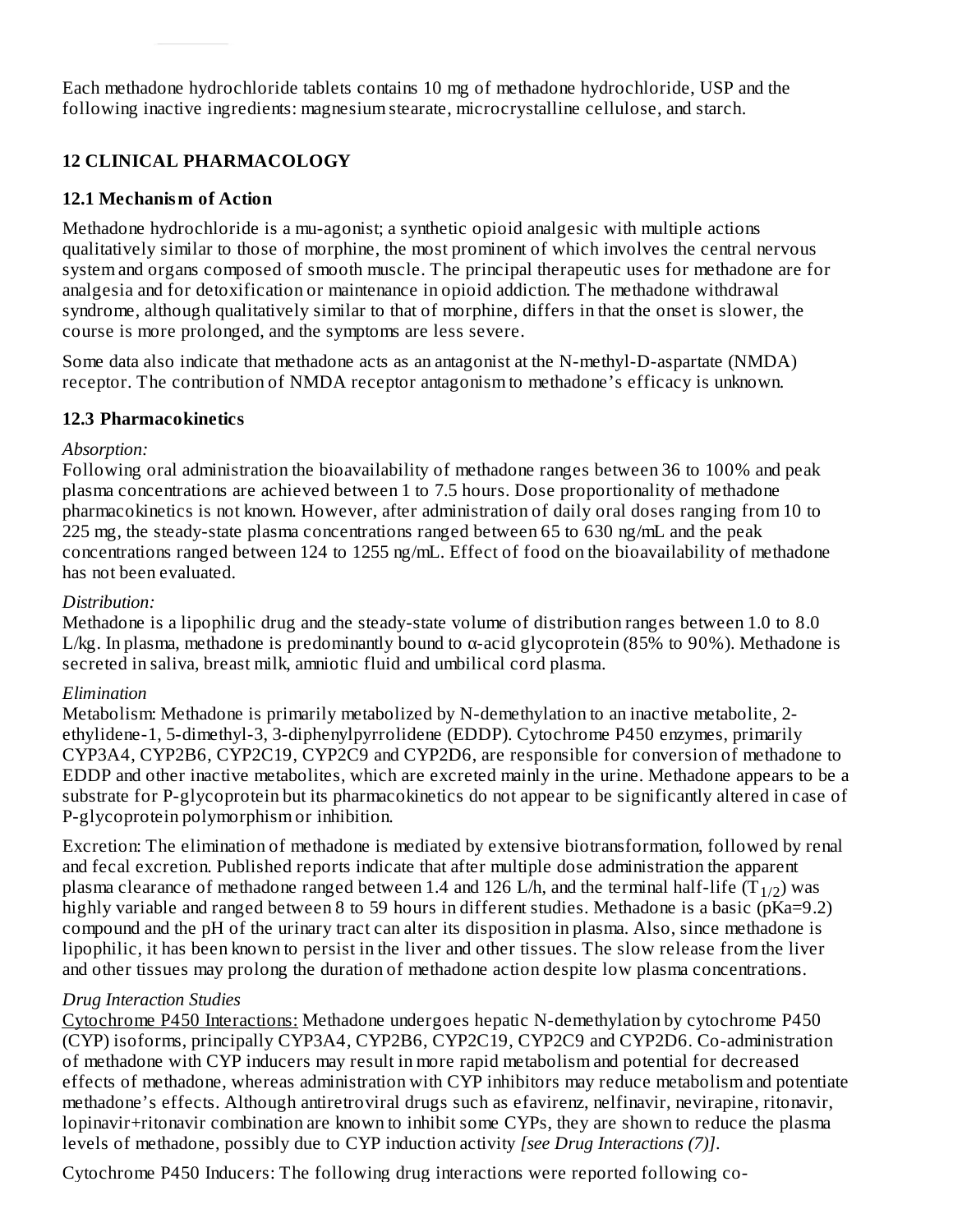Each methadone hydrochloride tablets contains 10 mg of methadone hydrochloride, USP and the following inactive ingredients: magnesium stearate, microcrystalline cellulose, and starch.

# **12 CLINICAL PHARMACOLOGY**

## **12.1 Mechanism of Action**

Methadone hydrochloride is a mu-agonist; a synthetic opioid analgesic with multiple actions qualitatively similar to those of morphine, the most prominent of which involves the central nervous system and organs composed of smooth muscle. The principal therapeutic uses for methadone are for analgesia and for detoxification or maintenance in opioid addiction. The methadone withdrawal syndrome, although qualitatively similar to that of morphine, differs in that the onset is slower, the course is more prolonged, and the symptoms are less severe.

Some data also indicate that methadone acts as an antagonist at the N-methyl-D-aspartate (NMDA) receptor. The contribution of NMDA receptor antagonism to methadone's efficacy is unknown.

## **12.3 Pharmacokinetics**

### *Absorption:*

Following oral administration the bioavailability of methadone ranges between 36 to 100% and peak plasma concentrations are achieved between 1 to 7.5 hours. Dose proportionality of methadone pharmacokinetics is not known. However, after administration of daily oral doses ranging from 10 to 225 mg, the steady-state plasma concentrations ranged between 65 to 630 ng/mL and the peak concentrations ranged between 124 to 1255 ng/mL. Effect of food on the bioavailability of methadone has not been evaluated.

### *Distribution:*

Methadone is a lipophilic drug and the steady-state volume of distribution ranges between 1.0 to 8.0 L/kg. In plasma, methadone is predominantly bound to α-acid glycoprotein (85% to 90%). Methadone is secreted in saliva, breast milk, amniotic fluid and umbilical cord plasma.

### *Elimination*

Metabolism: Methadone is primarily metabolized by N-demethylation to an inactive metabolite, 2 ethylidene-1, 5-dimethyl-3, 3-diphenylpyrrolidene (EDDP). Cytochrome P450 enzymes, primarily CYP3A4, CYP2B6, CYP2C19, CYP2C9 and CYP2D6, are responsible for conversion of methadone to EDDP and other inactive metabolites, which are excreted mainly in the urine. Methadone appears to be a substrate for P-glycoprotein but its pharmacokinetics do not appear to be significantly altered in case of P-glycoprotein polymorphism or inhibition.

Excretion: The elimination of methadone is mediated by extensive biotransformation, followed by renal and fecal excretion. Published reports indicate that after multiple dose administration the apparent plasma clearance of methadone ranged between 1.4 and 126 L/h, and the terminal half-life (T<sub>1/2</sub>) was highly variable and ranged between 8 to 59 hours in different studies. Methadone is a basic (pKa=9.2) compound and the pH of the urinary tract can alter its disposition in plasma. Also, since methadone is lipophilic, it has been known to persist in the liver and other tissues. The slow release from the liver and other tissues may prolong the duration of methadone action despite low plasma concentrations.

# *Drug Interaction Studies*

Cytochrome P450 Interactions: Methadone undergoes hepatic N-demethylation by cytochrome P450 (CYP) isoforms, principally CYP3A4, CYP2B6, CYP2C19, CYP2C9 and CYP2D6. Co-administration of methadone with CYP inducers may result in more rapid metabolism and potential for decreased effects of methadone, whereas administration with CYP inhibitors may reduce metabolism and potentiate methadone's effects. Although antiretroviral drugs such as efavirenz, nelfinavir, nevirapine, ritonavir, lopinavir+ritonavir combination are known to inhibit some CYPs, they are shown to reduce the plasma levels of methadone, possibly due to CYP induction activity *[see Drug Interactions (7)]*.

Cytochrome P450 Inducers: The following drug interactions were reported following co-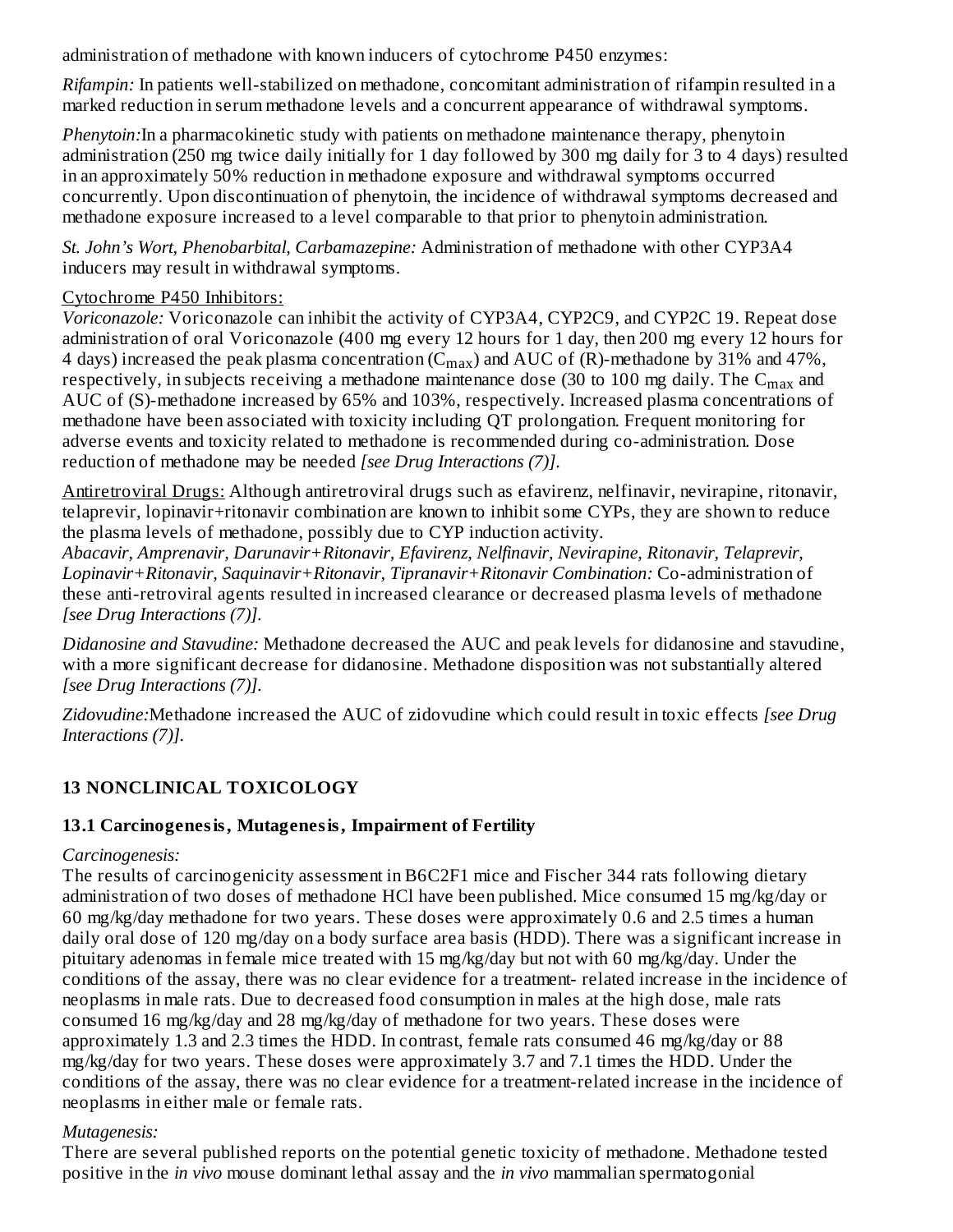administration of methadone with known inducers of cytochrome P450 enzymes:

*Rifampin:* In patients well-stabilized on methadone, concomitant administration of rifampin resulted in a marked reduction in serum methadone levels and a concurrent appearance of withdrawal symptoms.

*Phenytoin:*In a pharmacokinetic study with patients on methadone maintenance therapy, phenytoin administration (250 mg twice daily initially for 1 day followed by 300 mg daily for 3 to 4 days) resulted in an approximately 50% reduction in methadone exposure and withdrawal symptoms occurred concurrently. Upon discontinuation of phenytoin, the incidence of withdrawal symptoms decreased and methadone exposure increased to a level comparable to that prior to phenytoin administration.

*St. John's Wort, Phenobarbital, Carbamazepine:* Administration of methadone with other CYP3A4 inducers may result in withdrawal symptoms.

## Cytochrome P450 Inhibitors:

*Voriconazole:* Voriconazole can inhibit the activity of CYP3A4, CYP2C9, and CYP2C 19. Repeat dose administration of oral Voriconazole (400 mg every 12 hours for 1 day, then 200 mg every 12 hours for 4 days) increased the peak plasma concentration ( $\rm{C_{max}}$ ) and  $\rm{AUC}$  of (R)-methadone by 31% and 47%, respectively, in subjects receiving a methadone maintenance dose (30 to 100 mg daily. The  $\rm{C_{max}}$  and AUC of (S)-methadone increased by 65% and 103%, respectively. Increased plasma concentrations of methadone have been associated with toxicity including QT prolongation. Frequent monitoring for adverse events and toxicity related to methadone is recommended during co-administration. Dose reduction of methadone may be needed *[see Drug Interactions (7)]*.

Antiretroviral Drugs: Although antiretroviral drugs such as efavirenz, nelfinavir, nevirapine, ritonavir, telaprevir, lopinavir+ritonavir combination are known to inhibit some CYPs, they are shown to reduce the plasma levels of methadone, possibly due to CYP induction activity.

*Abacavir, Amprenavir, Darunavir+Ritonavir, Efavirenz, Nelfinavir, Nevirapine, Ritonavir, Telaprevir, Lopinavir+Ritonavir, Saquinavir+Ritonavir, Tipranavir+Ritonavir Combination:* Co-administration of these anti-retroviral agents resulted in increased clearance or decreased plasma levels of methadone *[see Drug Interactions (7)].*

*Didanosine and Stavudine:* Methadone decreased the AUC and peak levels for didanosine and stavudine, with a more significant decrease for didanosine. Methadone disposition was not substantially altered *[see Drug Interactions (7)].*

*Zidovudine:*Methadone increased the AUC of zidovudine which could result in toxic effects *[see Drug Interactions (7)].*

# **13 NONCLINICAL TOXICOLOGY**

# **13.1 Carcinogenesis, Mutagenesis, Impairment of Fertility**

# *Carcinogenesis:*

The results of carcinogenicity assessment in B6C2F1 mice and Fischer 344 rats following dietary administration of two doses of methadone HCl have been published. Mice consumed 15 mg/kg/day or 60 mg/kg/day methadone for two years. These doses were approximately 0.6 and 2.5 times a human daily oral dose of 120 mg/day on a body surface area basis (HDD). There was a significant increase in pituitary adenomas in female mice treated with 15 mg/kg/day but not with 60 mg/kg/day. Under the conditions of the assay, there was no clear evidence for a treatment- related increase in the incidence of neoplasms in male rats. Due to decreased food consumption in males at the high dose, male rats consumed 16 mg/kg/day and 28 mg/kg/day of methadone for two years. These doses were approximately 1.3 and 2.3 times the HDD. In contrast, female rats consumed 46 mg/kg/day or 88 mg/kg/day for two years. These doses were approximately 3.7 and 7.1 times the HDD. Under the conditions of the assay, there was no clear evidence for a treatment-related increase in the incidence of neoplasms in either male or female rats.

### *Mutagenesis:*

There are several published reports on the potential genetic toxicity of methadone. Methadone tested positive in the *in vivo* mouse dominant lethal assay and the *in vivo* mammalian spermatogonial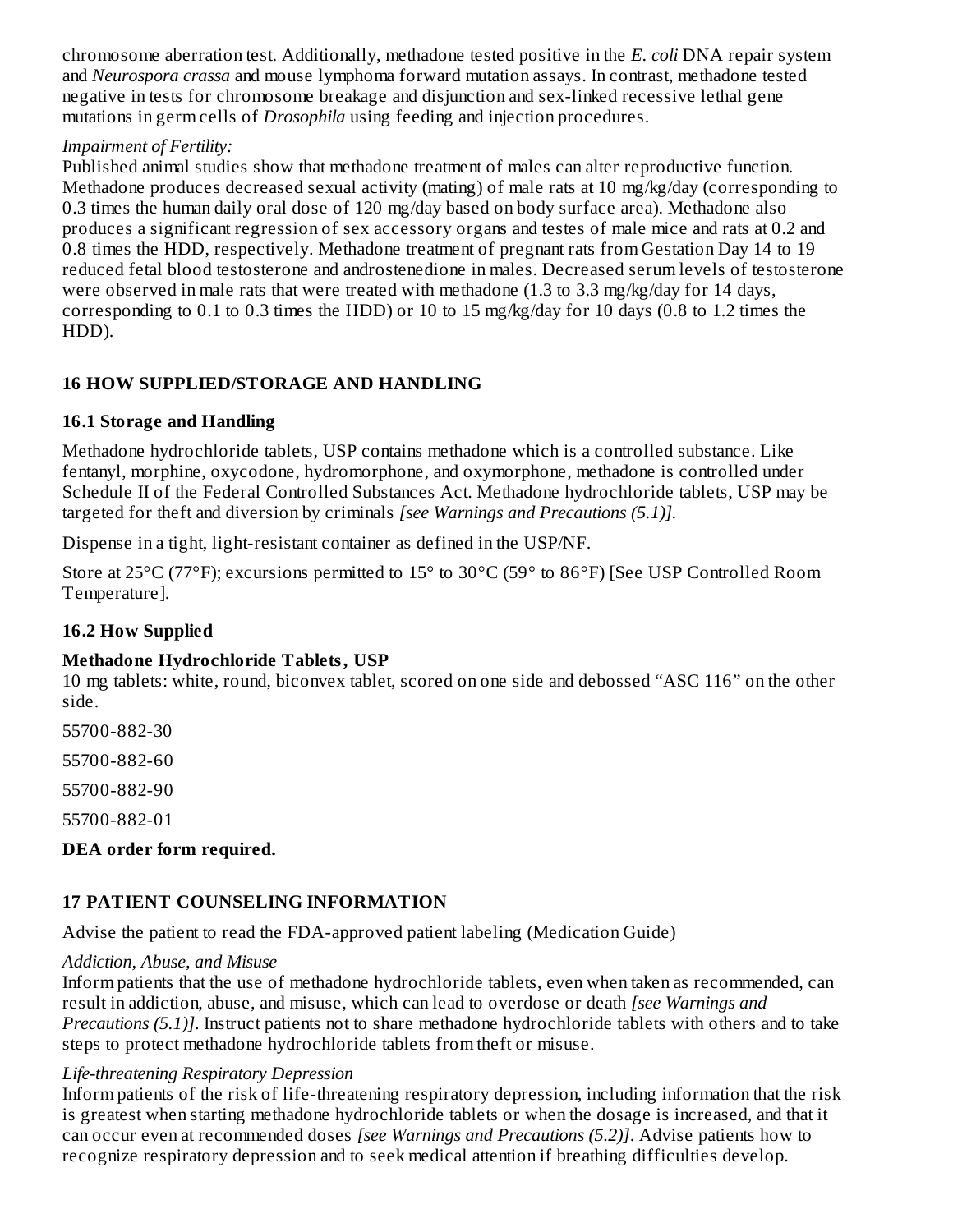chromosome aberration test. Additionally, methadone tested positive in the *E. coli* DNA repair system and *Neurospora crassa* and mouse lymphoma forward mutation assays. In contrast, methadone tested negative in tests for chromosome breakage and disjunction and sex-linked recessive lethal gene mutations in germ cells of *Drosophila* using feeding and injection procedures.

#### *Impairment of Fertility:*

Published animal studies show that methadone treatment of males can alter reproductive function. Methadone produces decreased sexual activity (mating) of male rats at 10 mg/kg/day (corresponding to 0.3 times the human daily oral dose of 120 mg/day based on body surface area). Methadone also produces a significant regression of sex accessory organs and testes of male mice and rats at 0.2 and 0.8 times the HDD, respectively. Methadone treatment of pregnant rats from Gestation Day 14 to 19 reduced fetal blood testosterone and androstenedione in males. Decreased serum levels of testosterone were observed in male rats that were treated with methadone (1.3 to 3.3 mg/kg/day for 14 days, corresponding to 0.1 to 0.3 times the HDD) or 10 to 15 mg/kg/day for 10 days (0.8 to 1.2 times the HDD).

# **16 HOW SUPPLIED/STORAGE AND HANDLING**

## **16.1 Storage and Handling**

Methadone hydrochloride tablets, USP contains methadone which is a controlled substance. Like fentanyl, morphine, oxycodone, hydromorphone, and oxymorphone, methadone is controlled under Schedule II of the Federal Controlled Substances Act. Methadone hydrochloride tablets, USP may be targeted for theft and diversion by criminals *[see Warnings and Precautions (5.1)].*

Dispense in a tight, light-resistant container as defined in the USP/NF.

Store at 25°C (77°F); excursions permitted to 15° to 30°C (59° to 86°F) [See USP Controlled Room Temperature].

# **16.2 How Supplied**

### **Methadone Hydrochloride Tablets, USP**

10 mg tablets: white, round, biconvex tablet, scored on one side and debossed "ASC 116" on the other side.

55700-882-30

55700-882-60

55700-882-90

55700-882-01

# **DEA order form required.**

# **17 PATIENT COUNSELING INFORMATION**

Advise the patient to read the FDA-approved patient labeling (Medication Guide)

### *Addiction, Abuse, and Misuse*

Inform patients that the use of methadone hydrochloride tablets, even when taken as recommended, can result in addiction, abuse, and misuse, which can lead to overdose or death *[see Warnings and Precautions (5.1)]*. Instruct patients not to share methadone hydrochloride tablets with others and to take steps to protect methadone hydrochloride tablets from theft or misuse.

# *Life-threatening Respiratory Depression*

Inform patients of the risk of life-threatening respiratory depression, including information that the risk is greatest when starting methadone hydrochloride tablets or when the dosage is increased, and that it can occur even at recommended doses *[see Warnings and Precautions (5.2)]*. Advise patients how to recognize respiratory depression and to seek medical attention if breathing difficulties develop.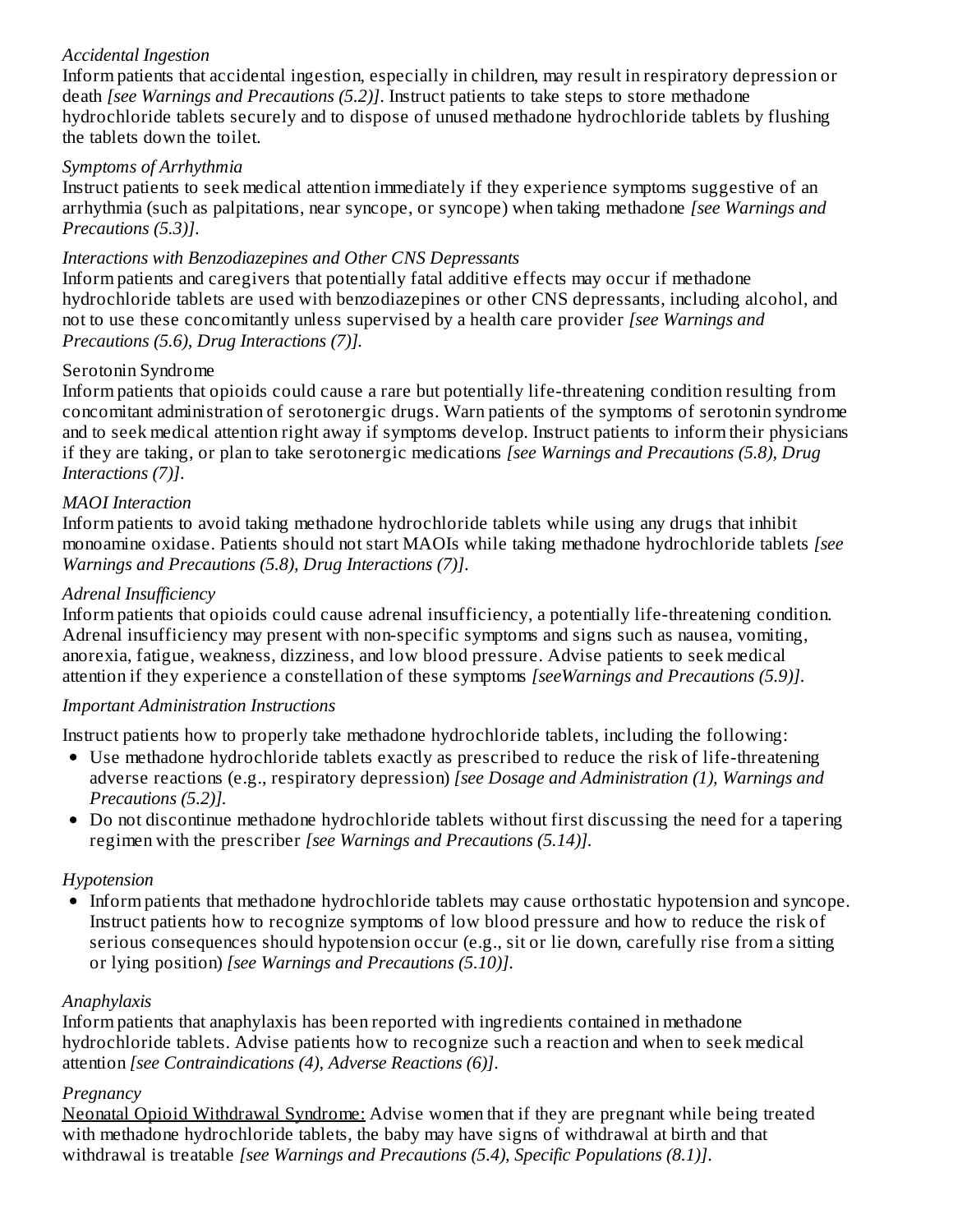## *Accidental Ingestion*

Inform patients that accidental ingestion, especially in children, may result in respiratory depression or death *[see Warnings and Precautions (5.2)]*. Instruct patients to take steps to store methadone hydrochloride tablets securely and to dispose of unused methadone hydrochloride tablets by flushing the tablets down the toilet.

### *Symptoms of Arrhythmia*

Instruct patients to seek medical attention immediately if they experience symptoms suggestive of an arrhythmia (such as palpitations, near syncope, or syncope) when taking methadone *[see Warnings and Precautions (5.3)]*.

## *Interactions with Benzodiazepines and Other CNS Depressants*

Inform patients and caregivers that potentially fatal additive effects may occur if methadone hydrochloride tablets are used with benzodiazepines or other CNS depressants, including alcohol, and not to use these concomitantly unless supervised by a health care provider *[see Warnings and Precautions (5.6), Drug Interactions (7)].*

### Serotonin Syndrome

Inform patients that opioids could cause a rare but potentially life-threatening condition resulting from concomitant administration of serotonergic drugs. Warn patients of the symptoms of serotonin syndrome and to seek medical attention right away if symptoms develop. Instruct patients to inform their physicians if they are taking, or plan to take serotonergic medications *[see Warnings and Precautions (5.8), Drug Interactions (7)]*.

## *MAOI Interaction*

Inform patients to avoid taking methadone hydrochloride tablets while using any drugs that inhibit monoamine oxidase. Patients should not start MAOIs while taking methadone hydrochloride tablets *[see Warnings and Precautions (5.8), Drug Interactions (7)]*.

## *Adrenal Insufficiency*

Inform patients that opioids could cause adrenal insufficiency, a potentially life-threatening condition. Adrenal insufficiency may present with non-specific symptoms and signs such as nausea, vomiting, anorexia, fatigue, weakness, dizziness, and low blood pressure. Advise patients to seek medical attention if they experience a constellation of these symptoms *[seeWarnings and Precautions (5.9)]*.

# *Important Administration Instructions*

Instruct patients how to properly take methadone hydrochloride tablets, including the following:

- Use methadone hydrochloride tablets exactly as prescribed to reduce the risk of life-threatening adverse reactions (e.g., respiratory depression) *[see Dosage and Administration (1), Warnings and Precautions (5.2)].*
- Do not discontinue methadone hydrochloride tablets without first discussing the need for a tapering regimen with the prescriber *[see Warnings and Precautions (5.14)].*

### *Hypotension*

Inform patients that methadone hydrochloride tablets may cause orthostatic hypotension and syncope. Instruct patients how to recognize symptoms of low blood pressure and how to reduce the risk of serious consequences should hypotension occur (e.g., sit or lie down, carefully rise from a sitting or lying position) *[see Warnings and Precautions (5.10)]*.

### *Anaphylaxis*

Inform patients that anaphylaxis has been reported with ingredients contained in methadone hydrochloride tablets. Advise patients how to recognize such a reaction and when to seek medical attention *[see Contraindications (4), Adverse Reactions (6)]*.

### *Pregnancy*

Neonatal Opioid Withdrawal Syndrome: Advise women that if they are pregnant while being treated with methadone hydrochloride tablets, the baby may have signs of withdrawal at birth and that withdrawal is treatable *[see Warnings and Precautions (5.4), Specific Populations (8.1)]*.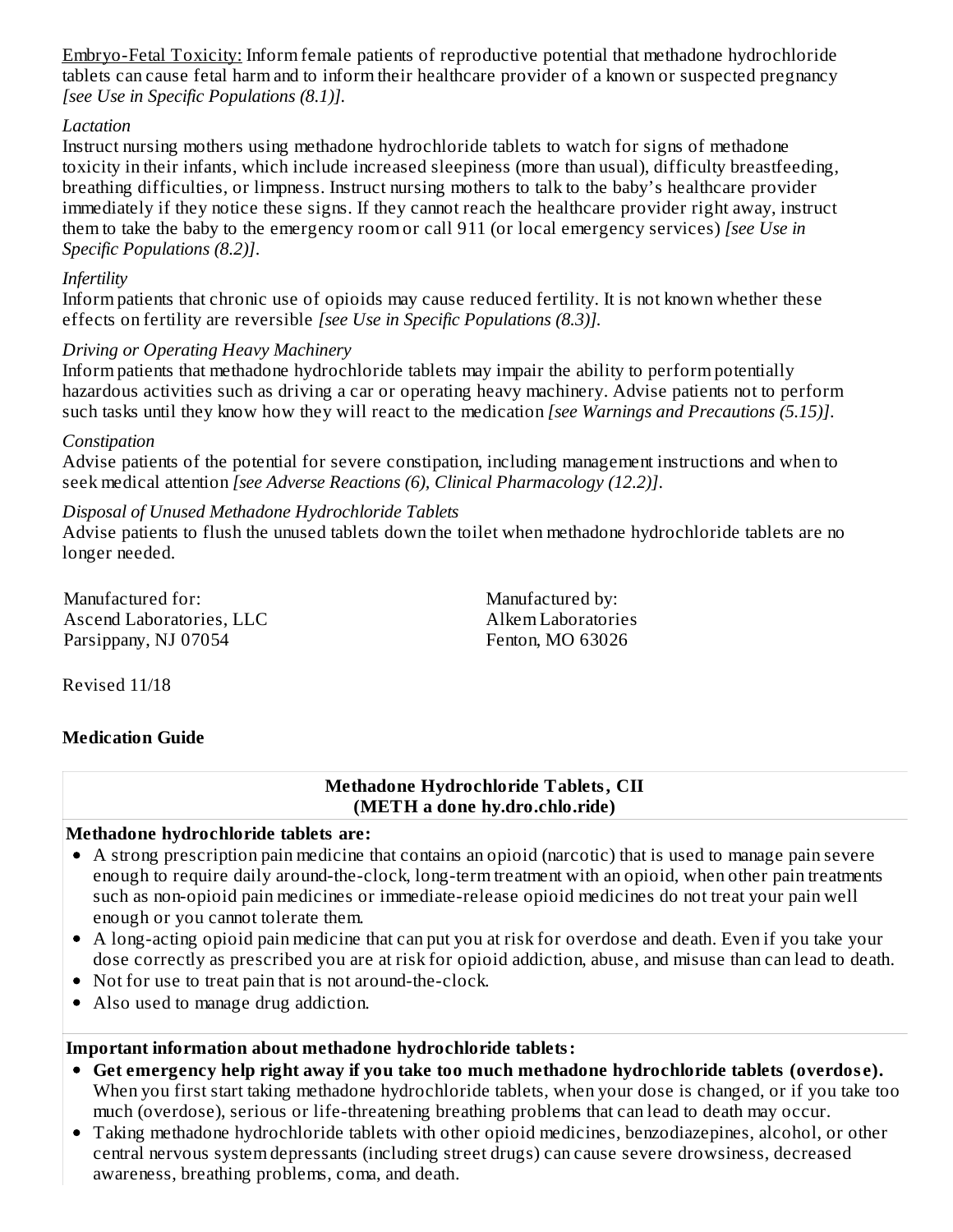Embryo-Fetal Toxicity: Inform female patients of reproductive potential that methadone hydrochloride tablets can cause fetal harm and to inform their healthcare provider of a known or suspected pregnancy *[see Use in Specific Populations (8.1)].*

### *Lactation*

Instruct nursing mothers using methadone hydrochloride tablets to watch for signs of methadone toxicity in their infants, which include increased sleepiness (more than usual), difficulty breastfeeding, breathing difficulties, or limpness. Instruct nursing mothers to talk to the baby's healthcare provider immediately if they notice these signs. If they cannot reach the healthcare provider right away, instruct them to take the baby to the emergency room or call 911 (or local emergency services) *[see Use in Specific Populations (8.2)]*.

#### *Infertility*

Inform patients that chronic use of opioids may cause reduced fertility. It is not known whether these effects on fertility are reversible *[see Use in Specific Populations (8.3)].*

#### *Driving or Operating Heavy Machinery*

Inform patients that methadone hydrochloride tablets may impair the ability to perform potentially hazardous activities such as driving a car or operating heavy machinery. Advise patients not to perform such tasks until they know how they will react to the medication *[see Warnings and Precautions (5.15)]*.

#### *Constipation*

Advise patients of the potential for severe constipation, including management instructions and when to seek medical attention *[see Adverse Reactions (6), Clinical Pharmacology (12.2)]*.

#### *Disposal of Unused Methadone Hydrochloride Tablets*

Advise patients to flush the unused tablets down the toilet when methadone hydrochloride tablets are no longer needed.

Manufactured for: Ascend Laboratories, LLC Parsippany, NJ 07054

Manufactured by: Alkem Laboratories Fenton, MO 63026

Revised 11/18

### **Medication Guide**

#### **Methadone Hydrochloride Tablets, CII (METH a done hy.dro.chlo.ride)**

#### **Methadone hydrochloride tablets are:**

- A strong prescription pain medicine that contains an opioid (narcotic) that is used to manage pain severe enough to require daily around-the-clock, long-term treatment with an opioid, when other pain treatments such as non-opioid pain medicines or immediate-release opioid medicines do not treat your pain well enough or you cannot tolerate them.
- A long-acting opioid pain medicine that can put you at risk for overdose and death. Even if you take your dose correctly as prescribed you are at risk for opioid addiction, abuse, and misuse than can lead to death.
- Not for use to treat pain that is not around-the-clock.
- Also used to manage drug addiction.

### **Important information about methadone hydrochloride tablets:**

- **Get emergency help right away if you take too much methadone hydrochloride tablets (overdos e).** When you first start taking methadone hydrochloride tablets, when your dose is changed, or if you take too much (overdose), serious or life-threatening breathing problems that can lead to death may occur.
- Taking methadone hydrochloride tablets with other opioid medicines, benzodiazepines, alcohol, or other central nervous system depressants (including street drugs) can cause severe drowsiness, decreased awareness, breathing problems, coma, and death.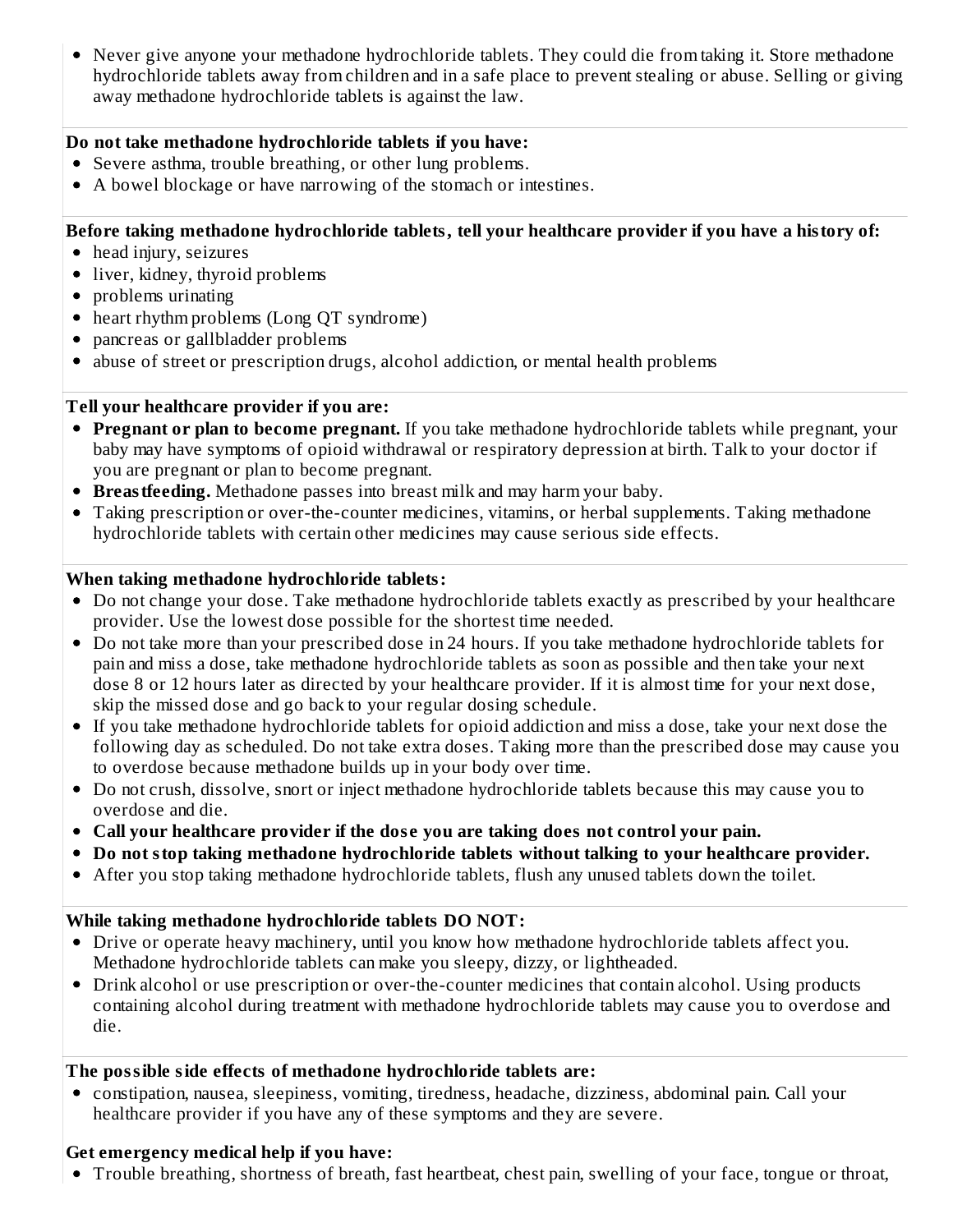Never give anyone your methadone hydrochloride tablets. They could die from taking it. Store methadone hydrochloride tablets away from children and in a safe place to prevent stealing or abuse. Selling or giving away methadone hydrochloride tablets is against the law.

### **Do not take methadone hydrochloride tablets if you have:**

- Severe asthma, trouble breathing, or other lung problems.
- A bowel blockage or have narrowing of the stomach or intestines.

## **Before taking methadone hydrochloride tablets, tell your healthcare provider if you have a history of:**

- head injury, seizures
- liver, kidney, thyroid problems
- problems urinating
- heart rhythm problems (Long QT syndrome)
- pancreas or gallbladder problems
- abuse of street or prescription drugs, alcohol addiction, or mental health problems

## **Tell your healthcare provider if you are:**

- **Pregnant or plan to become pregnant.** If you take methadone hydrochloride tablets while pregnant, your baby may have symptoms of opioid withdrawal or respiratory depression at birth. Talk to your doctor if you are pregnant or plan to become pregnant.
- **Breastfeeding.** Methadone passes into breast milk and may harm your baby.
- Taking prescription or over-the-counter medicines, vitamins, or herbal supplements. Taking methadone hydrochloride tablets with certain other medicines may cause serious side effects.

## **When taking methadone hydrochloride tablets:**

- Do not change your dose. Take methadone hydrochloride tablets exactly as prescribed by your healthcare provider. Use the lowest dose possible for the shortest time needed.
- Do not take more than your prescribed dose in 24 hours. If you take methadone hydrochloride tablets for pain and miss a dose, take methadone hydrochloride tablets as soon as possible and then take your next dose 8 or 12 hours later as directed by your healthcare provider. If it is almost time for your next dose, skip the missed dose and go back to your regular dosing schedule.
- If you take methadone hydrochloride tablets for opioid addiction and miss a dose, take your next dose the following day as scheduled. Do not take extra doses. Taking more than the prescribed dose may cause you to overdose because methadone builds up in your body over time.
- Do not crush, dissolve, snort or inject methadone hydrochloride tablets because this may cause you to overdose and die.
- **Call your healthcare provider if the dos e you are taking does not control your pain.**
- **Do not stop taking methadone hydrochloride tablets without talking to your healthcare provider.**
- After you stop taking methadone hydrochloride tablets, flush any unused tablets down the toilet.

# **While taking methadone hydrochloride tablets DO NOT:**

- Drive or operate heavy machinery, until you know how methadone hydrochloride tablets affect you. Methadone hydrochloride tablets can make you sleepy, dizzy, or lightheaded.
- Drink alcohol or use prescription or over-the-counter medicines that contain alcohol. Using products containing alcohol during treatment with methadone hydrochloride tablets may cause you to overdose and die.

### **The possible side effects of methadone hydrochloride tablets are:**

constipation, nausea, sleepiness, vomiting, tiredness, headache, dizziness, abdominal pain. Call your healthcare provider if you have any of these symptoms and they are severe.

# **Get emergency medical help if you have:**

Trouble breathing, shortness of breath, fast heartbeat, chest pain, swelling of your face, tongue or throat,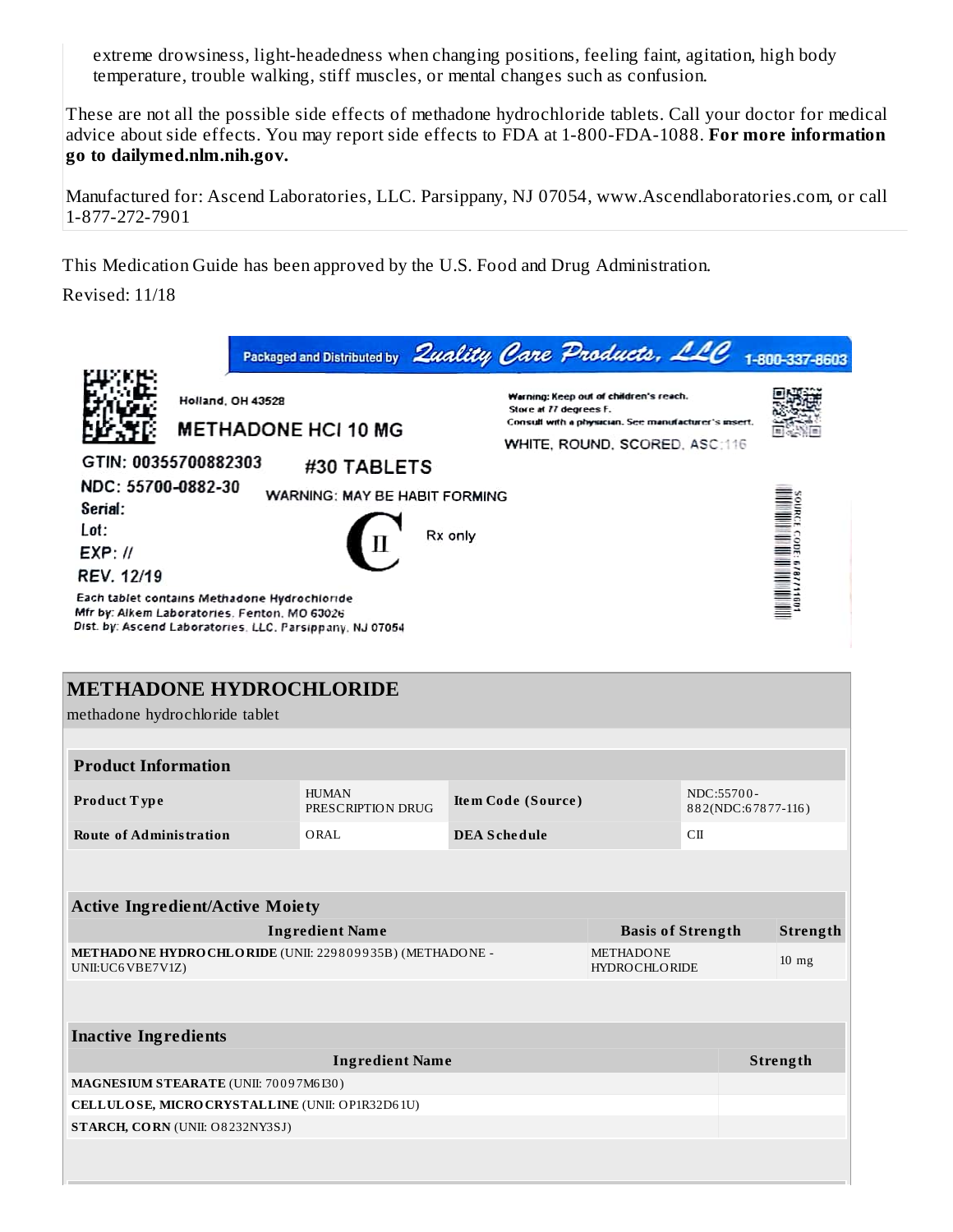extreme drowsiness, light-headedness when changing positions, feeling faint, agitation, high body temperature, trouble walking, stiff muscles, or mental changes such as confusion.

These are not all the possible side effects of methadone hydrochloride tablets. Call your doctor for medical advice about side effects. You may report side effects to FDA at 1-800-FDA-1088. **For more information go to dailymed.nlm.nih.gov.**

Manufactured for: Ascend Laboratories, LLC. Parsippany, NJ 07054, www.Ascendlaboratories.com, or call 1-877-272-7901

This Medication Guide has been approved by the U.S. Food and Drug Administration.

Revised: 11/18



# **METHADONE HYDROCHLORIDE**

methadone hydrochloride tablet

**Active Ingredient/Active Moiety**

| <b>Product Information</b>     |                                   |                     |                                  |  |  |
|--------------------------------|-----------------------------------|---------------------|----------------------------------|--|--|
| Product Type                   | <b>HUMAN</b><br>PRESCRIPTION DRUG | Item Code (Source)  | NDC:55700-<br>882(NDC:67877-116) |  |  |
| <b>Route of Administration</b> | ORAL                              | <b>DEA Schedule</b> | CП                               |  |  |
|                                |                                   |                     |                                  |  |  |

| ACUVE INSTERICITY ACUVE INFORTY                                               |                            |                 |  |  |
|-------------------------------------------------------------------------------|----------------------------|-----------------|--|--|
| Ingredient Name                                                               | <b>Basis of Strength</b>   | Strength        |  |  |
| METHADONE HYDRO CHLORIDE (UNII: 229809935B) (METHADONE -<br>UNII:UC6 VBE7V1Z) | METHADONE<br>HYDROCHLORIDE | $10 \text{ mg}$ |  |  |

| <b>Inactive Ingredients</b>                     |          |
|-------------------------------------------------|----------|
| <b>Ingredient Name</b>                          | Strength |
| MAGNESIUM STEARATE (UNII: 70097M6I30)           |          |
| CELLULOSE, MICRO CRYSTALLINE (UNII: OP1R32D61U) |          |
| STARCH, CORN (UNII: O8232NY3SJ)                 |          |
|                                                 |          |
|                                                 |          |